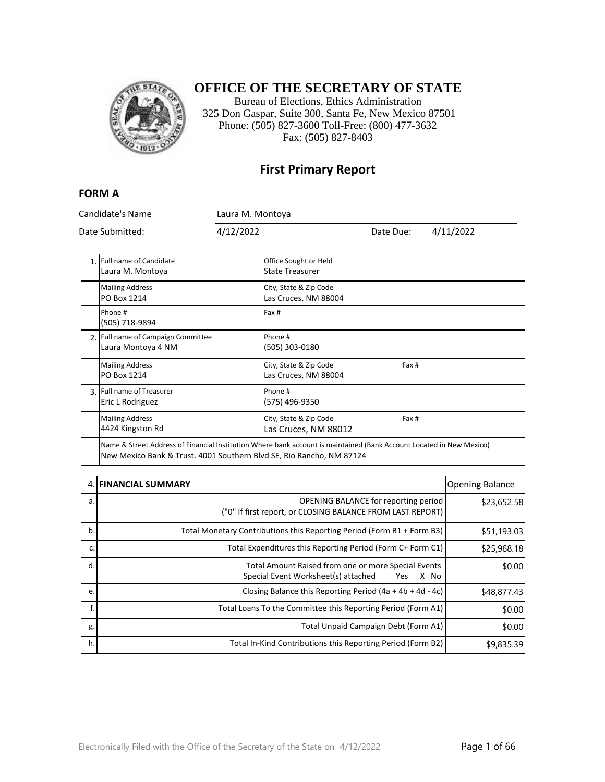

#### **OFFICE OF THE SECRETARY OF STATE**

Bureau of Elections, Ethics Administration 325 Don Gaspar, Suite 300, Santa Fe, New Mexico 87501 Phone: (505) 827-3600 Toll-Free: (800) 477-3632 Fax: (505) 827-8403

#### **First Primary Report**

#### **FORM A**

| Candidate's Name<br>Date Submitted: |                                                                                                                      | Laura M. Montoya |                                                 |           |           |
|-------------------------------------|----------------------------------------------------------------------------------------------------------------------|------------------|-------------------------------------------------|-----------|-----------|
|                                     |                                                                                                                      | 4/12/2022        |                                                 | Date Due: | 4/11/2022 |
|                                     | 1. Full name of Candidate<br>Laura M. Montoya                                                                        |                  | Office Sought or Held<br><b>State Treasurer</b> |           |           |
|                                     | <b>Mailing Address</b><br>PO Box 1214                                                                                |                  | City, State & Zip Code<br>Las Cruces, NM 88004  |           |           |
|                                     | Phone #<br>(505) 718-9894                                                                                            |                  | Fax #                                           |           |           |
|                                     | 2. Full name of Campaign Committee<br>Laura Montoya 4 NM                                                             |                  | Phone #<br>(505) 303-0180                       |           |           |
|                                     | <b>Mailing Address</b><br>PO Box 1214                                                                                |                  | City, State & Zip Code<br>Las Cruces, NM 88004  | Fax #     |           |
|                                     | 3. Full name of Treasurer<br>Eric L Rodriguez                                                                        |                  | Phone #<br>(575) 496-9350                       |           |           |
|                                     | <b>Mailing Address</b><br>4424 Kingston Rd                                                                           |                  | City, State & Zip Code<br>Las Cruces, NM 88012  | Fax #     |           |
|                                     | Name & Street Address of Financial Institution Where bank account is maintained (Bank Account Located in New Mexico) |                  |                                                 |           |           |

New Mexico Bank & Trust. 4001 Southern Blvd SE, Rio Rancho, NM 87124

|    | 4. FINANCIAL SUMMARY                                                                                             | <b>Opening Balance</b> |
|----|------------------------------------------------------------------------------------------------------------------|------------------------|
| a. | OPENING BALANCE for reporting period<br>("0" If first report, or CLOSING BALANCE FROM LAST REPORT)               | \$23,652.58            |
| b. | Total Monetary Contributions this Reporting Period (Form B1 + Form B3)                                           | \$51,193.03            |
| c. | Total Expenditures this Reporting Period (Form C+ Form C1)                                                       | \$25,968.18            |
| d. | Total Amount Raised from one or more Special Events<br>Special Event Worksheet(s) attached<br>X No<br><b>Yes</b> | \$0.00                 |
| e. | Closing Balance this Reporting Period (4a + 4b + 4d - 4c)                                                        | \$48,877.43            |
| f. | Total Loans To the Committee this Reporting Period (Form A1)                                                     | \$0.00                 |
| g. | Total Unpaid Campaign Debt (Form A1)                                                                             | \$0.00                 |
| h. | Total In-Kind Contributions this Reporting Period (Form B2)                                                      | \$9,835.39             |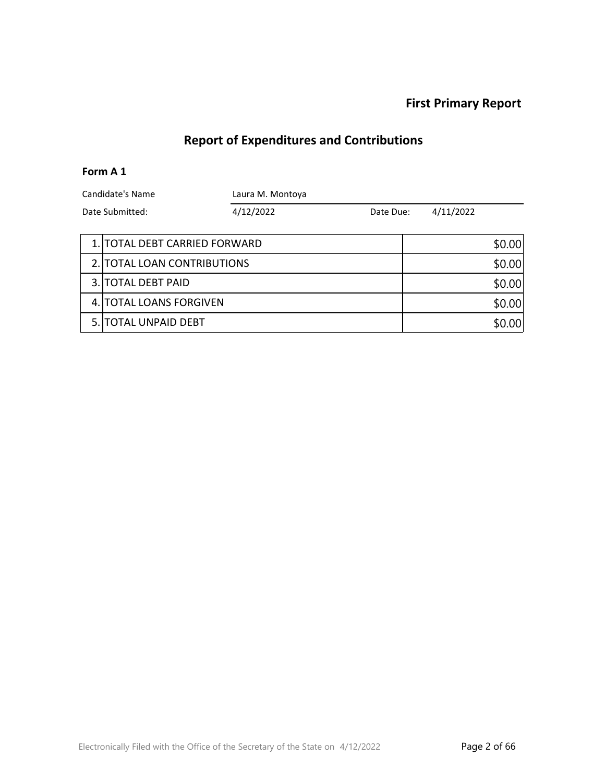# **Report of Expenditures and Contributions**

#### **Form A 1**

| Candidate's Name |                               | Laura M. Montoya |           |  |           |          |
|------------------|-------------------------------|------------------|-----------|--|-----------|----------|
| Date Submitted:  |                               | 4/12/2022        | Date Due: |  | 4/11/2022 |          |
|                  | 1. TOTAL DEBT CARRIED FORWARD |                  |           |  |           | \$0.00   |
|                  | 2. TOTAL LOAN CONTRIBUTIONS   |                  |           |  |           | \$0.00   |
|                  | 3. TOTAL DEBT PAID            |                  |           |  |           | \$0.00   |
|                  | 4. TOTAL LOANS FORGIVEN       |                  |           |  |           | \$0.00   |
|                  | <b>5. ITOTAL UNPAID DEBT</b>  |                  |           |  |           | $.00 \,$ |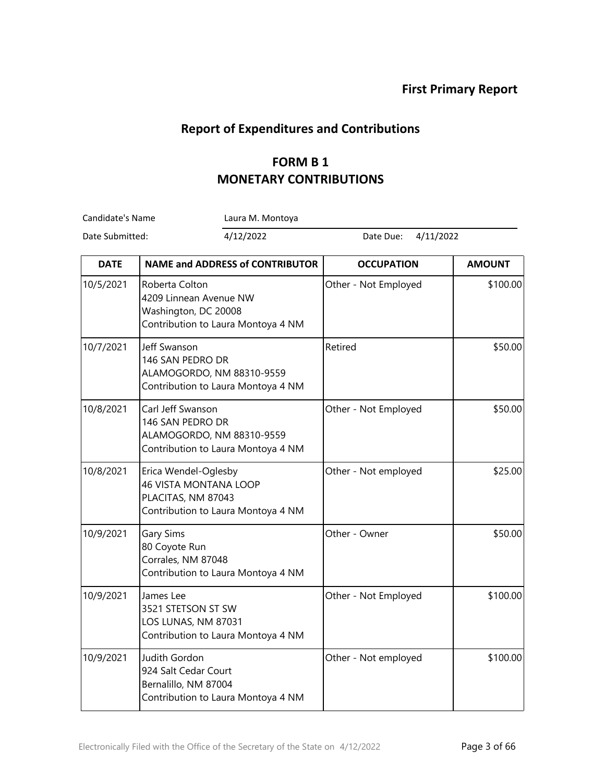#### **Report of Expenditures and Contributions**

## **FORM B 1 MONETARY CONTRIBUTIONS**

Candidate's Name Laura M. Montoya

r.

| <b>DATE</b> | <b>NAME and ADDRESS of CONTRIBUTOR</b>                                                                           | <b>OCCUPATION</b>    | <b>AMOUNT</b> |
|-------------|------------------------------------------------------------------------------------------------------------------|----------------------|---------------|
| 10/5/2021   | Roberta Colton<br>4209 Linnean Avenue NW<br>Washington, DC 20008<br>Contribution to Laura Montoya 4 NM           | Other - Not Employed | \$100.00      |
| 10/7/2021   | Jeff Swanson<br>146 SAN PEDRO DR<br>ALAMOGORDO, NM 88310-9559<br>Contribution to Laura Montoya 4 NM              | Retired              | \$50.00       |
| 10/8/2021   | Carl Jeff Swanson<br>146 SAN PEDRO DR<br>ALAMOGORDO, NM 88310-9559<br>Contribution to Laura Montoya 4 NM         | Other - Not Employed | \$50.00       |
| 10/8/2021   | Erica Wendel-Oglesby<br><b>46 VISTA MONTANA LOOP</b><br>PLACITAS, NM 87043<br>Contribution to Laura Montoya 4 NM | Other - Not employed | \$25.00       |
| 10/9/2021   | Gary Sims<br>80 Coyote Run<br>Corrales, NM 87048<br>Contribution to Laura Montoya 4 NM                           | Other - Owner        | \$50.00       |
| 10/9/2021   | James Lee<br>3521 STETSON ST SW<br>LOS LUNAS, NM 87031<br>Contribution to Laura Montoya 4 NM                     | Other - Not Employed | \$100.00      |
| 10/9/2021   | Judith Gordon<br>924 Salt Cedar Court<br>Bernalillo, NM 87004<br>Contribution to Laura Montoya 4 NM              | Other - Not employed | \$100.00      |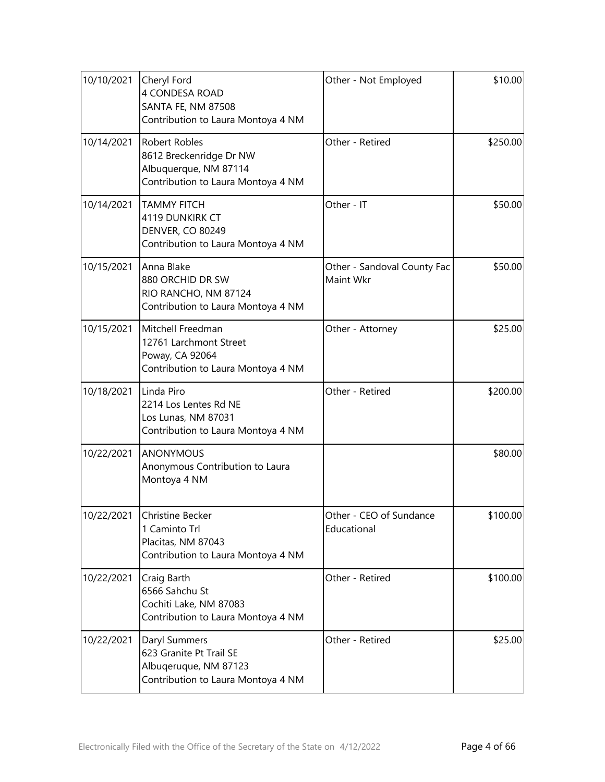| 10/10/2021 | Cheryl Ford<br>4 CONDESA ROAD<br>SANTA FE, NM 87508<br>Contribution to Laura Montoya 4 NM                      | Other - Not Employed                     | \$10.00  |
|------------|----------------------------------------------------------------------------------------------------------------|------------------------------------------|----------|
| 10/14/2021 | <b>Robert Robles</b><br>8612 Breckenridge Dr NW<br>Albuquerque, NM 87114<br>Contribution to Laura Montoya 4 NM | Other - Retired                          | \$250.00 |
| 10/14/2021 | <b>TAMMY FITCH</b><br>4119 DUNKIRK CT<br><b>DENVER, CO 80249</b><br>Contribution to Laura Montoya 4 NM         | Other - IT                               | \$50.00  |
| 10/15/2021 | Anna Blake<br>880 ORCHID DR SW<br>RIO RANCHO, NM 87124<br>Contribution to Laura Montoya 4 NM                   | Other - Sandoval County Fac<br>Maint Wkr | \$50.00  |
| 10/15/2021 | Mitchell Freedman<br>12761 Larchmont Street<br>Poway, CA 92064<br>Contribution to Laura Montoya 4 NM           | Other - Attorney                         | \$25.00  |
| 10/18/2021 | Linda Piro<br>2214 Los Lentes Rd NE<br>Los Lunas, NM 87031<br>Contribution to Laura Montoya 4 NM               | Other - Retired                          | \$200.00 |
| 10/22/2021 | <b>ANONYMOUS</b><br>Anonymous Contribution to Laura<br>Montoya 4 NM                                            |                                          | \$80.00  |
| 10/22/2021 | Christine Becker<br>1 Caminto Trl<br>Placitas, NM 87043<br>Contribution to Laura Montoya 4 NM                  | Other - CEO of Sundance<br>Educational   | \$100.00 |
| 10/22/2021 | Craig Barth<br>6566 Sahchu St<br>Cochiti Lake, NM 87083<br>Contribution to Laura Montoya 4 NM                  | Other - Retired                          | \$100.00 |
| 10/22/2021 | Daryl Summers<br>623 Granite Pt Trail SE<br>Albuqeruque, NM 87123<br>Contribution to Laura Montoya 4 NM        | Other - Retired                          | \$25.00  |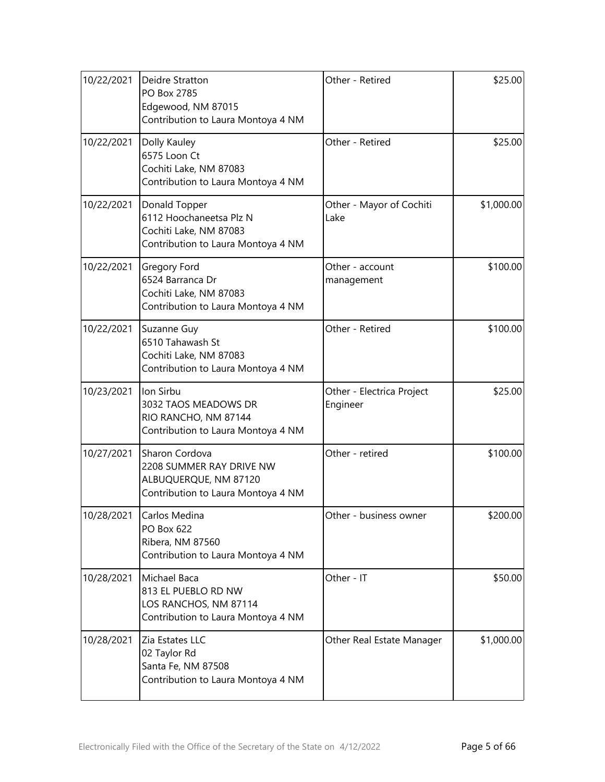| 10/22/2021 | Deidre Stratton<br>PO Box 2785<br>Edgewood, NM 87015<br>Contribution to Laura Montoya 4 NM                | Other - Retired                       | \$25.00    |
|------------|-----------------------------------------------------------------------------------------------------------|---------------------------------------|------------|
| 10/22/2021 | Dolly Kauley<br>6575 Loon Ct<br>Cochiti Lake, NM 87083<br>Contribution to Laura Montoya 4 NM              | Other - Retired                       | \$25.00    |
| 10/22/2021 | Donald Topper<br>6112 Hoochaneetsa Plz N<br>Cochiti Lake, NM 87083<br>Contribution to Laura Montoya 4 NM  | Other - Mayor of Cochiti<br>Lake      | \$1,000.00 |
| 10/22/2021 | <b>Gregory Ford</b><br>6524 Barranca Dr<br>Cochiti Lake, NM 87083<br>Contribution to Laura Montoya 4 NM   | Other - account<br>management         | \$100.00   |
| 10/22/2021 | Suzanne Guy<br>6510 Tahawash St<br>Cochiti Lake, NM 87083<br>Contribution to Laura Montoya 4 NM           | Other - Retired                       | \$100.00   |
| 10/23/2021 | Ion Sirbu<br>3032 TAOS MEADOWS DR<br>RIO RANCHO, NM 87144<br>Contribution to Laura Montoya 4 NM           | Other - Electrica Project<br>Engineer | \$25.00    |
| 10/27/2021 | Sharon Cordova<br>2208 SUMMER RAY DRIVE NW<br>ALBUQUERQUE, NM 87120<br>Contribution to Laura Montoya 4 NM | Other - retired                       | \$100.00   |
| 10/28/2021 | Carlos Medina<br>PO Box 622<br>Ribera, NM 87560<br>Contribution to Laura Montoya 4 NM                     | Other - business owner                | \$200.00   |
| 10/28/2021 | Michael Baca<br>813 EL PUEBLO RD NW<br>LOS RANCHOS, NM 87114<br>Contribution to Laura Montoya 4 NM        | Other - IT                            | \$50.00    |
| 10/28/2021 | Zia Estates LLC<br>02 Taylor Rd<br>Santa Fe, NM 87508<br>Contribution to Laura Montoya 4 NM               | Other Real Estate Manager             | \$1,000.00 |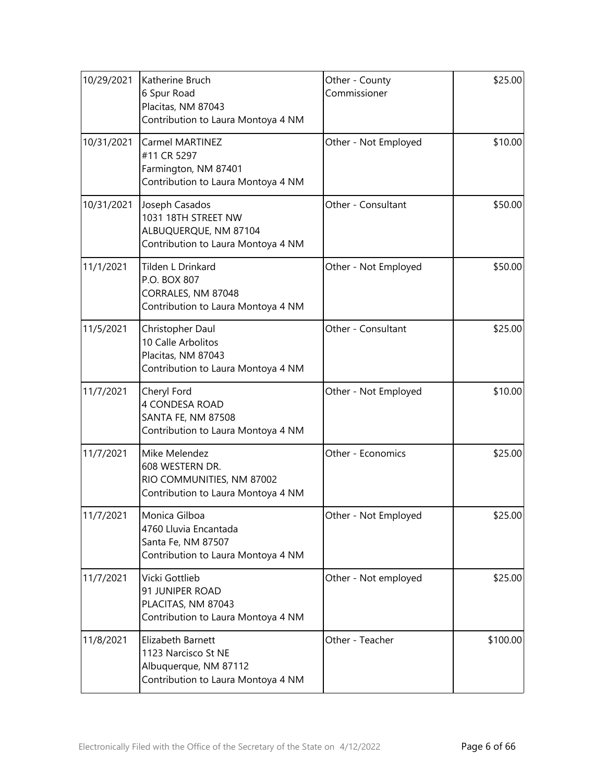| 10/29/2021 | Katherine Bruch<br>6 Spur Road<br>Placitas, NM 87043<br>Contribution to Laura Montoya 4 NM              | Other - County<br>Commissioner | \$25.00  |
|------------|---------------------------------------------------------------------------------------------------------|--------------------------------|----------|
| 10/31/2021 | <b>Carmel MARTINEZ</b><br>#11 CR 5297<br>Farmington, NM 87401<br>Contribution to Laura Montoya 4 NM     | Other - Not Employed           | \$10.00  |
| 10/31/2021 | Joseph Casados<br>1031 18TH STREET NW<br>ALBUQUERQUE, NM 87104<br>Contribution to Laura Montoya 4 NM    | Other - Consultant             | \$50.00  |
| 11/1/2021  | Tilden L Drinkard<br>P.O. BOX 807<br>CORRALES, NM 87048<br>Contribution to Laura Montoya 4 NM           | Other - Not Employed           | \$50.00  |
| 11/5/2021  | Christopher Daul<br>10 Calle Arbolitos<br>Placitas, NM 87043<br>Contribution to Laura Montoya 4 NM      | Other - Consultant             | \$25.00  |
| 11/7/2021  | Cheryl Ford<br>4 CONDESA ROAD<br><b>SANTA FE, NM 87508</b><br>Contribution to Laura Montoya 4 NM        | Other - Not Employed           | \$10.00  |
| 11/7/2021  | Mike Melendez<br>608 WESTERN DR.<br>RIO COMMUNITIES, NM 87002<br>Contribution to Laura Montoya 4 NM     | Other - Economics              | \$25.00  |
| 11/7/2021  | Monica Gilboa<br>4760 Lluvia Encantada<br>Santa Fe, NM 87507<br>Contribution to Laura Montoya 4 NM      | Other - Not Employed           | \$25.00  |
| 11/7/2021  | Vicki Gottlieb<br>91 JUNIPER ROAD<br>PLACITAS, NM 87043<br>Contribution to Laura Montoya 4 NM           | Other - Not employed           | \$25.00  |
| 11/8/2021  | Elizabeth Barnett<br>1123 Narcisco St NE<br>Albuquerque, NM 87112<br>Contribution to Laura Montoya 4 NM | Other - Teacher                | \$100.00 |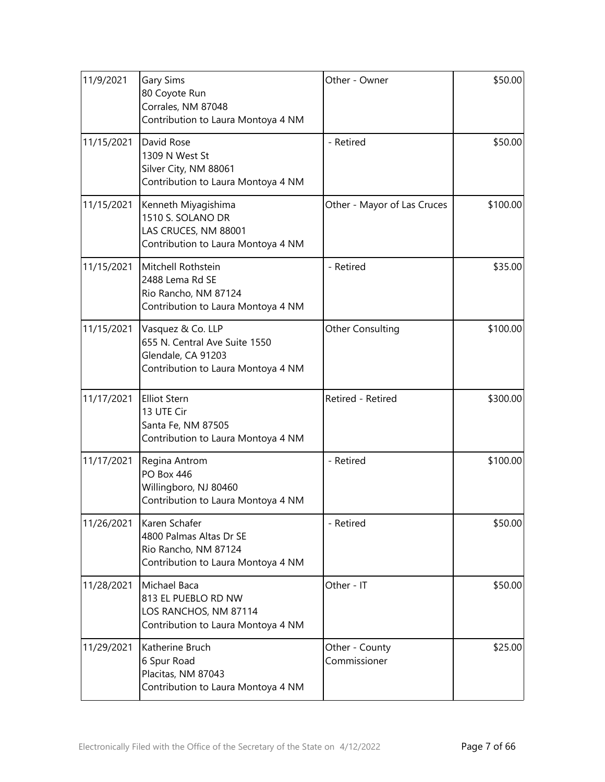| 11/9/2021  | <b>Gary Sims</b><br>80 Coyote Run<br>Corrales, NM 87048<br>Contribution to Laura Montoya 4 NM                  | Other - Owner                  | \$50.00  |
|------------|----------------------------------------------------------------------------------------------------------------|--------------------------------|----------|
| 11/15/2021 | David Rose<br>1309 N West St<br>Silver City, NM 88061<br>Contribution to Laura Montoya 4 NM                    | - Retired                      | \$50.00  |
| 11/15/2021 | Kenneth Miyagishima<br>1510 S. SOLANO DR<br>LAS CRUCES, NM 88001<br>Contribution to Laura Montoya 4 NM         | Other - Mayor of Las Cruces    | \$100.00 |
| 11/15/2021 | Mitchell Rothstein<br>2488 Lema Rd SE<br>Rio Rancho, NM 87124<br>Contribution to Laura Montoya 4 NM            | - Retired                      | \$35.00  |
| 11/15/2021 | Vasquez & Co. LLP<br>655 N. Central Ave Suite 1550<br>Glendale, CA 91203<br>Contribution to Laura Montoya 4 NM | Other Consulting               | \$100.00 |
| 11/17/2021 | <b>Elliot Stern</b><br>13 UTE Cir<br>Santa Fe, NM 87505<br>Contribution to Laura Montoya 4 NM                  | Retired - Retired              | \$300.00 |
| 11/17/2021 | Regina Antrom<br><b>PO Box 446</b><br>Willingboro, NJ 80460<br>Contribution to Laura Montoya 4 NM              | - Retired                      | \$100.00 |
| 11/26/2021 | Karen Schafer<br>4800 Palmas Altas Dr SE<br>Rio Rancho, NM 87124<br>Contribution to Laura Montoya 4 NM         | - Retired                      | \$50.00  |
| 11/28/2021 | Michael Baca<br>813 EL PUEBLO RD NW<br>LOS RANCHOS, NM 87114<br>Contribution to Laura Montoya 4 NM             | Other - IT                     | \$50.00  |
| 11/29/2021 | Katherine Bruch<br>6 Spur Road<br>Placitas, NM 87043<br>Contribution to Laura Montoya 4 NM                     | Other - County<br>Commissioner | \$25.00  |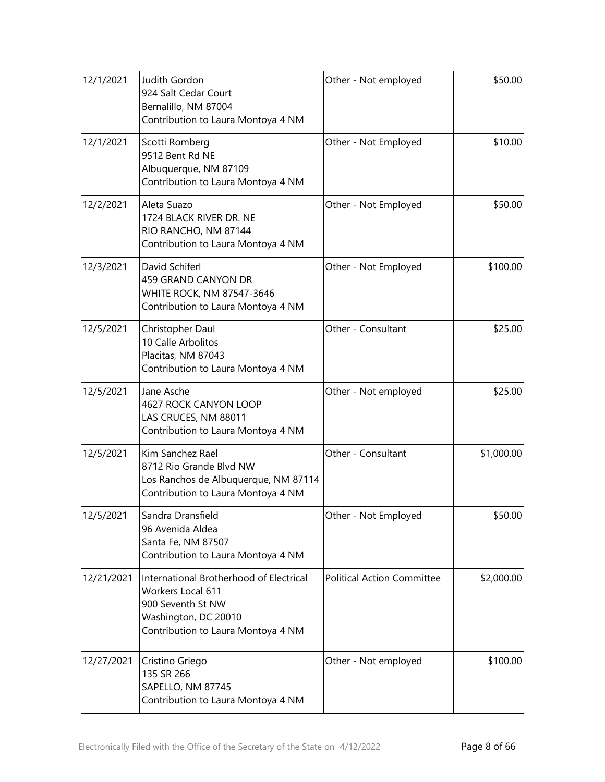| 12/1/2021  | Judith Gordon<br>924 Salt Cedar Court<br>Bernalillo, NM 87004<br>Contribution to Laura Montoya 4 NM                                             | Other - Not employed              | \$50.00    |
|------------|-------------------------------------------------------------------------------------------------------------------------------------------------|-----------------------------------|------------|
| 12/1/2021  | Scotti Romberg<br>9512 Bent Rd NE<br>Albuquerque, NM 87109<br>Contribution to Laura Montoya 4 NM                                                | Other - Not Employed              | \$10.00    |
| 12/2/2021  | Aleta Suazo<br>1724 BLACK RIVER DR. NE<br>RIO RANCHO, NM 87144<br>Contribution to Laura Montoya 4 NM                                            | Other - Not Employed              | \$50.00    |
| 12/3/2021  | David Schiferl<br><b>459 GRAND CANYON DR</b><br><b>WHITE ROCK, NM 87547-3646</b><br>Contribution to Laura Montoya 4 NM                          | Other - Not Employed              | \$100.00   |
| 12/5/2021  | Christopher Daul<br>10 Calle Arbolitos<br>Placitas, NM 87043<br>Contribution to Laura Montoya 4 NM                                              | Other - Consultant                | \$25.00    |
| 12/5/2021  | Jane Asche<br>4627 ROCK CANYON LOOP<br>LAS CRUCES, NM 88011<br>Contribution to Laura Montoya 4 NM                                               | Other - Not employed              | \$25.00    |
| 12/5/2021  | Kim Sanchez Rael<br>8712 Rio Grande Blvd NW<br>Los Ranchos de Albuquerque, NM 87114<br>Contribution to Laura Montoya 4 NM                       | Other - Consultant                | \$1,000.00 |
| 12/5/2021  | Sandra Dransfield<br>96 Avenida Aldea<br>Santa Fe, NM 87507<br>Contribution to Laura Montoya 4 NM                                               | Other - Not Employed              | \$50.00    |
| 12/21/2021 | International Brotherhood of Electrical<br>Workers Local 611<br>900 Seventh St NW<br>Washington, DC 20010<br>Contribution to Laura Montoya 4 NM | <b>Political Action Committee</b> | \$2,000.00 |
| 12/27/2021 | Cristino Griego<br>135 SR 266<br>SAPELLO, NM 87745<br>Contribution to Laura Montoya 4 NM                                                        | Other - Not employed              | \$100.00   |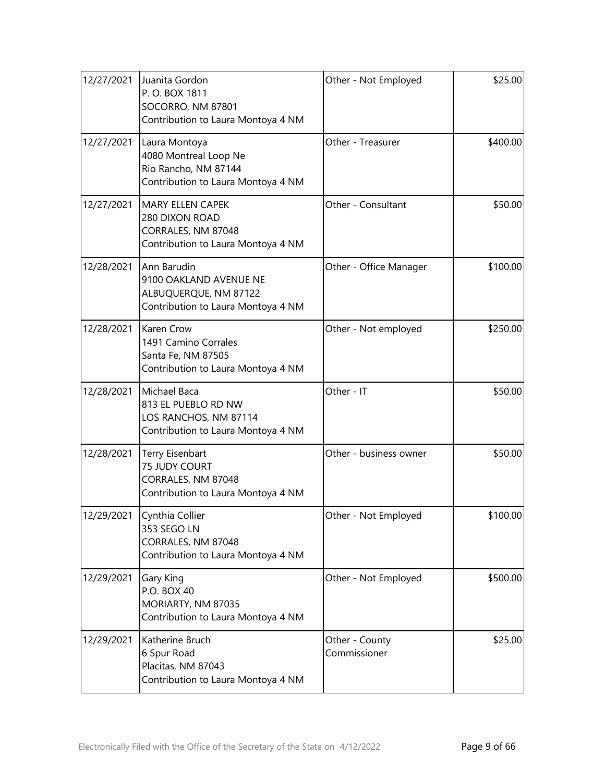| 12/27/2021 | Juanita Gordon<br>P.O. BOX 1811<br>SOCORRO, NM 87801<br>Contribution to Laura Montoya 4 NM            | Other - Not Employed           | \$25.00  |
|------------|-------------------------------------------------------------------------------------------------------|--------------------------------|----------|
| 12/27/2021 | Laura Montoya<br>4080 Montreal Loop Ne<br>Rio Rancho, NM 87144<br>Contribution to Laura Montoya 4 NM  | Other - Treasurer              | \$400.00 |
| 12/27/2021 | <b>MARY ELLEN CAPEK</b><br>280 DIXON ROAD<br>CORRALES, NM 87048<br>Contribution to Laura Montoya 4 NM | Other - Consultant             | \$50.00  |
| 12/28/2021 | Ann Barudin<br>9100 OAKLAND AVENUE NE<br>ALBUQUERQUE, NM 87122<br>Contribution to Laura Montoya 4 NM  | Other - Office Manager         | \$100.00 |
| 12/28/2021 | <b>Karen Crow</b><br>1491 Camino Corrales<br>Santa Fe, NM 87505<br>Contribution to Laura Montoya 4 NM | Other - Not employed           | \$250.00 |
| 12/28/2021 | Michael Baca<br>813 EL PUEBLO RD NW<br>LOS RANCHOS, NM 87114<br>Contribution to Laura Montoya 4 NM    | Other - IT                     | \$50.00  |
| 12/28/2021 | Terry Eisenbart<br>75 JUDY COURT<br>CORRALES, NM 87048<br>Contribution to Laura Montoya 4 NM          | Other - business owner         | \$50.00  |
| 12/29/2021 | Cynthia Collier<br>353 SEGO LN<br>CORRALES, NM 87048<br>Contribution to Laura Montoya 4 NM            | Other - Not Employed           | \$100.00 |
| 12/29/2021 | Gary King<br>P.O. BOX 40<br>MORIARTY, NM 87035<br>Contribution to Laura Montoya 4 NM                  | Other - Not Employed           | \$500.00 |
| 12/29/2021 | Katherine Bruch<br>6 Spur Road<br>Placitas, NM 87043<br>Contribution to Laura Montoya 4 NM            | Other - County<br>Commissioner | \$25.00  |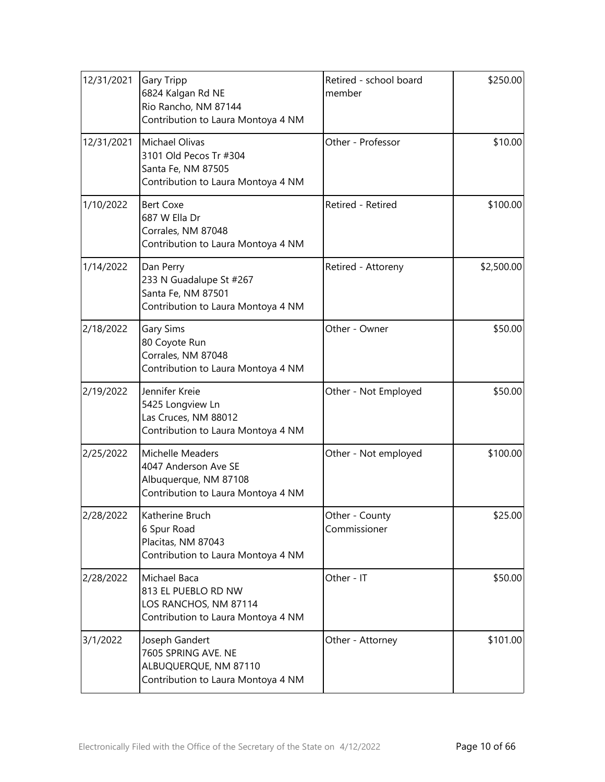| 12/31/2021 | <b>Gary Tripp</b><br>6824 Kalgan Rd NE<br>Rio Rancho, NM 87144<br>Contribution to Laura Montoya 4 NM    | Retired - school board<br>member | \$250.00   |
|------------|---------------------------------------------------------------------------------------------------------|----------------------------------|------------|
| 12/31/2021 | Michael Olivas<br>3101 Old Pecos Tr #304<br>Santa Fe, NM 87505<br>Contribution to Laura Montoya 4 NM    | Other - Professor                | \$10.00    |
| 1/10/2022  | <b>Bert Coxe</b><br>687 W Ella Dr<br>Corrales, NM 87048<br>Contribution to Laura Montoya 4 NM           | Retired - Retired                | \$100.00   |
| 1/14/2022  | Dan Perry<br>233 N Guadalupe St #267<br>Santa Fe, NM 87501<br>Contribution to Laura Montoya 4 NM        | Retired - Attoreny               | \$2,500.00 |
| 2/18/2022  | <b>Gary Sims</b><br>80 Coyote Run<br>Corrales, NM 87048<br>Contribution to Laura Montoya 4 NM           | Other - Owner                    | \$50.00    |
| 2/19/2022  | Jennifer Kreie<br>5425 Longview Ln<br>Las Cruces, NM 88012<br>Contribution to Laura Montoya 4 NM        | Other - Not Employed             | \$50.00    |
| 2/25/2022  | Michelle Meaders<br>4047 Anderson Ave SE<br>Albuquerque, NM 87108<br>Contribution to Laura Montoya 4 NM | Other - Not employed             | \$100.00   |
| 2/28/2022  | Katherine Bruch<br>6 Spur Road<br>Placitas, NM 87043<br>Contribution to Laura Montoya 4 NM              | Other - County<br>Commissioner   | \$25.00    |
| 2/28/2022  | Michael Baca<br>813 EL PUEBLO RD NW<br>LOS RANCHOS, NM 87114<br>Contribution to Laura Montoya 4 NM      | Other - IT                       | \$50.00    |
| 3/1/2022   | Joseph Gandert<br>7605 SPRING AVE. NE<br>ALBUQUERQUE, NM 87110<br>Contribution to Laura Montoya 4 NM    | Other - Attorney                 | \$101.00   |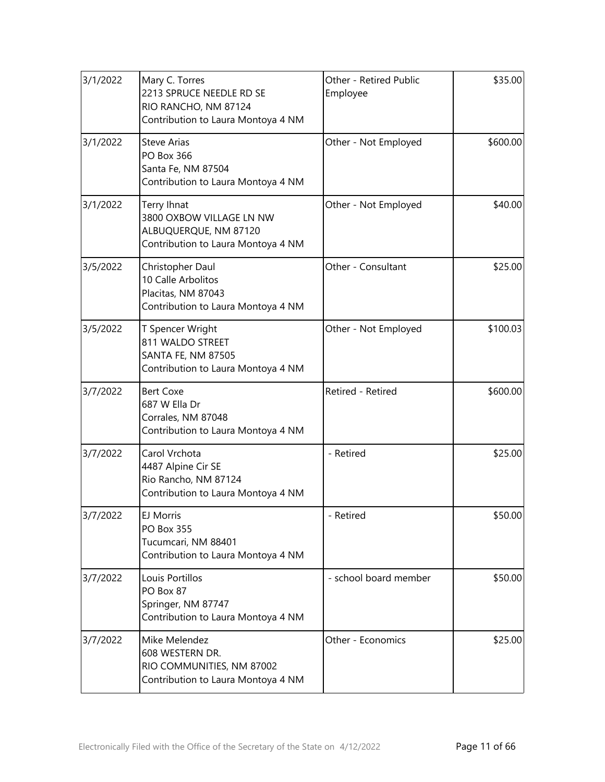| 3/1/2022 | Mary C. Torres<br>2213 SPRUCE NEEDLE RD SE<br>RIO RANCHO, NM 87124<br>Contribution to Laura Montoya 4 NM | Other - Retired Public<br>Employee | \$35.00  |
|----------|----------------------------------------------------------------------------------------------------------|------------------------------------|----------|
| 3/1/2022 | <b>Steve Arias</b><br>PO Box 366<br>Santa Fe, NM 87504<br>Contribution to Laura Montoya 4 NM             | Other - Not Employed               | \$600.00 |
| 3/1/2022 | Terry Ihnat<br>3800 OXBOW VILLAGE LN NW<br>ALBUQUERQUE, NM 87120<br>Contribution to Laura Montoya 4 NM   | Other - Not Employed               | \$40.00  |
| 3/5/2022 | Christopher Daul<br>10 Calle Arbolitos<br>Placitas, NM 87043<br>Contribution to Laura Montoya 4 NM       | Other - Consultant                 | \$25.00  |
| 3/5/2022 | T Spencer Wright<br>811 WALDO STREET<br><b>SANTA FE, NM 87505</b><br>Contribution to Laura Montoya 4 NM  | Other - Not Employed               | \$100.03 |
| 3/7/2022 | <b>Bert Coxe</b><br>687 W Ella Dr<br>Corrales, NM 87048<br>Contribution to Laura Montoya 4 NM            | Retired - Retired                  | \$600.00 |
| 3/7/2022 | Carol Vrchota<br>4487 Alpine Cir SE<br>Rio Rancho, NM 87124<br>Contribution to Laura Montoya 4 NM        | - Retired                          | \$25.00  |
| 3/7/2022 | EJ Morris<br>PO Box 355<br>Tucumcari, NM 88401<br>Contribution to Laura Montoya 4 NM                     | - Retired                          | \$50.00  |
| 3/7/2022 | Louis Portillos<br>PO Box 87<br>Springer, NM 87747<br>Contribution to Laura Montoya 4 NM                 | - school board member              | \$50.00  |
| 3/7/2022 | Mike Melendez<br>608 WESTERN DR.<br>RIO COMMUNITIES, NM 87002<br>Contribution to Laura Montoya 4 NM      | Other - Economics                  | \$25.00  |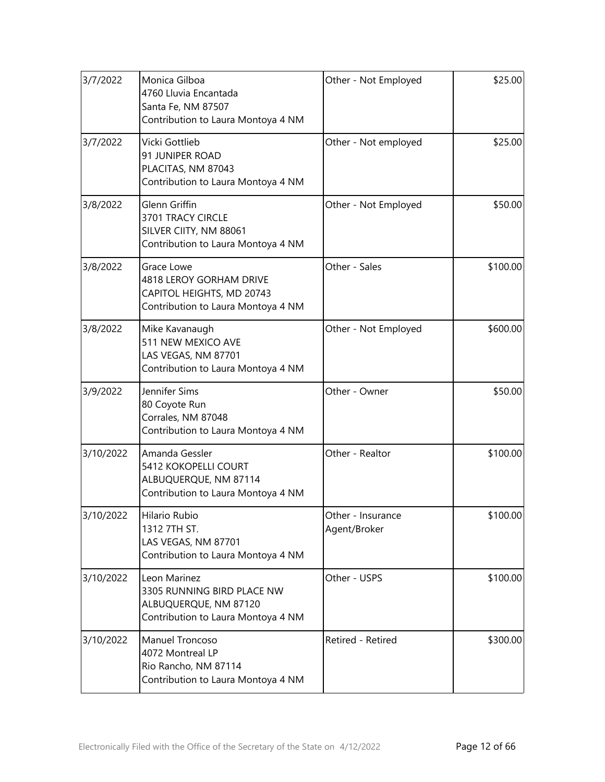| 3/7/2022  | Monica Gilboa<br>4760 Lluvia Encantada<br>Santa Fe, NM 87507<br>Contribution to Laura Montoya 4 NM              | Other - Not Employed              | \$25.00  |
|-----------|-----------------------------------------------------------------------------------------------------------------|-----------------------------------|----------|
| 3/7/2022  | Vicki Gottlieb<br>91 JUNIPER ROAD<br>PLACITAS, NM 87043<br>Contribution to Laura Montoya 4 NM                   | Other - Not employed              | \$25.00  |
| 3/8/2022  | <b>Glenn Griffin</b><br>3701 TRACY CIRCLE<br>SILVER CIITY, NM 88061<br>Contribution to Laura Montoya 4 NM       | Other - Not Employed              | \$50.00  |
| 3/8/2022  | Grace Lowe<br><b>4818 LEROY GORHAM DRIVE</b><br>CAPITOL HEIGHTS, MD 20743<br>Contribution to Laura Montoya 4 NM | Other - Sales                     | \$100.00 |
| 3/8/2022  | Mike Kavanaugh<br>511 NEW MEXICO AVE<br>LAS VEGAS, NM 87701<br>Contribution to Laura Montoya 4 NM               | Other - Not Employed              | \$600.00 |
| 3/9/2022  | Jennifer Sims<br>80 Coyote Run<br>Corrales, NM 87048<br>Contribution to Laura Montoya 4 NM                      | Other - Owner                     | \$50.00  |
| 3/10/2022 | Amanda Gessler<br>5412 KOKOPELLI COURT<br>ALBUQUERQUE, NM 87114<br>Contribution to Laura Montoya 4 NM           | Other - Realtor                   | \$100.00 |
| 3/10/2022 | Hilario Rubio<br>1312 7TH ST.<br>LAS VEGAS, NM 87701<br>Contribution to Laura Montoya 4 NM                      | Other - Insurance<br>Agent/Broker | \$100.00 |
| 3/10/2022 | Leon Marinez<br>3305 RUNNING BIRD PLACE NW<br>ALBUQUERQUE, NM 87120<br>Contribution to Laura Montoya 4 NM       | Other - USPS                      | \$100.00 |
| 3/10/2022 | Manuel Troncoso<br>4072 Montreal LP<br>Rio Rancho, NM 87114<br>Contribution to Laura Montoya 4 NM               | Retired - Retired                 | \$300.00 |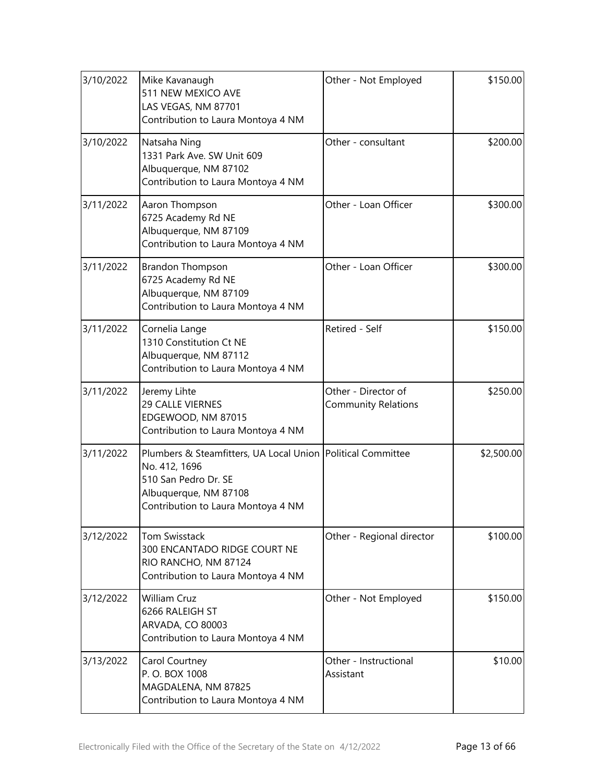| 3/10/2022 | Mike Kavanaugh<br>511 NEW MEXICO AVE<br>LAS VEGAS, NM 87701<br>Contribution to Laura Montoya 4 NM                                                                     | Other - Not Employed                              | \$150.00   |
|-----------|-----------------------------------------------------------------------------------------------------------------------------------------------------------------------|---------------------------------------------------|------------|
| 3/10/2022 | Natsaha Ning<br>1331 Park Ave. SW Unit 609<br>Albuquerque, NM 87102<br>Contribution to Laura Montoya 4 NM                                                             | Other - consultant                                | \$200.00   |
| 3/11/2022 | Aaron Thompson<br>6725 Academy Rd NE<br>Albuquerque, NM 87109<br>Contribution to Laura Montoya 4 NM                                                                   | Other - Loan Officer                              | \$300.00   |
| 3/11/2022 | <b>Brandon Thompson</b><br>6725 Academy Rd NE<br>Albuquerque, NM 87109<br>Contribution to Laura Montoya 4 NM                                                          | Other - Loan Officer                              | \$300.00   |
| 3/11/2022 | Cornelia Lange<br>1310 Constitution Ct NE<br>Albuquerque, NM 87112<br>Contribution to Laura Montoya 4 NM                                                              | Retired - Self                                    | \$150.00   |
| 3/11/2022 | Jeremy Lihte<br>29 CALLE VIERNES<br>EDGEWOOD, NM 87015<br>Contribution to Laura Montoya 4 NM                                                                          | Other - Director of<br><b>Community Relations</b> | \$250.00   |
| 3/11/2022 | Plumbers & Steamfitters, UA Local Union   Political Committee<br>No. 412, 1696<br>510 San Pedro Dr. SE<br>Albuquerque, NM 87108<br>Contribution to Laura Montoya 4 NM |                                                   | \$2,500.00 |
| 3/12/2022 | <b>Tom Swisstack</b><br>300 ENCANTADO RIDGE COURT NE<br>RIO RANCHO, NM 87124<br>Contribution to Laura Montoya 4 NM                                                    | Other - Regional director                         | \$100.00   |
| 3/12/2022 | <b>William Cruz</b><br>6266 RALEIGH ST<br>ARVADA, CO 80003<br>Contribution to Laura Montoya 4 NM                                                                      | Other - Not Employed                              | \$150.00   |
| 3/13/2022 | Carol Courtney<br>P.O. BOX 1008<br>MAGDALENA, NM 87825<br>Contribution to Laura Montoya 4 NM                                                                          | Other - Instructional<br>Assistant                | \$10.00    |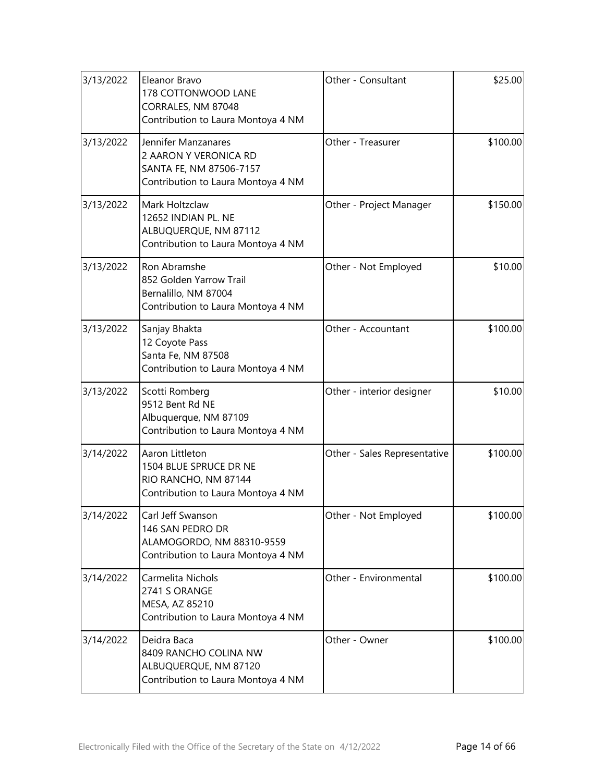| 3/13/2022 | Eleanor Bravo<br>178 COTTONWOOD LANE<br>CORRALES, NM 87048<br>Contribution to Laura Montoya 4 NM              | Other - Consultant           | \$25.00  |
|-----------|---------------------------------------------------------------------------------------------------------------|------------------------------|----------|
| 3/13/2022 | Jennifer Manzanares<br>2 AARON Y VERONICA RD<br>SANTA FE, NM 87506-7157<br>Contribution to Laura Montoya 4 NM | Other - Treasurer            | \$100.00 |
| 3/13/2022 | Mark Holtzclaw<br>12652 INDIAN PL. NE<br>ALBUQUERQUE, NM 87112<br>Contribution to Laura Montoya 4 NM          | Other - Project Manager      | \$150.00 |
| 3/13/2022 | Ron Abramshe<br>852 Golden Yarrow Trail<br>Bernalillo, NM 87004<br>Contribution to Laura Montoya 4 NM         | Other - Not Employed         | \$10.00  |
| 3/13/2022 | Sanjay Bhakta<br>12 Coyote Pass<br>Santa Fe, NM 87508<br>Contribution to Laura Montoya 4 NM                   | Other - Accountant           | \$100.00 |
| 3/13/2022 | Scotti Romberg<br>9512 Bent Rd NE<br>Albuquerque, NM 87109<br>Contribution to Laura Montoya 4 NM              | Other - interior designer    | \$10.00  |
| 3/14/2022 | Aaron Littleton<br>1504 BLUE SPRUCE DR NE<br>RIO RANCHO, NM 87144<br>Contribution to Laura Montoya 4 NM       | Other - Sales Representative | \$100.00 |
| 3/14/2022 | Carl Jeff Swanson<br>146 SAN PEDRO DR<br>ALAMOGORDO, NM 88310-9559<br>Contribution to Laura Montoya 4 NM      | Other - Not Employed         | \$100.00 |
| 3/14/2022 | Carmelita Nichols<br>2741 S ORANGE<br>MESA, AZ 85210<br>Contribution to Laura Montoya 4 NM                    | Other - Environmental        | \$100.00 |
| 3/14/2022 | Deidra Baca<br>8409 RANCHO COLINA NW<br>ALBUQUERQUE, NM 87120<br>Contribution to Laura Montoya 4 NM           | Other - Owner                | \$100.00 |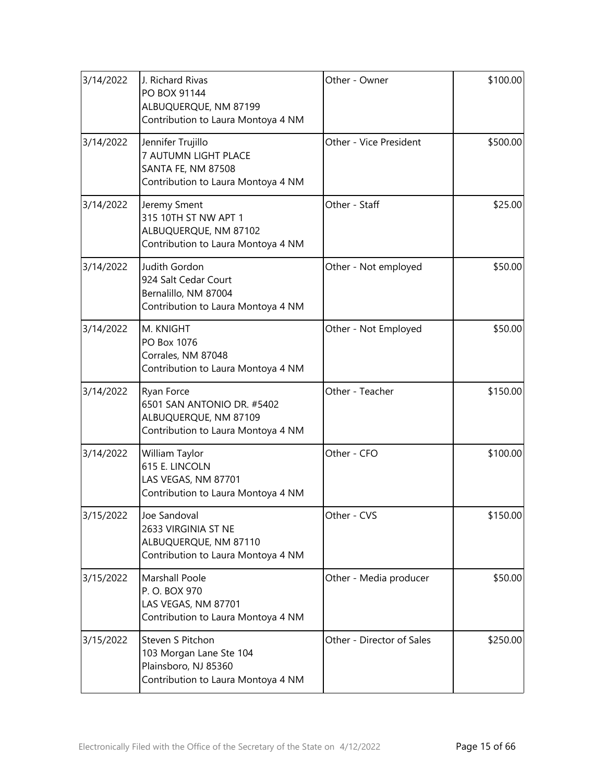| 3/14/2022 | J. Richard Rivas<br>PO BOX 91144<br>ALBUQUERQUE, NM 87199<br>Contribution to Laura Montoya 4 NM           | Other - Owner             | \$100.00 |
|-----------|-----------------------------------------------------------------------------------------------------------|---------------------------|----------|
| 3/14/2022 | Jennifer Trujillo<br>7 AUTUMN LIGHT PLACE<br>SANTA FE, NM 87508<br>Contribution to Laura Montoya 4 NM     | Other - Vice President    | \$500.00 |
| 3/14/2022 | Jeremy Sment<br>315 10TH ST NW APT 1<br>ALBUQUERQUE, NM 87102<br>Contribution to Laura Montoya 4 NM       | Other - Staff             | \$25.00  |
| 3/14/2022 | Judith Gordon<br>924 Salt Cedar Court<br>Bernalillo, NM 87004<br>Contribution to Laura Montoya 4 NM       | Other - Not employed      | \$50.00  |
| 3/14/2022 | M. KNIGHT<br>PO Box 1076<br>Corrales, NM 87048<br>Contribution to Laura Montoya 4 NM                      | Other - Not Employed      | \$50.00  |
| 3/14/2022 | Ryan Force<br>6501 SAN ANTONIO DR. #5402<br>ALBUQUERQUE, NM 87109<br>Contribution to Laura Montoya 4 NM   | Other - Teacher           | \$150.00 |
| 3/14/2022 | William Taylor<br>615 E. LINCOLN<br>LAS VEGAS, NM 87701<br>Contribution to Laura Montoya 4 NM             | Other - CFO               | \$100.00 |
| 3/15/2022 | Joe Sandoval<br>2633 VIRGINIA ST NE<br>ALBUQUERQUE, NM 87110<br>Contribution to Laura Montoya 4 NM        | Other - CVS               | \$150.00 |
| 3/15/2022 | <b>Marshall Poole</b><br>P.O. BOX 970<br>LAS VEGAS, NM 87701<br>Contribution to Laura Montoya 4 NM        | Other - Media producer    | \$50.00  |
| 3/15/2022 | Steven S Pitchon<br>103 Morgan Lane Ste 104<br>Plainsboro, NJ 85360<br>Contribution to Laura Montoya 4 NM | Other - Director of Sales | \$250.00 |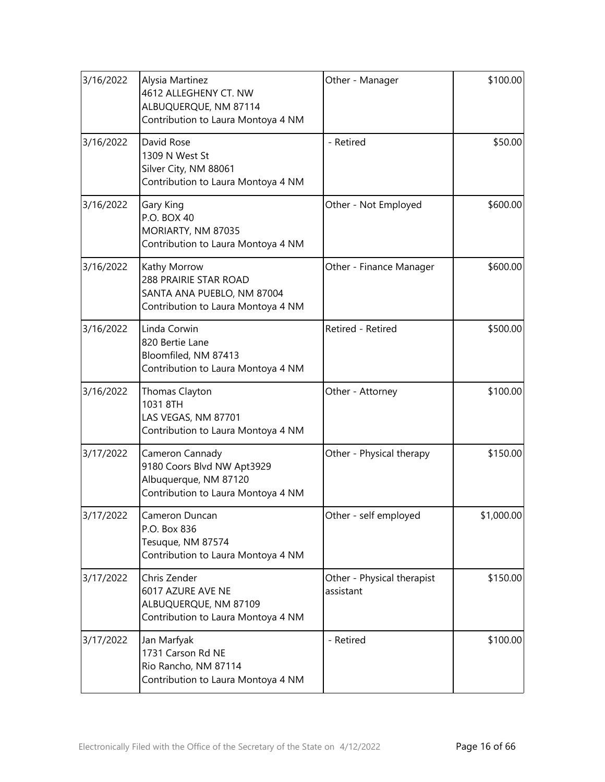| 3/16/2022 | Alysia Martinez<br>4612 ALLEGHENY CT. NW<br>ALBUQUERQUE, NM 87114<br>Contribution to Laura Montoya 4 NM      | Other - Manager                         | \$100.00   |
|-----------|--------------------------------------------------------------------------------------------------------------|-----------------------------------------|------------|
| 3/16/2022 | David Rose<br>1309 N West St<br>Silver City, NM 88061<br>Contribution to Laura Montoya 4 NM                  | - Retired                               | \$50.00    |
| 3/16/2022 | Gary King<br>P.O. BOX 40<br>MORIARTY, NM 87035<br>Contribution to Laura Montoya 4 NM                         | Other - Not Employed                    | \$600.00   |
| 3/16/2022 | Kathy Morrow<br>288 PRAIRIE STAR ROAD<br>SANTA ANA PUEBLO, NM 87004<br>Contribution to Laura Montoya 4 NM    | Other - Finance Manager                 | \$600.00   |
| 3/16/2022 | Linda Corwin<br>820 Bertie Lane<br>Bloomfiled, NM 87413<br>Contribution to Laura Montoya 4 NM                | Retired - Retired                       | \$500.00   |
| 3/16/2022 | Thomas Clayton<br>1031 8TH<br>LAS VEGAS, NM 87701<br>Contribution to Laura Montoya 4 NM                      | Other - Attorney                        | \$100.00   |
| 3/17/2022 | Cameron Cannady<br>9180 Coors Blvd NW Apt3929<br>Albuquerque, NM 87120<br>Contribution to Laura Montoya 4 NM | Other - Physical therapy                | \$150.00   |
| 3/17/2022 | Cameron Duncan<br>P.O. Box 836<br>Tesuque, NM 87574<br>Contribution to Laura Montoya 4 NM                    | Other - self employed                   | \$1,000.00 |
| 3/17/2022 | Chris Zender<br>6017 AZURE AVE NE<br>ALBUQUERQUE, NM 87109<br>Contribution to Laura Montoya 4 NM             | Other - Physical therapist<br>assistant | \$150.00   |
| 3/17/2022 | Jan Marfyak<br>1731 Carson Rd NE<br>Rio Rancho, NM 87114<br>Contribution to Laura Montoya 4 NM               | - Retired                               | \$100.00   |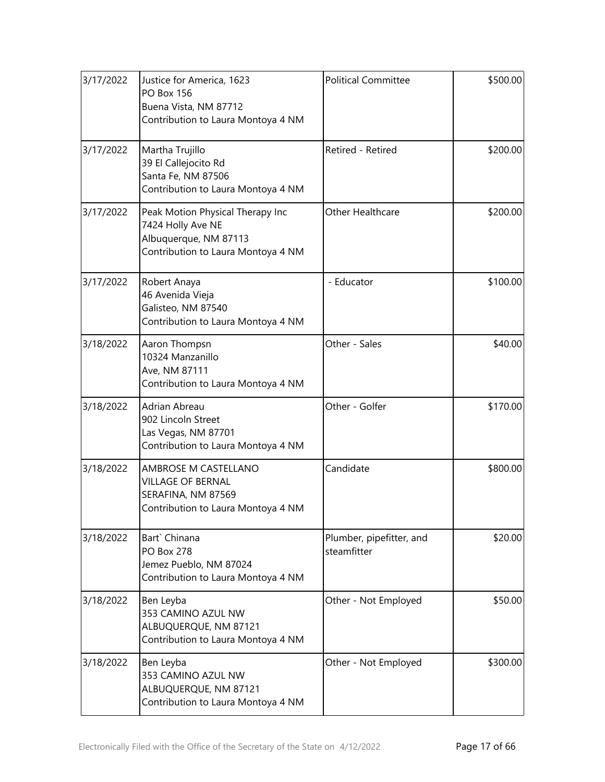| 3/17/2022 | Justice for America, 1623<br><b>PO Box 156</b><br>Buena Vista, NM 87712<br>Contribution to Laura Montoya 4 NM        | <b>Political Committee</b>              | \$500.00 |
|-----------|----------------------------------------------------------------------------------------------------------------------|-----------------------------------------|----------|
| 3/17/2022 | Martha Trujillo<br>39 El Callejocito Rd<br>Santa Fe, NM 87506<br>Contribution to Laura Montoya 4 NM                  | Retired - Retired                       | \$200.00 |
| 3/17/2022 | Peak Motion Physical Therapy Inc<br>7424 Holly Ave NE<br>Albuquerque, NM 87113<br>Contribution to Laura Montoya 4 NM | Other Healthcare                        | \$200.00 |
| 3/17/2022 | Robert Anaya<br>46 Avenida Vieja<br>Galisteo, NM 87540<br>Contribution to Laura Montoya 4 NM                         | - Educator                              | \$100.00 |
| 3/18/2022 | Aaron Thompsn<br>10324 Manzanillo<br>Ave, NM 87111<br>Contribution to Laura Montoya 4 NM                             | Other - Sales                           | \$40.00  |
| 3/18/2022 | Adrian Abreau<br>902 Lincoln Street<br>Las Vegas, NM 87701<br>Contribution to Laura Montoya 4 NM                     | Other - Golfer                          | \$170.00 |
| 3/18/2022 | AMBROSE M CASTELLANO<br><b>VILLAGE OF BERNAL</b><br>SERAFINA, NM 87569<br>Contribution to Laura Montoya 4 NM         | Candidate                               | \$800.00 |
| 3/18/2022 | Bart` Chinana<br><b>PO Box 278</b><br>Jemez Pueblo, NM 87024<br>Contribution to Laura Montoya 4 NM                   | Plumber, pipefitter, and<br>steamfitter | \$20.00  |
| 3/18/2022 | Ben Leyba<br>353 CAMINO AZUL NW<br>ALBUQUERQUE, NM 87121<br>Contribution to Laura Montoya 4 NM                       | Other - Not Employed                    | \$50.00  |
| 3/18/2022 | Ben Leyba<br>353 CAMINO AZUL NW<br>ALBUQUERQUE, NM 87121<br>Contribution to Laura Montoya 4 NM                       | Other - Not Employed                    | \$300.00 |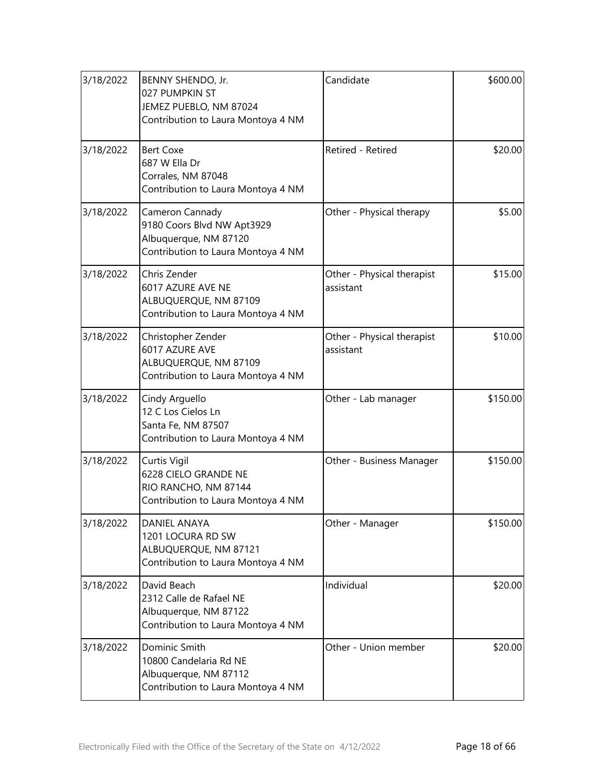| 3/18/2022 | BENNY SHENDO, Jr.<br>027 PUMPKIN ST<br>JEMEZ PUEBLO, NM 87024<br>Contribution to Laura Montoya 4 NM          | Candidate                               | \$600.00 |
|-----------|--------------------------------------------------------------------------------------------------------------|-----------------------------------------|----------|
| 3/18/2022 | <b>Bert Coxe</b><br>687 W Ella Dr<br>Corrales, NM 87048<br>Contribution to Laura Montoya 4 NM                | Retired - Retired                       | \$20.00  |
| 3/18/2022 | Cameron Cannady<br>9180 Coors Blvd NW Apt3929<br>Albuquerque, NM 87120<br>Contribution to Laura Montoya 4 NM | Other - Physical therapy                | \$5.00   |
| 3/18/2022 | Chris Zender<br>6017 AZURE AVE NE<br>ALBUQUERQUE, NM 87109<br>Contribution to Laura Montoya 4 NM             | Other - Physical therapist<br>assistant | \$15.00  |
| 3/18/2022 | Christopher Zender<br>6017 AZURE AVE<br>ALBUQUERQUE, NM 87109<br>Contribution to Laura Montoya 4 NM          | Other - Physical therapist<br>assistant | \$10.00  |
| 3/18/2022 | Cindy Arguello<br>12 C Los Cielos Ln<br>Santa Fe, NM 87507<br>Contribution to Laura Montoya 4 NM             | Other - Lab manager                     | \$150.00 |
| 3/18/2022 | Curtis Vigil<br>6228 CIELO GRANDE NE<br>RIO RANCHO, NM 87144<br>Contribution to Laura Montoya 4 NM           | Other - Business Manager                | \$150.00 |
| 3/18/2022 | <b>DANIEL ANAYA</b><br>1201 LOCURA RD SW<br>ALBUQUERQUE, NM 87121<br>Contribution to Laura Montoya 4 NM      | Other - Manager                         | \$150.00 |
| 3/18/2022 | David Beach<br>2312 Calle de Rafael NE<br>Albuquerque, NM 87122<br>Contribution to Laura Montoya 4 NM        | Individual                              | \$20.00  |
| 3/18/2022 | Dominic Smith<br>10800 Candelaria Rd NE<br>Albuquerque, NM 87112<br>Contribution to Laura Montoya 4 NM       | Other - Union member                    | \$20.00  |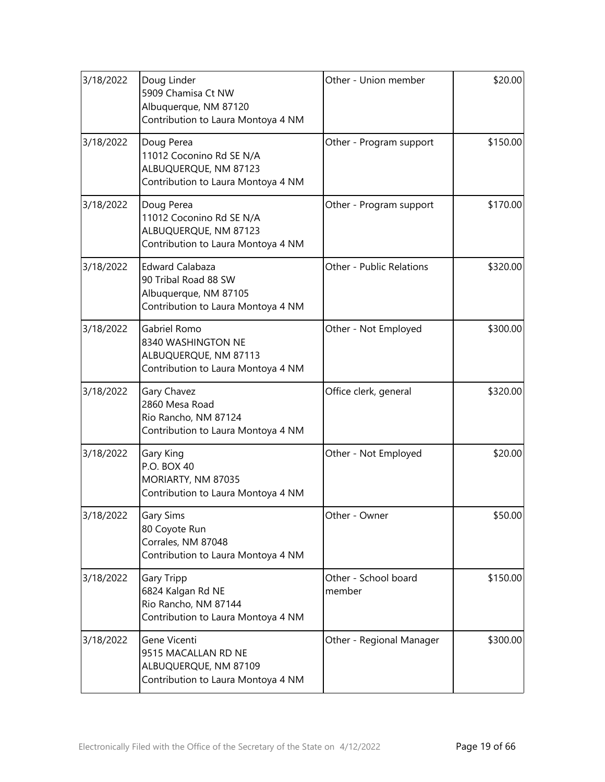| 3/18/2022 | Doug Linder<br>5909 Chamisa Ct NW<br>Albuquerque, NM 87120<br>Contribution to Laura Montoya 4 NM              | Other - Union member           | \$20.00  |
|-----------|---------------------------------------------------------------------------------------------------------------|--------------------------------|----------|
| 3/18/2022 | Doug Perea<br>11012 Coconino Rd SE N/A<br>ALBUQUERQUE, NM 87123<br>Contribution to Laura Montoya 4 NM         | Other - Program support        | \$150.00 |
| 3/18/2022 | Doug Perea<br>11012 Coconino Rd SE N/A<br>ALBUQUERQUE, NM 87123<br>Contribution to Laura Montoya 4 NM         | Other - Program support        | \$170.00 |
| 3/18/2022 | <b>Edward Calabaza</b><br>90 Tribal Road 88 SW<br>Albuquerque, NM 87105<br>Contribution to Laura Montoya 4 NM | Other - Public Relations       | \$320.00 |
| 3/18/2022 | Gabriel Romo<br>8340 WASHINGTON NE<br>ALBUQUERQUE, NM 87113<br>Contribution to Laura Montoya 4 NM             | Other - Not Employed           | \$300.00 |
| 3/18/2022 | Gary Chavez<br>2860 Mesa Road<br>Rio Rancho, NM 87124<br>Contribution to Laura Montoya 4 NM                   | Office clerk, general          | \$320.00 |
| 3/18/2022 | Gary King<br>P.O. BOX 40<br>MORIARTY, NM 87035<br>Contribution to Laura Montoya 4 NM                          | Other - Not Employed           | \$20.00  |
| 3/18/2022 | Gary Sims<br>80 Coyote Run<br>Corrales, NM 87048<br>Contribution to Laura Montoya 4 NM                        | Other - Owner                  | \$50.00  |
| 3/18/2022 | <b>Gary Tripp</b><br>6824 Kalgan Rd NE<br>Rio Rancho, NM 87144<br>Contribution to Laura Montoya 4 NM          | Other - School board<br>member | \$150.00 |
| 3/18/2022 | Gene Vicenti<br>9515 MACALLAN RD NE<br>ALBUQUERQUE, NM 87109<br>Contribution to Laura Montoya 4 NM            | Other - Regional Manager       | \$300.00 |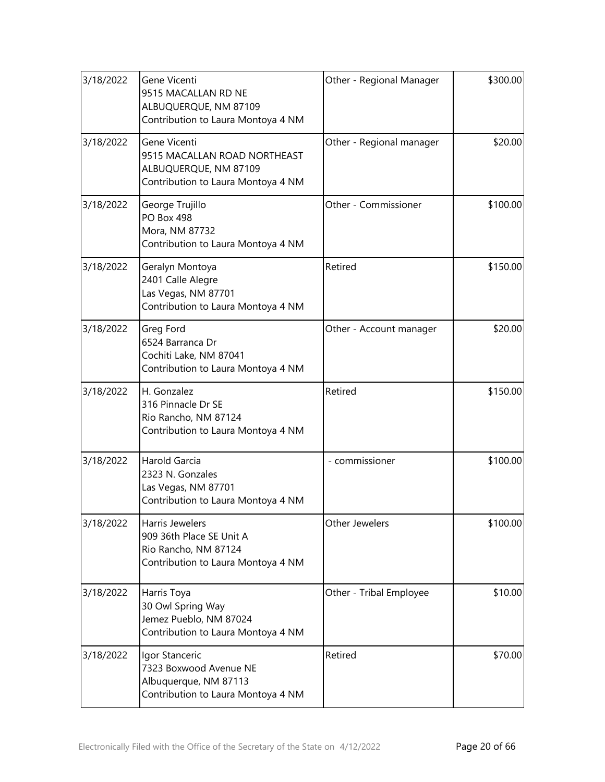| 3/18/2022 | Gene Vicenti<br>9515 MACALLAN RD NE<br>ALBUQUERQUE, NM 87109<br>Contribution to Laura Montoya 4 NM          | Other - Regional Manager | \$300.00 |
|-----------|-------------------------------------------------------------------------------------------------------------|--------------------------|----------|
| 3/18/2022 | Gene Vicenti<br>9515 MACALLAN ROAD NORTHEAST<br>ALBUQUERQUE, NM 87109<br>Contribution to Laura Montoya 4 NM | Other - Regional manager | \$20.00  |
| 3/18/2022 | George Trujillo<br>PO Box 498<br>Mora, NM 87732<br>Contribution to Laura Montoya 4 NM                       | Other - Commissioner     | \$100.00 |
| 3/18/2022 | Geralyn Montoya<br>2401 Calle Alegre<br>Las Vegas, NM 87701<br>Contribution to Laura Montoya 4 NM           | Retired                  | \$150.00 |
| 3/18/2022 | Greg Ford<br>6524 Barranca Dr<br>Cochiti Lake, NM 87041<br>Contribution to Laura Montoya 4 NM               | Other - Account manager  | \$20.00  |
| 3/18/2022 | H. Gonzalez<br>316 Pinnacle Dr SE<br>Rio Rancho, NM 87124<br>Contribution to Laura Montoya 4 NM             | Retired                  | \$150.00 |
| 3/18/2022 | Harold Garcia<br>2323 N. Gonzales<br>Las Vegas, NM 87701<br>Contribution to Laura Montoya 4 NM              | - commissioner           | \$100.00 |
| 3/18/2022 | Harris Jewelers<br>909 36th Place SE Unit A<br>Rio Rancho, NM 87124<br>Contribution to Laura Montoya 4 NM   | Other Jewelers           | \$100.00 |
| 3/18/2022 | Harris Toya<br>30 Owl Spring Way<br>Jemez Pueblo, NM 87024<br>Contribution to Laura Montoya 4 NM            | Other - Tribal Employee  | \$10.00  |
| 3/18/2022 | Igor Stanceric<br>7323 Boxwood Avenue NE<br>Albuquerque, NM 87113<br>Contribution to Laura Montoya 4 NM     | Retired                  | \$70.00  |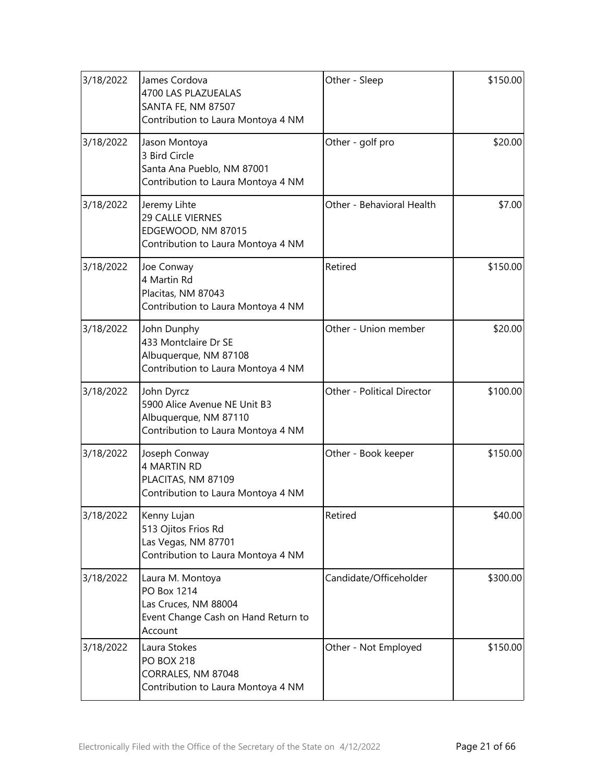| 3/18/2022 | James Cordova<br>4700 LAS PLAZUEALAS<br>SANTA FE, NM 87507<br>Contribution to Laura Montoya 4 NM          | Other - Sleep              | \$150.00 |
|-----------|-----------------------------------------------------------------------------------------------------------|----------------------------|----------|
| 3/18/2022 | Jason Montoya<br>3 Bird Circle<br>Santa Ana Pueblo, NM 87001<br>Contribution to Laura Montoya 4 NM        | Other - golf pro           | \$20.00  |
| 3/18/2022 | Jeremy Lihte<br>29 CALLE VIERNES<br>EDGEWOOD, NM 87015<br>Contribution to Laura Montoya 4 NM              | Other - Behavioral Health  | \$7.00   |
| 3/18/2022 | Joe Conway<br>4 Martin Rd<br>Placitas, NM 87043<br>Contribution to Laura Montoya 4 NM                     | Retired                    | \$150.00 |
| 3/18/2022 | John Dunphy<br>433 Montclaire Dr SE<br>Albuquerque, NM 87108<br>Contribution to Laura Montoya 4 NM        | Other - Union member       | \$20.00  |
| 3/18/2022 | John Dyrcz<br>5900 Alice Avenue NE Unit B3<br>Albuquerque, NM 87110<br>Contribution to Laura Montoya 4 NM | Other - Political Director | \$100.00 |
| 3/18/2022 | Joseph Conway<br>4 MARTIN RD<br>PLACITAS, NM 87109<br>Contribution to Laura Montoya 4 NM                  | Other - Book keeper        | \$150.00 |
| 3/18/2022 | Kenny Lujan<br>513 Ojitos Frios Rd<br>Las Vegas, NM 87701<br>Contribution to Laura Montoya 4 NM           | Retired                    | \$40.00  |
| 3/18/2022 | Laura M. Montoya<br>PO Box 1214<br>Las Cruces, NM 88004<br>Event Change Cash on Hand Return to<br>Account | Candidate/Officeholder     | \$300.00 |
| 3/18/2022 | Laura Stokes<br><b>PO BOX 218</b><br>CORRALES, NM 87048<br>Contribution to Laura Montoya 4 NM             | Other - Not Employed       | \$150.00 |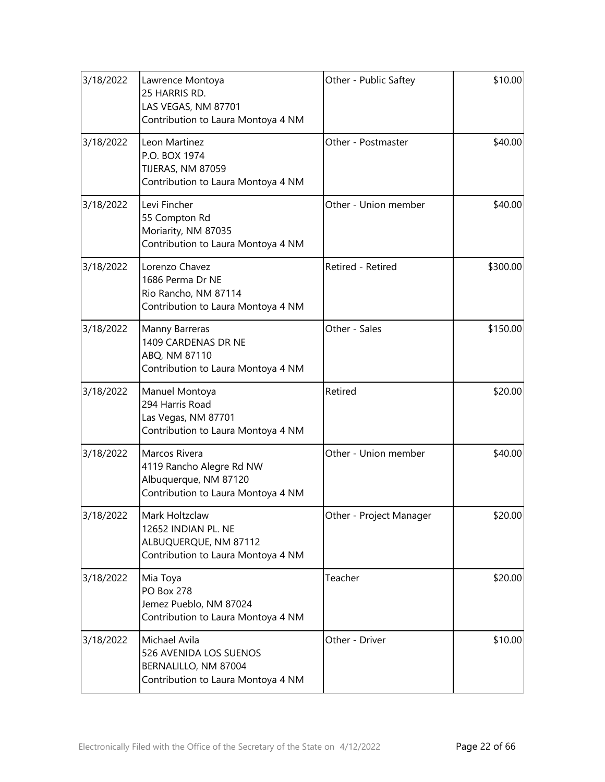| 3/18/2022 | Lawrence Montoya<br>25 HARRIS RD.<br>LAS VEGAS, NM 87701<br>Contribution to Laura Montoya 4 NM           | Other - Public Saftey   | \$10.00  |
|-----------|----------------------------------------------------------------------------------------------------------|-------------------------|----------|
| 3/18/2022 | Leon Martinez<br>P.O. BOX 1974<br>TIJERAS, NM 87059<br>Contribution to Laura Montoya 4 NM                | Other - Postmaster      | \$40.00  |
| 3/18/2022 | Levi Fincher<br>55 Compton Rd<br>Moriarity, NM 87035<br>Contribution to Laura Montoya 4 NM               | Other - Union member    | \$40.00  |
| 3/18/2022 | Lorenzo Chavez<br>1686 Perma Dr NE<br>Rio Rancho, NM 87114<br>Contribution to Laura Montoya 4 NM         | Retired - Retired       | \$300.00 |
| 3/18/2022 | Manny Barreras<br>1409 CARDENAS DR NE<br>ABQ, NM 87110<br>Contribution to Laura Montoya 4 NM             | Other - Sales           | \$150.00 |
| 3/18/2022 | Manuel Montoya<br>294 Harris Road<br>Las Vegas, NM 87701<br>Contribution to Laura Montoya 4 NM           | Retired                 | \$20.00  |
| 3/18/2022 | Marcos Rivera<br>4119 Rancho Alegre Rd NW<br>Albuquerque, NM 87120<br>Contribution to Laura Montoya 4 NM | Other - Union member    | \$40.00  |
| 3/18/2022 | Mark Holtzclaw<br>12652 INDIAN PL. NE<br>ALBUQUERQUE, NM 87112<br>Contribution to Laura Montoya 4 NM     | Other - Project Manager | \$20.00  |
| 3/18/2022 | Mia Toya<br><b>PO Box 278</b><br>Jemez Pueblo, NM 87024<br>Contribution to Laura Montoya 4 NM            | Teacher                 | \$20.00  |
| 3/18/2022 | Michael Avila<br>526 AVENIDA LOS SUENOS<br>BERNALILLO, NM 87004<br>Contribution to Laura Montoya 4 NM    | Other - Driver          | \$10.00  |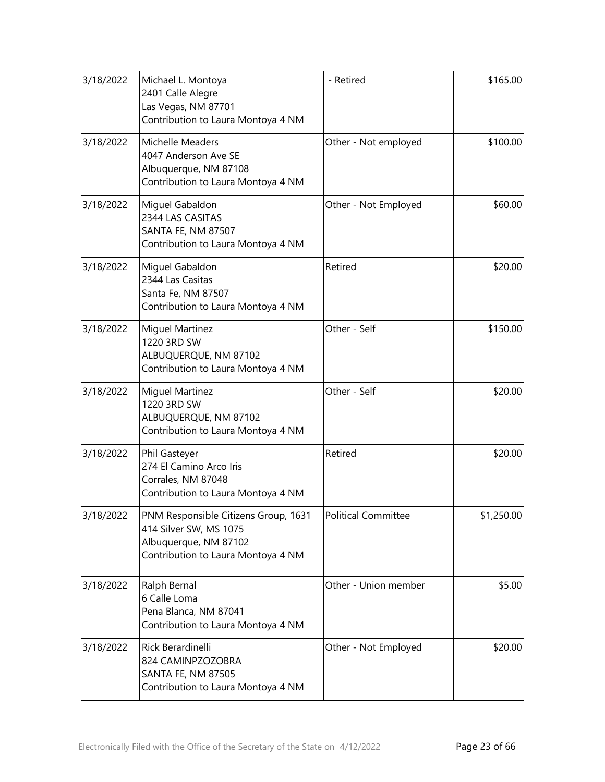| 3/18/2022 | Michael L. Montoya<br>2401 Calle Alegre<br>Las Vegas, NM 87701<br>Contribution to Laura Montoya 4 NM                          | - Retired            | \$165.00   |
|-----------|-------------------------------------------------------------------------------------------------------------------------------|----------------------|------------|
| 3/18/2022 | Michelle Meaders<br>4047 Anderson Ave SE<br>Albuquerque, NM 87108<br>Contribution to Laura Montoya 4 NM                       | Other - Not employed | \$100.00   |
| 3/18/2022 | Miguel Gabaldon<br>2344 LAS CASITAS<br>SANTA FE, NM 87507<br>Contribution to Laura Montoya 4 NM                               | Other - Not Employed | \$60.00    |
| 3/18/2022 | Miguel Gabaldon<br>2344 Las Casitas<br>Santa Fe, NM 87507<br>Contribution to Laura Montoya 4 NM                               | Retired              | \$20.00    |
| 3/18/2022 | <b>Miguel Martinez</b><br>1220 3RD SW<br>ALBUQUERQUE, NM 87102<br>Contribution to Laura Montoya 4 NM                          | Other - Self         | \$150.00   |
| 3/18/2022 | <b>Miguel Martinez</b><br>1220 3RD SW<br>ALBUQUERQUE, NM 87102<br>Contribution to Laura Montoya 4 NM                          | Other - Self         | \$20.00    |
| 3/18/2022 | Phil Gasteyer<br>274 El Camino Arco Iris<br>Corrales, NM 87048<br>Contribution to Laura Montoya 4 NM                          | Retired              | \$20.00    |
| 3/18/2022 | PNM Responsible Citizens Group, 1631<br>414 Silver SW, MS 1075<br>Albuquerque, NM 87102<br>Contribution to Laura Montoya 4 NM | Political Committee  | \$1,250.00 |
| 3/18/2022 | Ralph Bernal<br>6 Calle Loma<br>Pena Blanca, NM 87041<br>Contribution to Laura Montoya 4 NM                                   | Other - Union member | \$5.00     |
| 3/18/2022 | Rick Berardinelli<br>824 CAMINPZOZOBRA<br><b>SANTA FE, NM 87505</b><br>Contribution to Laura Montoya 4 NM                     | Other - Not Employed | \$20.00    |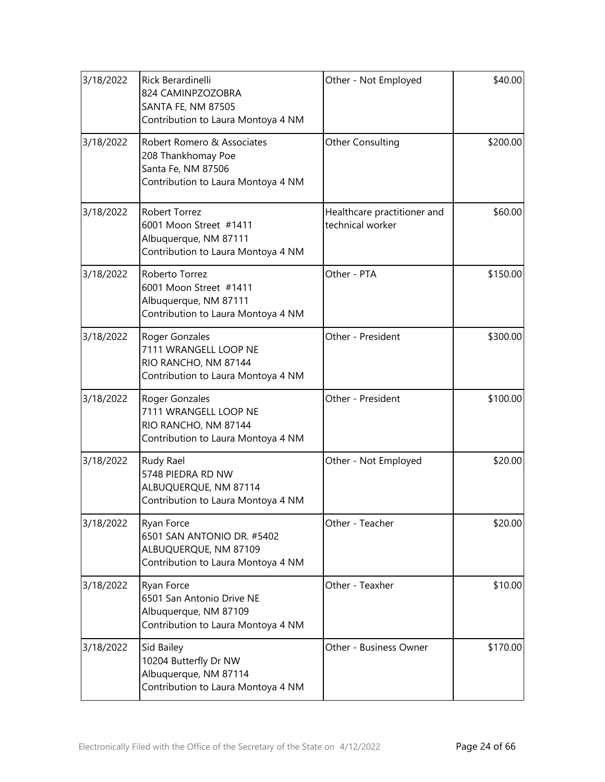| 3/18/2022 | Rick Berardinelli<br>824 CAMINPZOZOBRA<br><b>SANTA FE, NM 87505</b><br>Contribution to Laura Montoya 4 NM     | Other - Not Employed                            | \$40.00  |
|-----------|---------------------------------------------------------------------------------------------------------------|-------------------------------------------------|----------|
| 3/18/2022 | Robert Romero & Associates<br>208 Thankhomay Poe<br>Santa Fe, NM 87506<br>Contribution to Laura Montoya 4 NM  | <b>Other Consulting</b>                         | \$200.00 |
| 3/18/2022 | <b>Robert Torrez</b><br>6001 Moon Street #1411<br>Albuquerque, NM 87111<br>Contribution to Laura Montoya 4 NM | Healthcare practitioner and<br>technical worker | \$60.00  |
| 3/18/2022 | Roberto Torrez<br>6001 Moon Street #1411<br>Albuquerque, NM 87111<br>Contribution to Laura Montoya 4 NM       | Other - PTA                                     | \$150.00 |
| 3/18/2022 | Roger Gonzales<br>7111 WRANGELL LOOP NE<br>RIO RANCHO, NM 87144<br>Contribution to Laura Montoya 4 NM         | Other - President                               | \$300.00 |
| 3/18/2022 | Roger Gonzales<br>7111 WRANGELL LOOP NE<br>RIO RANCHO, NM 87144<br>Contribution to Laura Montoya 4 NM         | Other - President                               | \$100.00 |
| 3/18/2022 | Rudy Rael<br>5748 PIEDRA RD NW<br>ALBUQUERQUE, NM 87114<br>Contribution to Laura Montoya 4 NM                 | Other - Not Employed                            | \$20.00  |
| 3/18/2022 | Ryan Force<br>6501 SAN ANTONIO DR. #5402<br>ALBUQUERQUE, NM 87109<br>Contribution to Laura Montoya 4 NM       | Other - Teacher                                 | \$20.00  |
| 3/18/2022 | Ryan Force<br>6501 San Antonio Drive NE<br>Albuquerque, NM 87109<br>Contribution to Laura Montoya 4 NM        | Other - Teaxher                                 | \$10.00  |
| 3/18/2022 | Sid Bailey<br>10204 Butterfly Dr NW<br>Albuquerque, NM 87114<br>Contribution to Laura Montoya 4 NM            | Other - Business Owner                          | \$170.00 |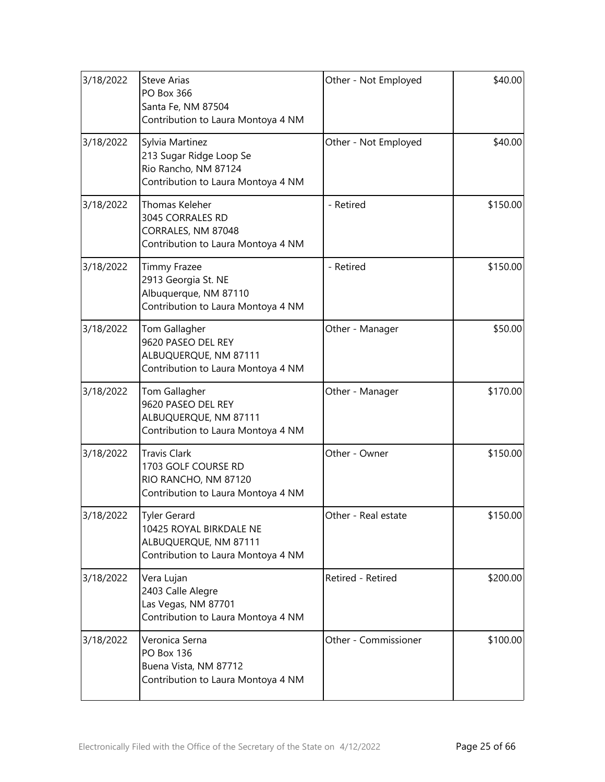| 3/18/2022 | <b>Steve Arias</b><br>PO Box 366<br>Santa Fe, NM 87504<br>Contribution to Laura Montoya 4 NM                  | Other - Not Employed | \$40.00  |
|-----------|---------------------------------------------------------------------------------------------------------------|----------------------|----------|
| 3/18/2022 | Sylvia Martinez<br>213 Sugar Ridge Loop Se<br>Rio Rancho, NM 87124<br>Contribution to Laura Montoya 4 NM      | Other - Not Employed | \$40.00  |
| 3/18/2022 | <b>Thomas Keleher</b><br>3045 CORRALES RD<br>CORRALES, NM 87048<br>Contribution to Laura Montoya 4 NM         | - Retired            | \$150.00 |
| 3/18/2022 | <b>Timmy Frazee</b><br>2913 Georgia St. NE<br>Albuquerque, NM 87110<br>Contribution to Laura Montoya 4 NM     | - Retired            | \$150.00 |
| 3/18/2022 | Tom Gallagher<br>9620 PASEO DEL REY<br>ALBUQUERQUE, NM 87111<br>Contribution to Laura Montoya 4 NM            | Other - Manager      | \$50.00  |
| 3/18/2022 | Tom Gallagher<br>9620 PASEO DEL REY<br>ALBUQUERQUE, NM 87111<br>Contribution to Laura Montoya 4 NM            | Other - Manager      | \$170.00 |
| 3/18/2022 | <b>Travis Clark</b><br>1703 GOLF COURSE RD<br>RIO RANCHO, NM 87120<br>Contribution to Laura Montoya 4 NM      | Other - Owner        | \$150.00 |
| 3/18/2022 | <b>Tyler Gerard</b><br>10425 ROYAL BIRKDALE NE<br>ALBUQUERQUE, NM 87111<br>Contribution to Laura Montoya 4 NM | Other - Real estate  | \$150.00 |
| 3/18/2022 | Vera Lujan<br>2403 Calle Alegre<br>Las Vegas, NM 87701<br>Contribution to Laura Montoya 4 NM                  | Retired - Retired    | \$200.00 |
| 3/18/2022 | Veronica Serna<br><b>PO Box 136</b><br>Buena Vista, NM 87712<br>Contribution to Laura Montoya 4 NM            | Other - Commissioner | \$100.00 |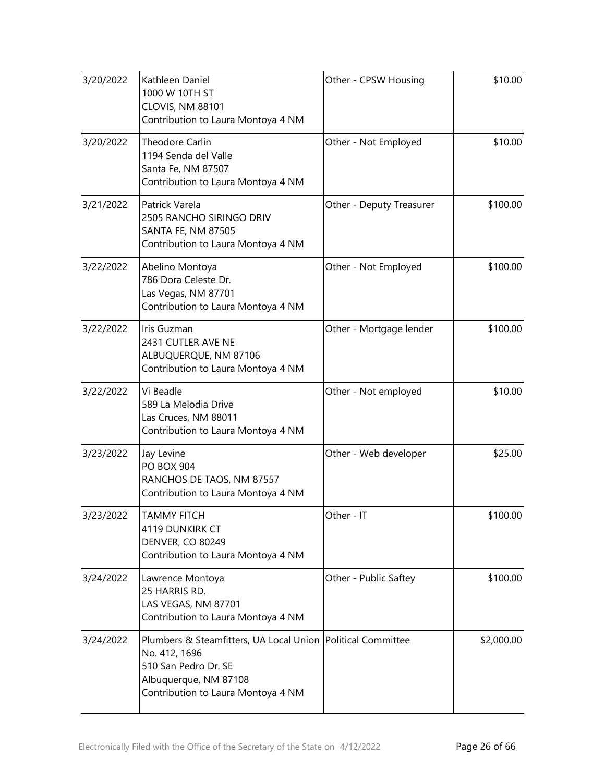| 3/20/2022 | Kathleen Daniel<br>1000 W 10TH ST<br>CLOVIS, NM 88101<br>Contribution to Laura Montoya 4 NM                                                                         | Other - CPSW Housing     | \$10.00    |
|-----------|---------------------------------------------------------------------------------------------------------------------------------------------------------------------|--------------------------|------------|
| 3/20/2022 | Theodore Carlin<br>1194 Senda del Valle<br>Santa Fe, NM 87507<br>Contribution to Laura Montoya 4 NM                                                                 | Other - Not Employed     | \$10.00    |
| 3/21/2022 | Patrick Varela<br>2505 RANCHO SIRINGO DRIV<br>SANTA FE, NM 87505<br>Contribution to Laura Montoya 4 NM                                                              | Other - Deputy Treasurer | \$100.00   |
| 3/22/2022 | Abelino Montoya<br>786 Dora Celeste Dr.<br>Las Vegas, NM 87701<br>Contribution to Laura Montoya 4 NM                                                                | Other - Not Employed     | \$100.00   |
| 3/22/2022 | Iris Guzman<br>2431 CUTLER AVE NE<br>ALBUQUERQUE, NM 87106<br>Contribution to Laura Montoya 4 NM                                                                    | Other - Mortgage lender  | \$100.00   |
| 3/22/2022 | Vi Beadle<br>589 La Melodia Drive<br>Las Cruces, NM 88011<br>Contribution to Laura Montoya 4 NM                                                                     | Other - Not employed     | \$10.00    |
| 3/23/2022 | Jay Levine<br><b>PO BOX 904</b><br>RANCHOS DE TAOS, NM 87557<br>Contribution to Laura Montoya 4 NM                                                                  | Other - Web developer    | \$25.00    |
| 3/23/2022 | <b>TAMMY FITCH</b><br>4119 DUNKIRK CT<br><b>DENVER, CO 80249</b><br>Contribution to Laura Montoya 4 NM                                                              | Other - IT               | \$100.00   |
| 3/24/2022 | Lawrence Montoya<br>25 HARRIS RD.<br>LAS VEGAS, NM 87701<br>Contribution to Laura Montoya 4 NM                                                                      | Other - Public Saftey    | \$100.00   |
| 3/24/2022 | Plumbers & Steamfitters, UA Local Union Political Committee<br>No. 412, 1696<br>510 San Pedro Dr. SE<br>Albuquerque, NM 87108<br>Contribution to Laura Montoya 4 NM |                          | \$2,000.00 |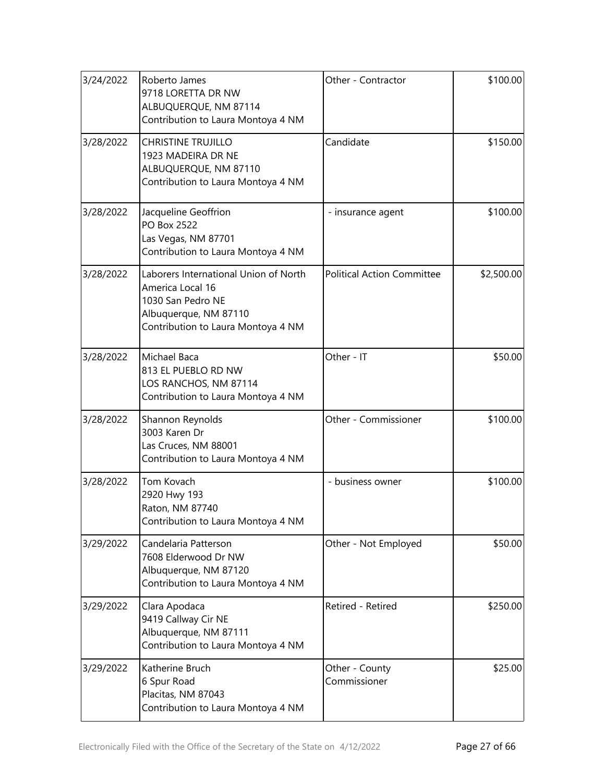| 3/24/2022 | Roberto James<br>9718 LORETTA DR NW<br>ALBUQUERQUE, NM 87114<br>Contribution to Laura Montoya 4 NM                                            | Other - Contractor                | \$100.00   |
|-----------|-----------------------------------------------------------------------------------------------------------------------------------------------|-----------------------------------|------------|
| 3/28/2022 | <b>CHRISTINE TRUJILLO</b><br>1923 MADEIRA DR NE<br>ALBUQUERQUE, NM 87110<br>Contribution to Laura Montoya 4 NM                                | Candidate                         | \$150.00   |
| 3/28/2022 | Jacqueline Geoffrion<br>PO Box 2522<br>Las Vegas, NM 87701<br>Contribution to Laura Montoya 4 NM                                              | - insurance agent                 | \$100.00   |
| 3/28/2022 | Laborers International Union of North<br>America Local 16<br>1030 San Pedro NE<br>Albuquerque, NM 87110<br>Contribution to Laura Montoya 4 NM | <b>Political Action Committee</b> | \$2,500.00 |
| 3/28/2022 | Michael Baca<br>813 EL PUEBLO RD NW<br>LOS RANCHOS, NM 87114<br>Contribution to Laura Montoya 4 NM                                            | Other - IT                        | \$50.00    |
| 3/28/2022 | Shannon Reynolds<br>3003 Karen Dr<br>Las Cruces, NM 88001<br>Contribution to Laura Montoya 4 NM                                               | Other - Commissioner              | \$100.00   |
| 3/28/2022 | Tom Kovach<br>2920 Hwy 193<br>Raton, NM 87740<br>Contribution to Laura Montoya 4 NM                                                           | - business owner                  | \$100.00   |
| 3/29/2022 | Candelaria Patterson<br>7608 Elderwood Dr NW<br>Albuquerque, NM 87120<br>Contribution to Laura Montoya 4 NM                                   | Other - Not Employed              | \$50.00    |
| 3/29/2022 | Clara Apodaca<br>9419 Callway Cir NE<br>Albuquerque, NM 87111<br>Contribution to Laura Montoya 4 NM                                           | Retired - Retired                 | \$250.00   |
| 3/29/2022 | Katherine Bruch<br>6 Spur Road<br>Placitas, NM 87043<br>Contribution to Laura Montoya 4 NM                                                    | Other - County<br>Commissioner    | \$25.00    |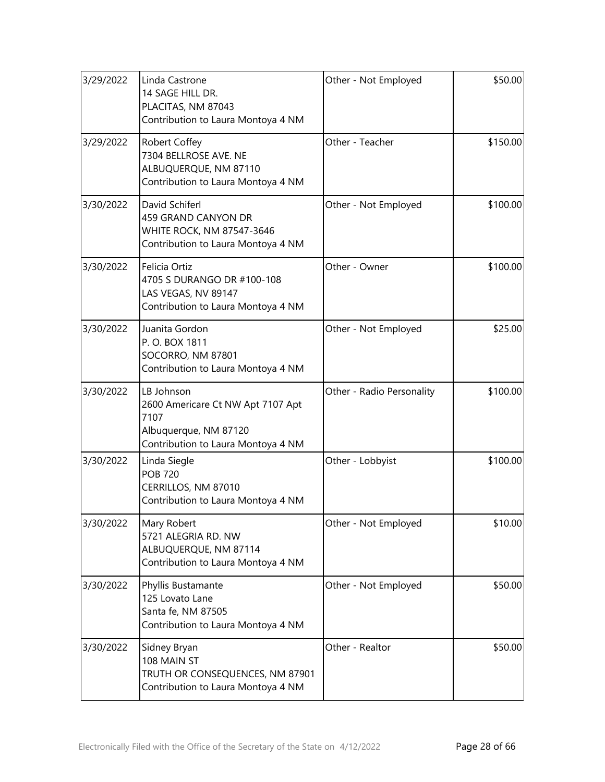| 3/29/2022 | Linda Castrone<br>14 SAGE HILL DR.<br>PLACITAS, NM 87043<br>Contribution to Laura Montoya 4 NM                         | Other - Not Employed      | \$50.00  |
|-----------|------------------------------------------------------------------------------------------------------------------------|---------------------------|----------|
| 3/29/2022 | Robert Coffey<br>7304 BELLROSE AVE. NE<br>ALBUQUERQUE, NM 87110<br>Contribution to Laura Montoya 4 NM                  | Other - Teacher           | \$150.00 |
| 3/30/2022 | David Schiferl<br>459 GRAND CANYON DR<br>WHITE ROCK, NM 87547-3646<br>Contribution to Laura Montoya 4 NM               | Other - Not Employed      | \$100.00 |
| 3/30/2022 | Felicia Ortiz<br>4705 S DURANGO DR #100-108<br>LAS VEGAS, NV 89147<br>Contribution to Laura Montoya 4 NM               | Other - Owner             | \$100.00 |
| 3/30/2022 | Juanita Gordon<br>P.O. BOX 1811<br>SOCORRO, NM 87801<br>Contribution to Laura Montoya 4 NM                             | Other - Not Employed      | \$25.00  |
| 3/30/2022 | LB Johnson<br>2600 Americare Ct NW Apt 7107 Apt<br>7107<br>Albuquerque, NM 87120<br>Contribution to Laura Montoya 4 NM | Other - Radio Personality | \$100.00 |
| 3/30/2022 | Linda Siegle<br><b>POB 720</b><br>CERRILLOS, NM 87010<br>Contribution to Laura Montoya 4 NM                            | Other - Lobbyist          | \$100.00 |
| 3/30/2022 | Mary Robert<br>5721 ALEGRIA RD. NW<br>ALBUQUERQUE, NM 87114<br>Contribution to Laura Montoya 4 NM                      | Other - Not Employed      | \$10.00  |
| 3/30/2022 | Phyllis Bustamante<br>125 Lovato Lane<br>Santa fe, NM 87505<br>Contribution to Laura Montoya 4 NM                      | Other - Not Employed      | \$50.00  |
| 3/30/2022 | Sidney Bryan<br>108 MAIN ST<br>TRUTH OR CONSEQUENCES, NM 87901<br>Contribution to Laura Montoya 4 NM                   | Other - Realtor           | \$50.00  |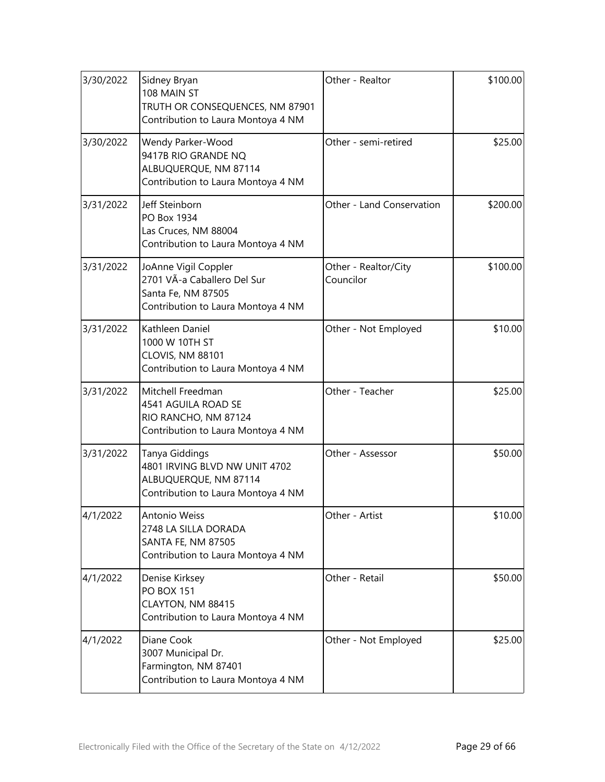| 3/30/2022 | Sidney Bryan<br>108 MAIN ST<br>TRUTH OR CONSEQUENCES, NM 87901<br>Contribution to Laura Montoya 4 NM            | Other - Realtor                   | \$100.00 |
|-----------|-----------------------------------------------------------------------------------------------------------------|-----------------------------------|----------|
| 3/30/2022 | Wendy Parker-Wood<br>9417B RIO GRANDE NQ<br>ALBUQUERQUE, NM 87114<br>Contribution to Laura Montoya 4 NM         | Other - semi-retired              | \$25.00  |
| 3/31/2022 | Jeff Steinborn<br>PO Box 1934<br>Las Cruces, NM 88004<br>Contribution to Laura Montoya 4 NM                     | Other - Land Conservation         | \$200.00 |
| 3/31/2022 | JoAnne Vigil Coppler<br>2701 VÃ-a Caballero Del Sur<br>Santa Fe, NM 87505<br>Contribution to Laura Montoya 4 NM | Other - Realtor/City<br>Councilor | \$100.00 |
| 3/31/2022 | Kathleen Daniel<br>1000 W 10TH ST<br>CLOVIS, NM 88101<br>Contribution to Laura Montoya 4 NM                     | Other - Not Employed              | \$10.00  |
| 3/31/2022 | Mitchell Freedman<br>4541 AGUILA ROAD SE<br>RIO RANCHO, NM 87124<br>Contribution to Laura Montoya 4 NM          | Other - Teacher                   | \$25.00  |
| 3/31/2022 | Tanya Giddings<br>4801 IRVING BLVD NW UNIT 4702<br>ALBUQUERQUE, NM 87114<br>Contribution to Laura Montoya 4 NM  | Other - Assessor                  | \$50.00  |
| 4/1/2022  | Antonio Weiss<br>2748 LA SILLA DORADA<br><b>SANTA FE, NM 87505</b><br>Contribution to Laura Montoya 4 NM        | Other - Artist                    | \$10.00  |
| 4/1/2022  | Denise Kirksey<br><b>PO BOX 151</b><br>CLAYTON, NM 88415<br>Contribution to Laura Montoya 4 NM                  | Other - Retail                    | \$50.00  |
| 4/1/2022  | Diane Cook<br>3007 Municipal Dr.<br>Farmington, NM 87401<br>Contribution to Laura Montoya 4 NM                  | Other - Not Employed              | \$25.00  |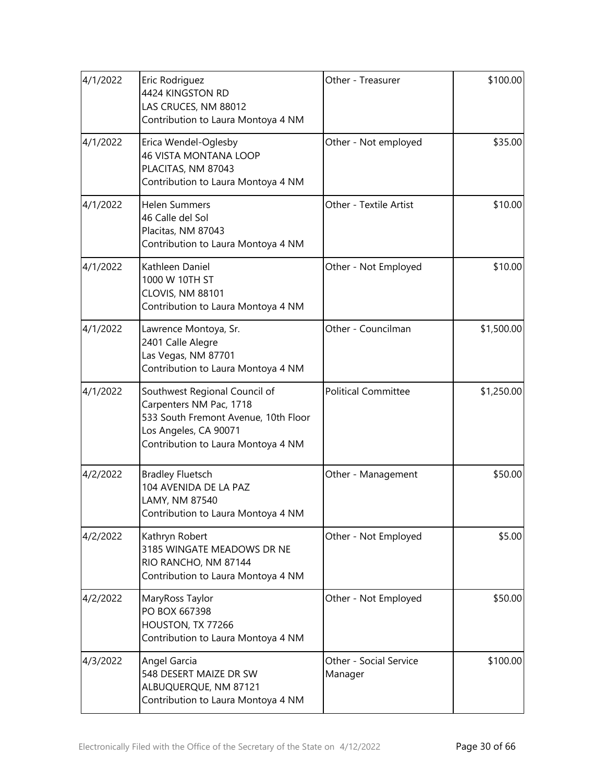| 4/1/2022 | Eric Rodriguez<br>4424 KINGSTON RD<br>LAS CRUCES, NM 88012<br>Contribution to Laura Montoya 4 NM                                                                | Other - Treasurer                 | \$100.00   |
|----------|-----------------------------------------------------------------------------------------------------------------------------------------------------------------|-----------------------------------|------------|
| 4/1/2022 | Erica Wendel-Oglesby<br><b>46 VISTA MONTANA LOOP</b><br>PLACITAS, NM 87043<br>Contribution to Laura Montoya 4 NM                                                | Other - Not employed              | \$35.00    |
| 4/1/2022 | <b>Helen Summers</b><br>46 Calle del Sol<br>Placitas, NM 87043<br>Contribution to Laura Montoya 4 NM                                                            | Other - Textile Artist            | \$10.00    |
| 4/1/2022 | Kathleen Daniel<br>1000 W 10TH ST<br>CLOVIS, NM 88101<br>Contribution to Laura Montoya 4 NM                                                                     | Other - Not Employed              | \$10.00    |
| 4/1/2022 | Lawrence Montoya, Sr.<br>2401 Calle Alegre<br>Las Vegas, NM 87701<br>Contribution to Laura Montoya 4 NM                                                         | Other - Councilman                | \$1,500.00 |
| 4/1/2022 | Southwest Regional Council of<br>Carpenters NM Pac, 1718<br>533 South Fremont Avenue, 10th Floor<br>Los Angeles, CA 90071<br>Contribution to Laura Montoya 4 NM | <b>Political Committee</b>        | \$1,250.00 |
| 4/2/2022 | <b>Bradley Fluetsch</b><br>104 AVENIDA DE LA PAZ<br>LAMY, NM 87540<br>Contribution to Laura Montoya 4 NM                                                        | Other - Management                | \$50.00    |
| 4/2/2022 | Kathryn Robert<br>3185 WINGATE MEADOWS DR NE<br>RIO RANCHO, NM 87144<br>Contribution to Laura Montoya 4 NM                                                      | Other - Not Employed              | \$5.00     |
| 4/2/2022 | MaryRoss Taylor<br>PO BOX 667398<br>HOUSTON, TX 77266<br>Contribution to Laura Montoya 4 NM                                                                     | Other - Not Employed              | \$50.00    |
| 4/3/2022 | Angel Garcia<br>548 DESERT MAIZE DR SW<br>ALBUQUERQUE, NM 87121<br>Contribution to Laura Montoya 4 NM                                                           | Other - Social Service<br>Manager | \$100.00   |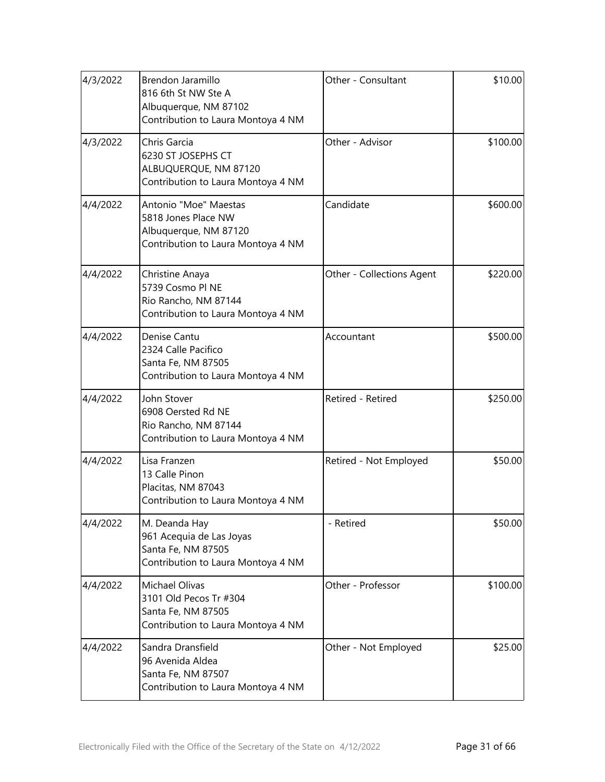| 4/3/2022 | Brendon Jaramillo<br>816 6th St NW Ste A<br>Albuquerque, NM 87102<br>Contribution to Laura Montoya 4 NM     | Other - Consultant        | \$10.00  |
|----------|-------------------------------------------------------------------------------------------------------------|---------------------------|----------|
| 4/3/2022 | Chris Garcia<br>6230 ST JOSEPHS CT<br>ALBUQUERQUE, NM 87120<br>Contribution to Laura Montoya 4 NM           | Other - Advisor           | \$100.00 |
| 4/4/2022 | Antonio "Moe" Maestas<br>5818 Jones Place NW<br>Albuquerque, NM 87120<br>Contribution to Laura Montoya 4 NM | Candidate                 | \$600.00 |
| 4/4/2022 | Christine Anaya<br>5739 Cosmo PI NE<br>Rio Rancho, NM 87144<br>Contribution to Laura Montoya 4 NM           | Other - Collections Agent | \$220.00 |
| 4/4/2022 | Denise Cantu<br>2324 Calle Pacifico<br>Santa Fe, NM 87505<br>Contribution to Laura Montoya 4 NM             | Accountant                | \$500.00 |
| 4/4/2022 | John Stover<br>6908 Oersted Rd NE<br>Rio Rancho, NM 87144<br>Contribution to Laura Montoya 4 NM             | Retired - Retired         | \$250.00 |
| 4/4/2022 | Lisa Franzen<br>13 Calle Pinon<br>Placitas, NM 87043<br>Contribution to Laura Montoya 4 NM                  | Retired - Not Employed    | \$50.00  |
| 4/4/2022 | M. Deanda Hay<br>961 Acequia de Las Joyas<br>Santa Fe, NM 87505<br>Contribution to Laura Montoya 4 NM       | - Retired                 | \$50.00  |
| 4/4/2022 | Michael Olivas<br>3101 Old Pecos Tr #304<br>Santa Fe, NM 87505<br>Contribution to Laura Montoya 4 NM        | Other - Professor         | \$100.00 |
| 4/4/2022 | Sandra Dransfield<br>96 Avenida Aldea<br>Santa Fe, NM 87507<br>Contribution to Laura Montoya 4 NM           | Other - Not Employed      | \$25.00  |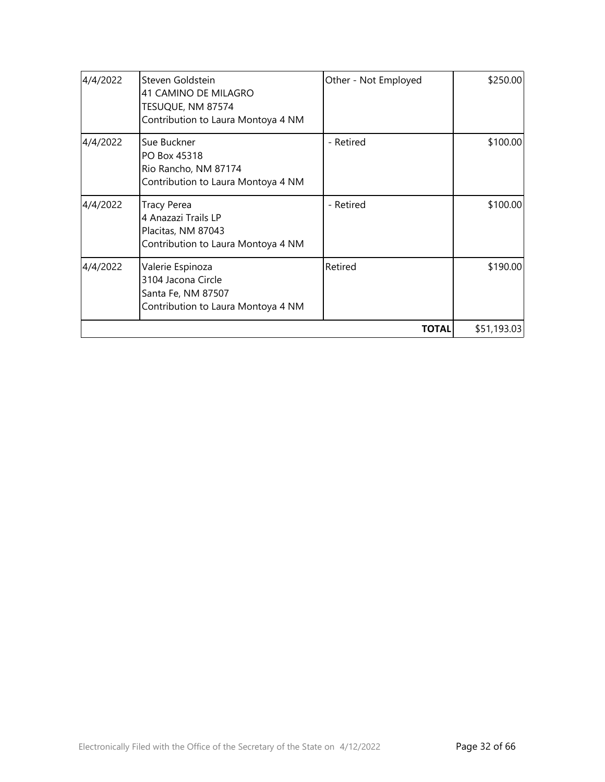| 4/4/2022 | Steven Goldstein<br>41 CAMINO DE MILAGRO<br>TESUQUE, NM 87574<br>Contribution to Laura Montoya 4 NM   | Other - Not Employed | \$250.00    |
|----------|-------------------------------------------------------------------------------------------------------|----------------------|-------------|
| 4/4/2022 | Sue Buckner<br>PO Box 45318<br>Rio Rancho, NM 87174<br>Contribution to Laura Montoya 4 NM             | - Retired            | \$100.00]   |
| 4/4/2022 | <b>Tracy Perea</b><br>4 Anazazi Trails LP<br>Placitas, NM 87043<br>Contribution to Laura Montoya 4 NM | - Retired            | \$100.00]   |
| 4/4/2022 | Valerie Espinoza<br>3104 Jacona Circle<br>Santa Fe, NM 87507<br>Contribution to Laura Montoya 4 NM    | Retired              | \$190.00    |
|          |                                                                                                       | <b>TOTAL</b>         | \$51,193.03 |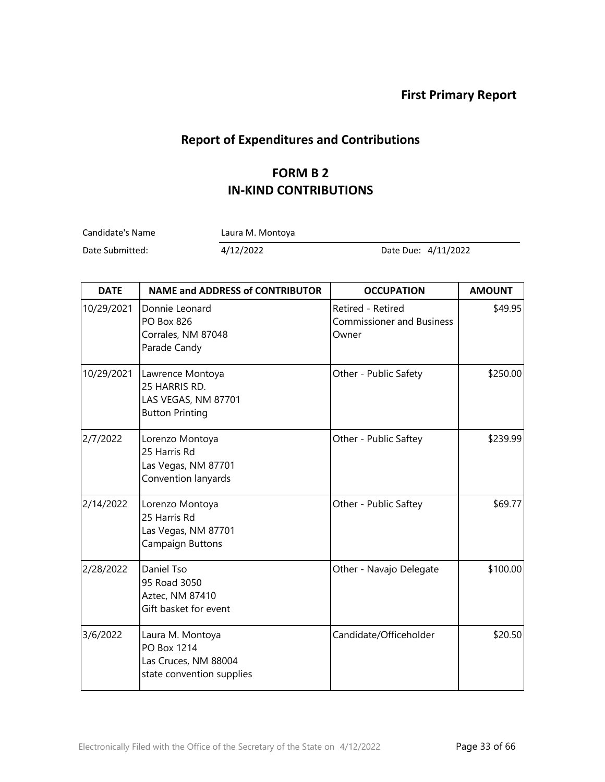## **Report of Expenditures and Contributions**

#### **FORM B 2 IN-KIND CONTRIBUTIONS**

Candidate's Name Laura M. Montoya

| <b>DATE</b> | <b>NAME and ADDRESS of CONTRIBUTOR</b>                                               | <b>OCCUPATION</b>                                              | <b>AMOUNT</b> |
|-------------|--------------------------------------------------------------------------------------|----------------------------------------------------------------|---------------|
| 10/29/2021  | Donnie Leonard<br><b>PO Box 826</b><br>Corrales, NM 87048<br>Parade Candy            | Retired - Retired<br><b>Commissioner and Business</b><br>Owner | \$49.95       |
| 10/29/2021  | Lawrence Montoya<br>25 HARRIS RD.<br>LAS VEGAS, NM 87701<br><b>Button Printing</b>   | Other - Public Safety                                          | \$250.00      |
| 2/7/2022    | Lorenzo Montoya<br>25 Harris Rd<br>Las Vegas, NM 87701<br>Convention lanyards        | Other - Public Saftey                                          | \$239.99      |
| 2/14/2022   | Lorenzo Montoya<br>25 Harris Rd<br>Las Vegas, NM 87701<br>Campaign Buttons           | Other - Public Saftey                                          | \$69.77       |
| 2/28/2022   | Daniel Tso<br>95 Road 3050<br>Aztec, NM 87410<br>Gift basket for event               | Other - Navajo Delegate                                        | \$100.00      |
| 3/6/2022    | Laura M. Montoya<br>PO Box 1214<br>Las Cruces, NM 88004<br>state convention supplies | Candidate/Officeholder                                         | \$20.50       |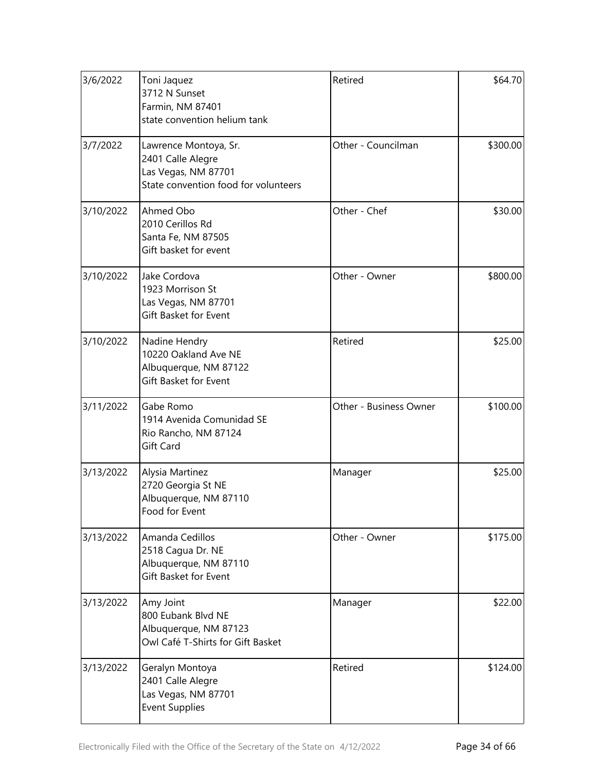| 3/6/2022  | Toni Jaquez<br>3712 N Sunset<br>Farmin, NM 87401<br>state convention helium tank                          | Retired                | \$64.70  |
|-----------|-----------------------------------------------------------------------------------------------------------|------------------------|----------|
| 3/7/2022  | Lawrence Montoya, Sr.<br>2401 Calle Alegre<br>Las Vegas, NM 87701<br>State convention food for volunteers | Other - Councilman     | \$300.00 |
| 3/10/2022 | Ahmed Obo<br>2010 Cerillos Rd<br>Santa Fe, NM 87505<br>Gift basket for event                              | Other - Chef           | \$30.00  |
| 3/10/2022 | Jake Cordova<br>1923 Morrison St<br>Las Vegas, NM 87701<br>Gift Basket for Event                          | Other - Owner          | \$800.00 |
| 3/10/2022 | Nadine Hendry<br>10220 Oakland Ave NE<br>Albuquerque, NM 87122<br>Gift Basket for Event                   | Retired                | \$25.00  |
| 3/11/2022 | Gabe Romo<br>1914 Avenida Comunidad SE<br>Rio Rancho, NM 87124<br>Gift Card                               | Other - Business Owner | \$100.00 |
| 3/13/2022 | Alysia Martinez<br>2720 Georgia St NE<br>Albuquerque, NM 87110<br>Food for Event                          | Manager                | \$25.00  |
| 3/13/2022 | Amanda Cedillos<br>2518 Cagua Dr. NE<br>Albuquerque, NM 87110<br>Gift Basket for Event                    | Other - Owner          | \$175.00 |
| 3/13/2022 | Amy Joint<br>800 Eubank Blvd NE<br>Albuquerque, NM 87123<br>Owl Café T-Shirts for Gift Basket             | Manager                | \$22.00  |
| 3/13/2022 | Geralyn Montoya<br>2401 Calle Alegre<br>Las Vegas, NM 87701<br><b>Event Supplies</b>                      | Retired                | \$124.00 |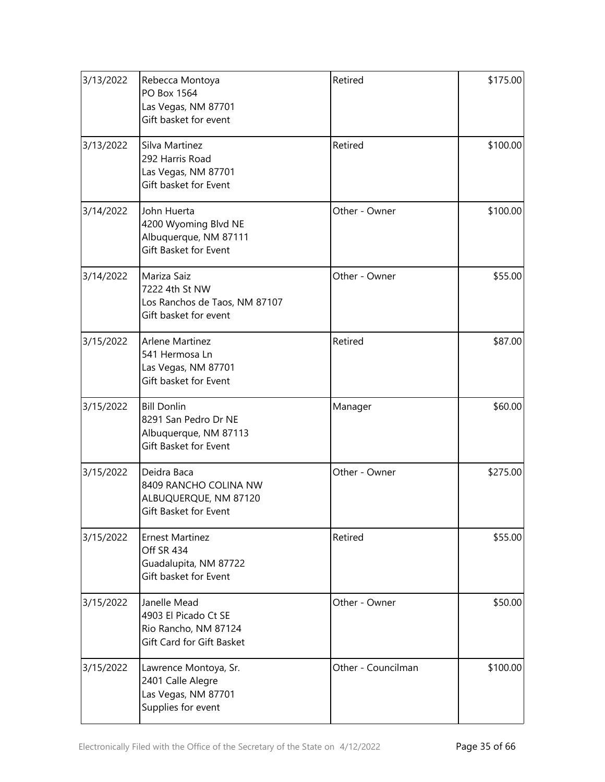| 3/13/2022 | Rebecca Montoya<br>PO Box 1564<br>Las Vegas, NM 87701<br>Gift basket for event               | Retired            | \$175.00 |
|-----------|----------------------------------------------------------------------------------------------|--------------------|----------|
| 3/13/2022 | Silva Martinez<br>292 Harris Road<br>Las Vegas, NM 87701<br>Gift basket for Event            | Retired            | \$100.00 |
| 3/14/2022 | John Huerta<br>4200 Wyoming Blvd NE<br>Albuquerque, NM 87111<br>Gift Basket for Event        | Other - Owner      | \$100.00 |
| 3/14/2022 | Mariza Saiz<br>7222 4th St NW<br>Los Ranchos de Taos, NM 87107<br>Gift basket for event      | Other - Owner      | \$55.00  |
| 3/15/2022 | <b>Arlene Martinez</b><br>541 Hermosa Ln<br>Las Vegas, NM 87701<br>Gift basket for Event     | Retired            | \$87.00  |
| 3/15/2022 | <b>Bill Donlin</b><br>8291 San Pedro Dr NE<br>Albuquerque, NM 87113<br>Gift Basket for Event | Manager            | \$60.00  |
| 3/15/2022 | Deidra Baca<br>8409 RANCHO COLINA NW<br>ALBUQUERQUE, NM 87120<br>Gift Basket for Event       | Other - Owner      | \$275.00 |
| 3/15/2022 | <b>Ernest Martinez</b><br>Off SR 434<br>Guadalupita, NM 87722<br>Gift basket for Event       | Retired            | \$55.00  |
| 3/15/2022 | Janelle Mead<br>4903 El Picado Ct SE<br>Rio Rancho, NM 87124<br>Gift Card for Gift Basket    | Other - Owner      | \$50.00  |
| 3/15/2022 | Lawrence Montoya, Sr.<br>2401 Calle Alegre<br>Las Vegas, NM 87701<br>Supplies for event      | Other - Councilman | \$100.00 |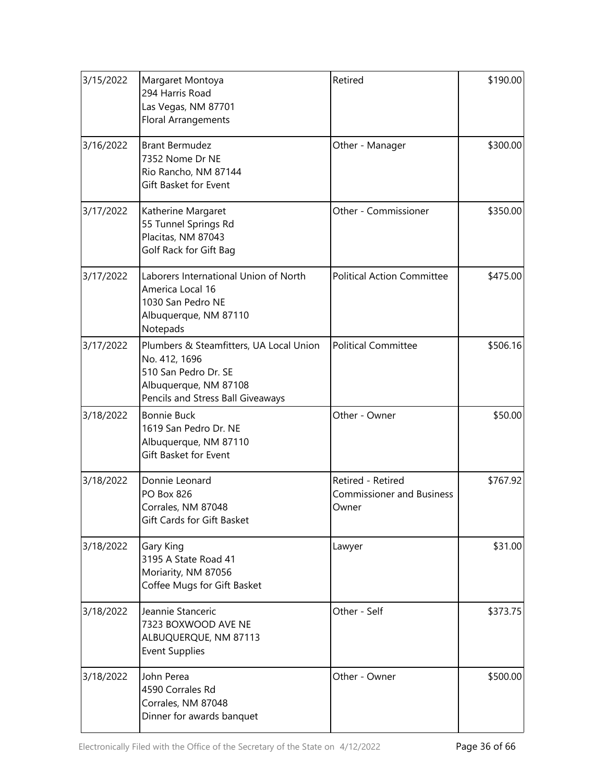| 3/15/2022 | Margaret Montoya<br>294 Harris Road<br>Las Vegas, NM 87701<br><b>Floral Arrangements</b>                                                       | Retired                                                        | \$190.00 |
|-----------|------------------------------------------------------------------------------------------------------------------------------------------------|----------------------------------------------------------------|----------|
| 3/16/2022 | <b>Brant Bermudez</b><br>7352 Nome Dr NE<br>Rio Rancho, NM 87144<br>Gift Basket for Event                                                      | Other - Manager                                                | \$300.00 |
| 3/17/2022 | Katherine Margaret<br>55 Tunnel Springs Rd<br>Placitas, NM 87043<br>Golf Rack for Gift Bag                                                     | Other - Commissioner                                           | \$350.00 |
| 3/17/2022 | Laborers International Union of North<br>America Local 16<br>1030 San Pedro NE<br>Albuquerque, NM 87110<br>Notepads                            | <b>Political Action Committee</b>                              | \$475.00 |
| 3/17/2022 | Plumbers & Steamfitters, UA Local Union<br>No. 412, 1696<br>510 San Pedro Dr. SE<br>Albuquerque, NM 87108<br>Pencils and Stress Ball Giveaways | <b>Political Committee</b>                                     | \$506.16 |
| 3/18/2022 | <b>Bonnie Buck</b><br>1619 San Pedro Dr. NE<br>Albuquerque, NM 87110<br>Gift Basket for Event                                                  | Other - Owner                                                  | \$50.00  |
| 3/18/2022 | Donnie Leonard<br>PO Box 826<br>Corrales, NM 87048<br>Gift Cards for Gift Basket                                                               | Retired - Retired<br><b>Commissioner and Business</b><br>Owner | \$767.92 |
| 3/18/2022 | Gary King<br>3195 A State Road 41<br>Moriarity, NM 87056<br>Coffee Mugs for Gift Basket                                                        | Lawyer                                                         | \$31.00  |
| 3/18/2022 | Jeannie Stanceric<br>7323 BOXWOOD AVE NE<br>ALBUQUERQUE, NM 87113<br><b>Event Supplies</b>                                                     | Other - Self                                                   | \$373.75 |
| 3/18/2022 | John Perea<br>4590 Corrales Rd<br>Corrales, NM 87048<br>Dinner for awards banquet                                                              | Other - Owner                                                  | \$500.00 |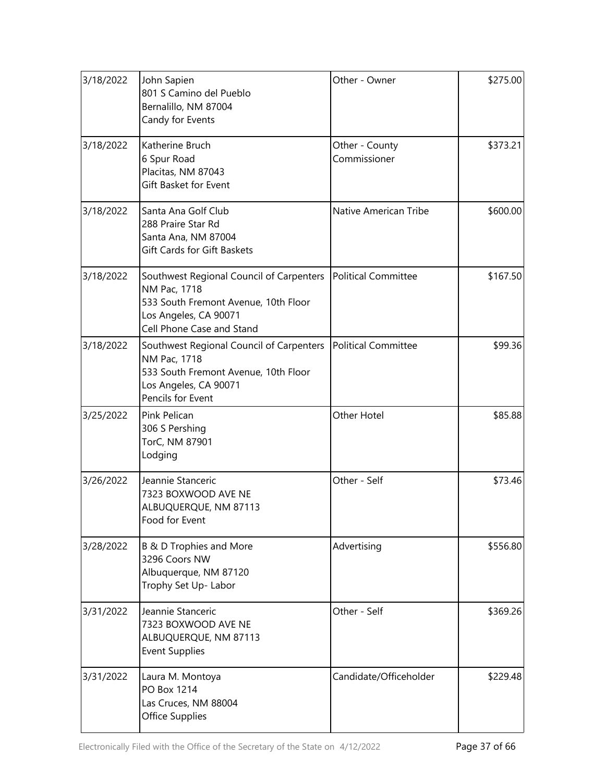| 3/18/2022 | John Sapien<br>801 S Camino del Pueblo<br>Bernalillo, NM 87004<br>Candy for Events                                                                                           | Other - Owner                  | \$275.00 |
|-----------|------------------------------------------------------------------------------------------------------------------------------------------------------------------------------|--------------------------------|----------|
| 3/18/2022 | Katherine Bruch<br>6 Spur Road<br>Placitas, NM 87043<br>Gift Basket for Event                                                                                                | Other - County<br>Commissioner | \$373.21 |
| 3/18/2022 | Santa Ana Golf Club<br>288 Praire Star Rd<br>Santa Ana, NM 87004<br><b>Gift Cards for Gift Baskets</b>                                                                       | Native American Tribe          | \$600.00 |
| 3/18/2022 | Southwest Regional Council of Carpenters   Political Committee<br>NM Pac, 1718<br>533 South Fremont Avenue, 10th Floor<br>Los Angeles, CA 90071<br>Cell Phone Case and Stand |                                | \$167.50 |
| 3/18/2022 | Southwest Regional Council of Carpenters   Political Committee<br>NM Pac, 1718<br>533 South Fremont Avenue, 10th Floor<br>Los Angeles, CA 90071<br>Pencils for Event         |                                | \$99.36  |
| 3/25/2022 | Pink Pelican<br>306 S Pershing<br>TorC, NM 87901<br>Lodging                                                                                                                  | Other Hotel                    | \$85.88  |
| 3/26/2022 | Jeannie Stanceric<br>7323 BOXWOOD AVE NE<br>ALBUQUERQUE, NM 87113<br>Food for Event                                                                                          | Other - Self                   | \$73.46  |
| 3/28/2022 | B & D Trophies and More<br>3296 Coors NW<br>Albuquerque, NM 87120<br>Trophy Set Up- Labor                                                                                    | Advertising                    | \$556.80 |
| 3/31/2022 | Jeannie Stanceric<br>7323 BOXWOOD AVE NE<br>ALBUQUERQUE, NM 87113<br><b>Event Supplies</b>                                                                                   | Other - Self                   | \$369.26 |
| 3/31/2022 | Laura M. Montoya<br>PO Box 1214<br>Las Cruces, NM 88004<br>Office Supplies                                                                                                   | Candidate/Officeholder         | \$229.48 |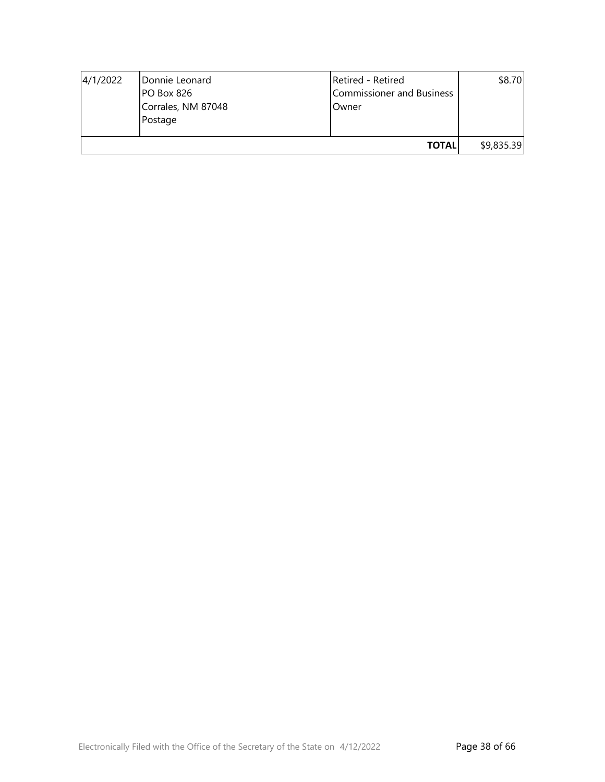| 4/1/2022 | Donnie Leonard<br>PO Box 826<br>Corrales, NM 87048<br>Postage | Retired - Retired<br>Commissioner and Business<br>Owner | \$8.70     |
|----------|---------------------------------------------------------------|---------------------------------------------------------|------------|
|          |                                                               | <b>TOTALI</b>                                           | \$9,835.39 |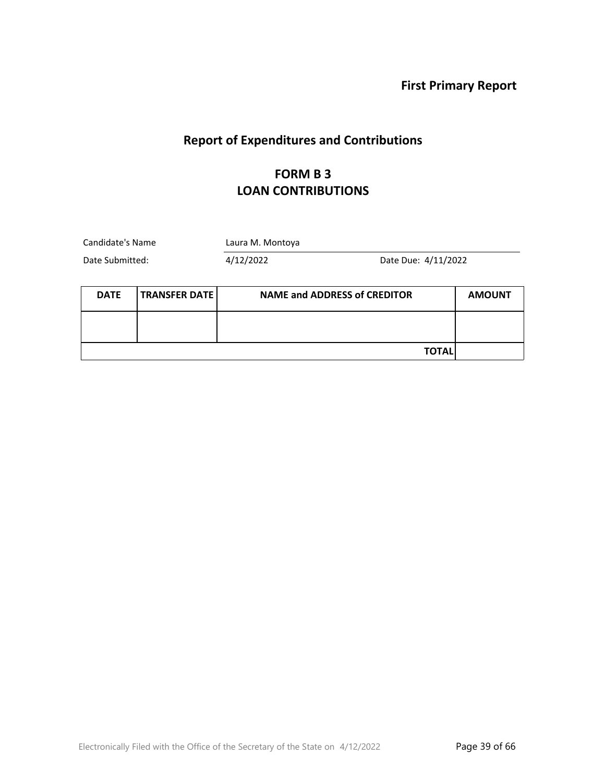# **Report of Expenditures and Contributions**

#### **FORM B 3 LOAN CONTRIBUTIONS**

| Candidate's Name<br>Laura M. Montoya |                      |                                     |                     |               |
|--------------------------------------|----------------------|-------------------------------------|---------------------|---------------|
| Date Submitted:                      |                      | 4/12/2022                           | Date Due: 4/11/2022 |               |
| <b>DATE</b>                          | <b>TRANSFER DATE</b> | <b>NAME and ADDRESS of CREDITOR</b> |                     | <b>AMOUNT</b> |
|                                      |                      |                                     |                     |               |
|                                      |                      |                                     | TOTAL               |               |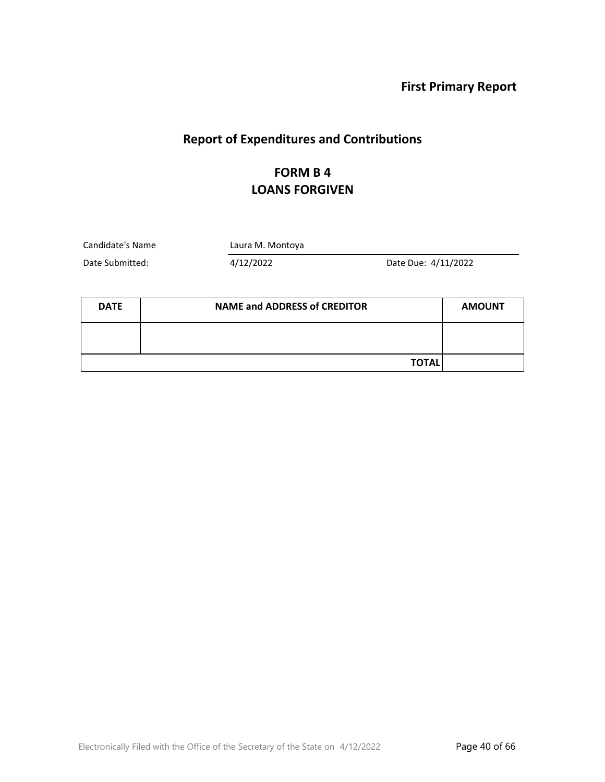## **Report of Expenditures and Contributions**

## **FORM B 4 LOANS FORGIVEN**

Candidate's Name Laura M. Montoya

| <b>DATE</b> | <b>NAME and ADDRESS of CREDITOR</b> | <b>AMOUNT</b> |
|-------------|-------------------------------------|---------------|
|             |                                     |               |
|             | <b>TOTAL</b>                        |               |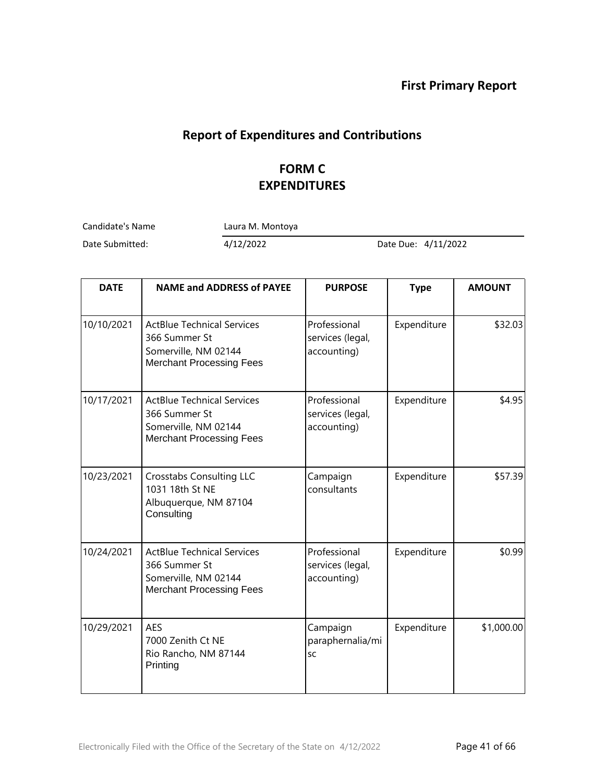## **Report of Expenditures and Contributions**

## **FORM C EXPENDITURES**

Candidate's Name Laura M. Montoya

| <b>DATE</b> | <b>NAME and ADDRESS of PAYEE</b>                                                                              | <b>PURPOSE</b>                                  | <b>Type</b> | <b>AMOUNT</b> |
|-------------|---------------------------------------------------------------------------------------------------------------|-------------------------------------------------|-------------|---------------|
| 10/10/2021  | <b>ActBlue Technical Services</b><br>366 Summer St<br>Somerville, NM 02144<br><b>Merchant Processing Fees</b> | Professional<br>services (legal,<br>accounting) | Expenditure | \$32.03       |
| 10/17/2021  | <b>ActBlue Technical Services</b><br>366 Summer St<br>Somerville, NM 02144<br><b>Merchant Processing Fees</b> | Professional<br>services (legal,<br>accounting) | Expenditure | \$4.95        |
| 10/23/2021  | <b>Crosstabs Consulting LLC</b><br>1031 18th St NE<br>Albuquerque, NM 87104<br>Consulting                     | Campaign<br>consultants                         | Expenditure | \$57.39       |
| 10/24/2021  | <b>ActBlue Technical Services</b><br>366 Summer St<br>Somerville, NM 02144<br><b>Merchant Processing Fees</b> | Professional<br>services (legal,<br>accounting) | Expenditure | \$0.99        |
| 10/29/2021  | <b>AES</b><br>7000 Zenith Ct NE<br>Rio Rancho, NM 87144<br>Printing                                           | Campaign<br>paraphernalia/mi<br><b>SC</b>       | Expenditure | \$1,000.00    |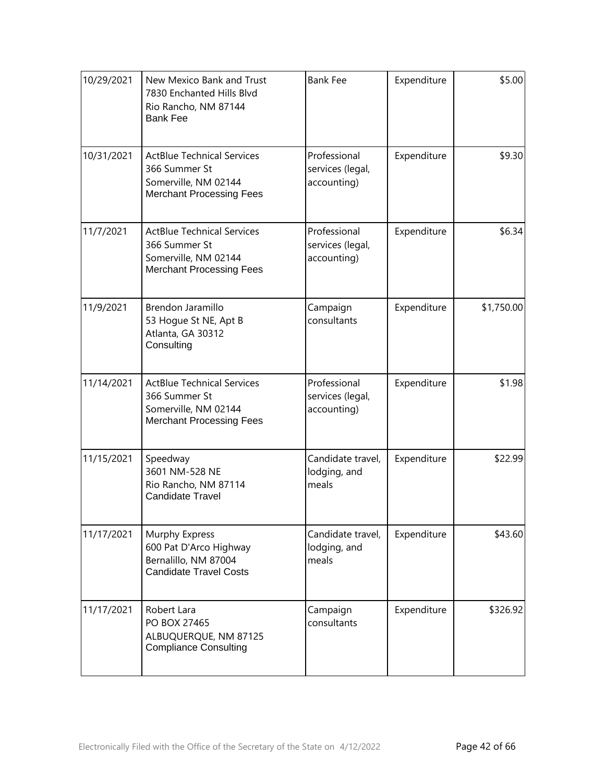| 10/29/2021 | New Mexico Bank and Trust<br>7830 Enchanted Hills Blvd<br>Rio Rancho, NM 87144<br><b>Bank Fee</b>             | <b>Bank Fee</b>                                 | Expenditure | \$5.00     |
|------------|---------------------------------------------------------------------------------------------------------------|-------------------------------------------------|-------------|------------|
| 10/31/2021 | <b>ActBlue Technical Services</b><br>366 Summer St<br>Somerville, NM 02144<br><b>Merchant Processing Fees</b> | Professional<br>services (legal,<br>accounting) | Expenditure | \$9.30     |
| 11/7/2021  | <b>ActBlue Technical Services</b><br>366 Summer St<br>Somerville, NM 02144<br><b>Merchant Processing Fees</b> | Professional<br>services (legal,<br>accounting) | Expenditure | \$6.34     |
| 11/9/2021  | Brendon Jaramillo<br>53 Hogue St NE, Apt B<br>Atlanta, GA 30312<br>Consulting                                 | Campaign<br>consultants                         | Expenditure | \$1,750.00 |
| 11/14/2021 | <b>ActBlue Technical Services</b><br>366 Summer St<br>Somerville, NM 02144<br><b>Merchant Processing Fees</b> | Professional<br>services (legal,<br>accounting) | Expenditure | \$1.98     |
| 11/15/2021 | Speedway<br>3601 NM-528 NE<br>Rio Rancho, NM 87114<br><b>Candidate Travel</b>                                 | Candidate travel,<br>lodging, and<br>meals      | Expenditure | \$22.99    |
| 11/17/2021 | Murphy Express<br>600 Pat D'Arco Highway<br>Bernalillo, NM 87004<br><b>Candidate Travel Costs</b>             | Candidate travel,<br>lodging, and<br>meals      | Expenditure | \$43.60    |
| 11/17/2021 | Robert Lara<br>PO BOX 27465<br>ALBUQUERQUE, NM 87125<br><b>Compliance Consulting</b>                          | Campaign<br>consultants                         | Expenditure | \$326.92   |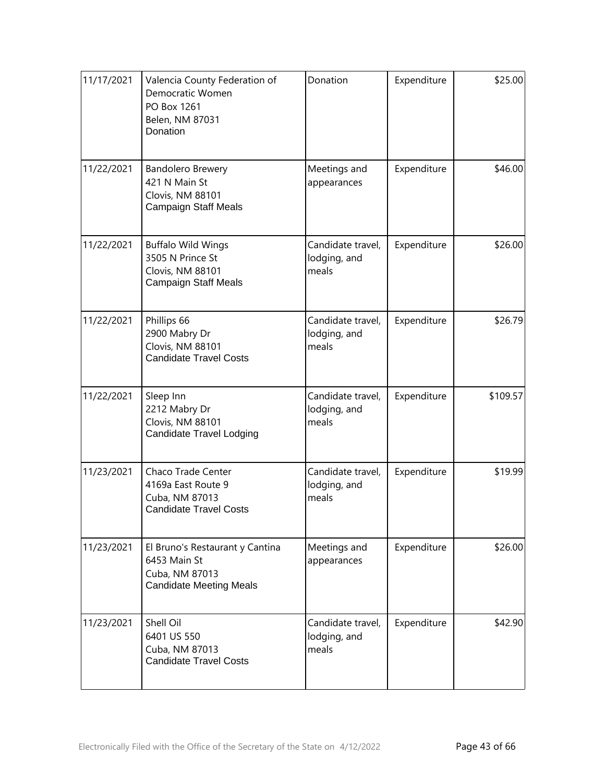| 11/17/2021 | Valencia County Federation of<br>Democratic Women<br>PO Box 1261<br>Belen, NM 87031<br>Donation     | Donation                                   | Expenditure | \$25.00  |
|------------|-----------------------------------------------------------------------------------------------------|--------------------------------------------|-------------|----------|
| 11/22/2021 | Bandolero Brewery<br>421 N Main St<br>Clovis, NM 88101<br><b>Campaign Staff Meals</b>               | Meetings and<br>appearances                | Expenditure | \$46.00  |
| 11/22/2021 | <b>Buffalo Wild Wings</b><br>3505 N Prince St<br>Clovis, NM 88101<br><b>Campaign Staff Meals</b>    | Candidate travel,<br>lodging, and<br>meals | Expenditure | \$26.00  |
| 11/22/2021 | Phillips 66<br>2900 Mabry Dr<br>Clovis, NM 88101<br><b>Candidate Travel Costs</b>                   | Candidate travel,<br>lodging, and<br>meals | Expenditure | \$26.79  |
| 11/22/2021 | Sleep Inn<br>2212 Mabry Dr<br>Clovis, NM 88101<br><b>Candidate Travel Lodging</b>                   | Candidate travel,<br>lodging, and<br>meals | Expenditure | \$109.57 |
| 11/23/2021 | Chaco Trade Center<br>4169a East Route 9<br>Cuba, NM 87013<br><b>Candidate Travel Costs</b>         | Candidate travel,<br>lodging, and<br>meals | Expenditure | \$19.99  |
| 11/23/2021 | El Bruno's Restaurant y Cantina<br>6453 Main St<br>Cuba, NM 87013<br><b>Candidate Meeting Meals</b> | Meetings and<br>appearances                | Expenditure | \$26.00  |
| 11/23/2021 | Shell Oil<br>6401 US 550<br>Cuba, NM 87013<br><b>Candidate Travel Costs</b>                         | Candidate travel,<br>lodging, and<br>meals | Expenditure | \$42.90  |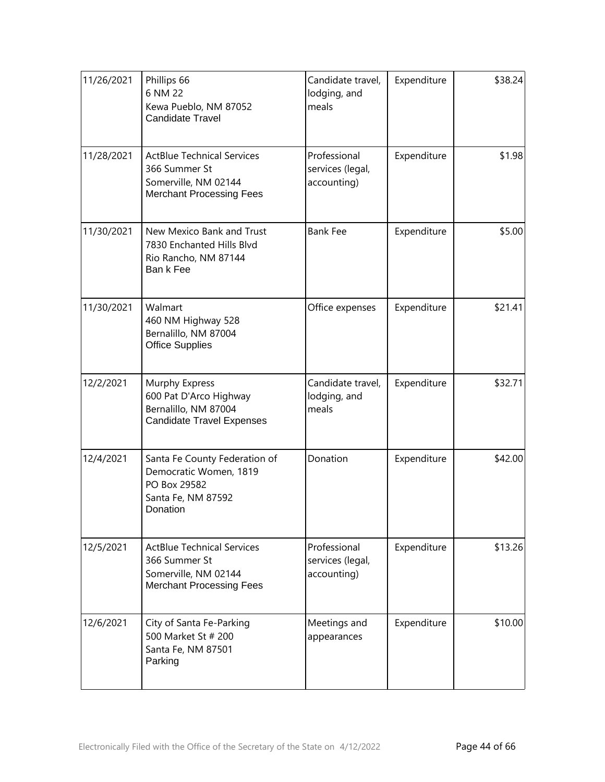| 11/26/2021 | Phillips 66<br>6 NM 22<br>Kewa Pueblo, NM 87052<br><b>Candidate Travel</b>                                    | Candidate travel,<br>lodging, and<br>meals      | Expenditure | \$38.24 |
|------------|---------------------------------------------------------------------------------------------------------------|-------------------------------------------------|-------------|---------|
| 11/28/2021 | <b>ActBlue Technical Services</b><br>366 Summer St<br>Somerville, NM 02144<br><b>Merchant Processing Fees</b> | Professional<br>services (legal,<br>accounting) | Expenditure | \$1.98  |
| 11/30/2021 | New Mexico Bank and Trust<br>7830 Enchanted Hills Blvd<br>Rio Rancho, NM 87144<br>Ban k Fee                   | <b>Bank Fee</b>                                 | Expenditure | \$5.00  |
| 11/30/2021 | Walmart<br>460 NM Highway 528<br>Bernalillo, NM 87004<br><b>Office Supplies</b>                               | Office expenses                                 | Expenditure | \$21.41 |
| 12/2/2021  | Murphy Express<br>600 Pat D'Arco Highway<br>Bernalillo, NM 87004<br><b>Candidate Travel Expenses</b>          | Candidate travel,<br>lodging, and<br>meals      | Expenditure | \$32.71 |
| 12/4/2021  | Santa Fe County Federation of<br>Democratic Women, 1819<br>PO Box 29582<br>Santa Fe, NM 87592<br>Donation     | Donation                                        | Expenditure | \$42.00 |
| 12/5/2021  | <b>ActBlue Technical Services</b><br>366 Summer St<br>Somerville, NM 02144<br><b>Merchant Processing Fees</b> | Professional<br>services (legal,<br>accounting) | Expenditure | \$13.26 |
| 12/6/2021  | City of Santa Fe-Parking<br>500 Market St # 200<br>Santa Fe, NM 87501<br>Parking                              | Meetings and<br>appearances                     | Expenditure | \$10.00 |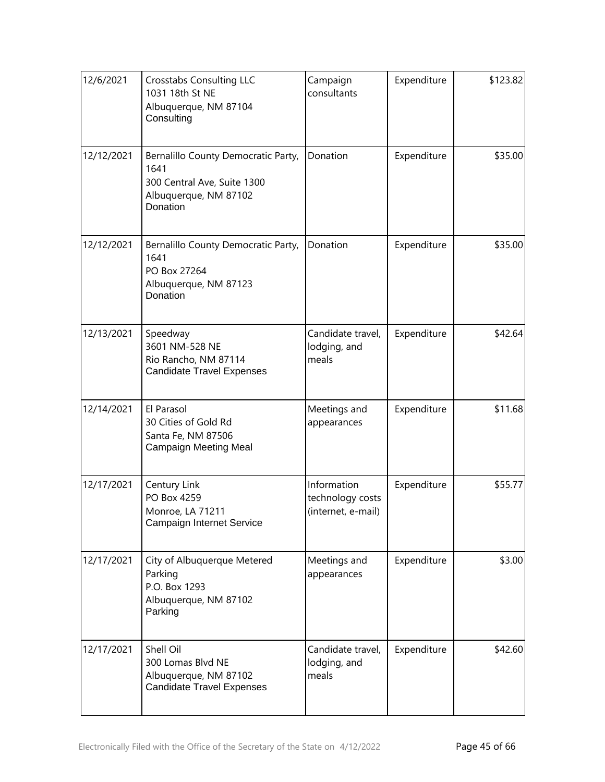| 12/6/2021  | <b>Crosstabs Consulting LLC</b><br>1031 18th St NE<br>Albuquerque, NM 87104<br>Consulting                       | Campaign<br>consultants                               | Expenditure | \$123.82 |
|------------|-----------------------------------------------------------------------------------------------------------------|-------------------------------------------------------|-------------|----------|
| 12/12/2021 | Bernalillo County Democratic Party,<br>1641<br>300 Central Ave, Suite 1300<br>Albuquerque, NM 87102<br>Donation | Donation                                              | Expenditure | \$35.00  |
| 12/12/2021 | Bernalillo County Democratic Party,<br>1641<br>PO Box 27264<br>Albuquerque, NM 87123<br>Donation                | Donation                                              | Expenditure | \$35.00  |
| 12/13/2021 | Speedway<br>3601 NM-528 NE<br>Rio Rancho, NM 87114<br><b>Candidate Travel Expenses</b>                          | Candidate travel,<br>lodging, and<br>meals            | Expenditure | \$42.64  |
| 12/14/2021 | El Parasol<br>30 Cities of Gold Rd<br>Santa Fe, NM 87506<br>Campaign Meeting Meal                               | Meetings and<br>appearances                           | Expenditure | \$11.68  |
| 12/17/2021 | Century Link<br>PO Box 4259<br>Monroe, LA 71211<br>Campaign Internet Service                                    | Information<br>technology costs<br>(internet, e-mail) | Expenditure | \$55.77  |
| 12/17/2021 | City of Albuquerque Metered<br>Parking<br>P.O. Box 1293<br>Albuquerque, NM 87102<br>Parking                     | Meetings and<br>appearances                           | Expenditure | \$3.00   |
| 12/17/2021 | Shell Oil<br>300 Lomas Blvd NE<br>Albuquerque, NM 87102<br><b>Candidate Travel Expenses</b>                     | Candidate travel,<br>lodging, and<br>meals            | Expenditure | \$42.60  |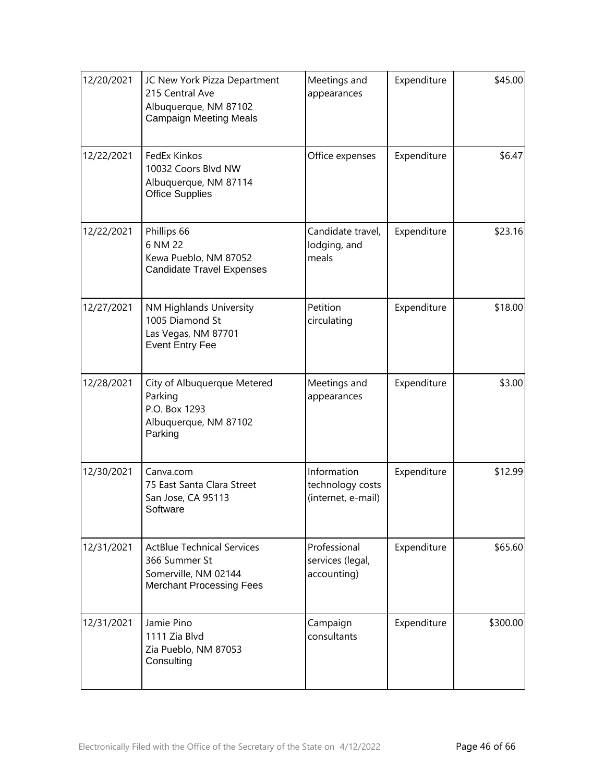| 12/20/2021 | JC New York Pizza Department<br>215 Central Ave<br>Albuquerque, NM 87102<br><b>Campaign Meeting Meals</b>     | Meetings and<br>appearances                           | Expenditure | \$45.00  |
|------------|---------------------------------------------------------------------------------------------------------------|-------------------------------------------------------|-------------|----------|
| 12/22/2021 | FedEx Kinkos<br>10032 Coors Blvd NW<br>Albuquerque, NM 87114<br><b>Office Supplies</b>                        | Office expenses                                       | Expenditure | \$6.47   |
| 12/22/2021 | Phillips 66<br>6 NM 22<br>Kewa Pueblo, NM 87052<br><b>Candidate Travel Expenses</b>                           | Candidate travel,<br>lodging, and<br>meals            | Expenditure | \$23.16  |
| 12/27/2021 | NM Highlands University<br>1005 Diamond St<br>Las Vegas, NM 87701<br><b>Event Entry Fee</b>                   | Petition<br>circulating                               | Expenditure | \$18.00  |
| 12/28/2021 | City of Albuquerque Metered<br>Parking<br>P.O. Box 1293<br>Albuquerque, NM 87102<br>Parking                   | Meetings and<br>appearances                           | Expenditure | \$3.00   |
| 12/30/2021 | Canva.com<br>75 East Santa Clara Street<br>San Jose, CA 95113<br>Software                                     | Information<br>technology costs<br>(internet, e-mail) | Expenditure | \$12.99  |
| 12/31/2021 | <b>ActBlue Technical Services</b><br>366 Summer St<br>Somerville, NM 02144<br><b>Merchant Processing Fees</b> | Professional<br>services (legal,<br>accounting)       | Expenditure | \$65.60  |
| 12/31/2021 | Jamie Pino<br>1111 Zia Blvd<br>Zia Pueblo, NM 87053<br>Consulting                                             | Campaign<br>consultants                               | Expenditure | \$300.00 |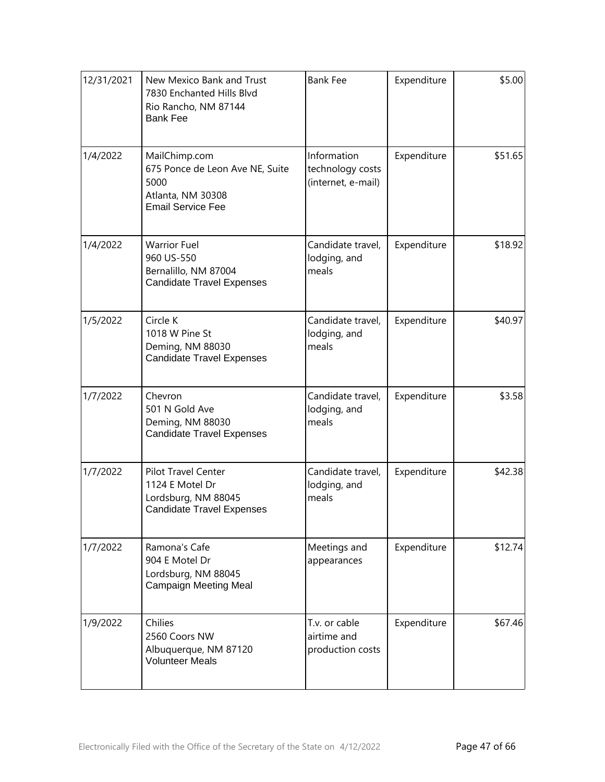| 12/31/2021 | New Mexico Bank and Trust<br>7830 Enchanted Hills Blvd<br>Rio Rancho, NM 87144<br><b>Bank Fee</b>         | <b>Bank Fee</b>                                       | Expenditure | \$5.00  |
|------------|-----------------------------------------------------------------------------------------------------------|-------------------------------------------------------|-------------|---------|
| 1/4/2022   | MailChimp.com<br>675 Ponce de Leon Ave NE, Suite<br>5000<br>Atlanta, NM 30308<br><b>Email Service Fee</b> | Information<br>technology costs<br>(internet, e-mail) | Expenditure | \$51.65 |
| 1/4/2022   | <b>Warrior Fuel</b><br>960 US-550<br>Bernalillo, NM 87004<br><b>Candidate Travel Expenses</b>             | Candidate travel,<br>lodging, and<br>meals            | Expenditure | \$18.92 |
| 1/5/2022   | Circle K<br>1018 W Pine St<br>Deming, NM 88030<br><b>Candidate Travel Expenses</b>                        | Candidate travel,<br>lodging, and<br>meals            | Expenditure | \$40.97 |
| 1/7/2022   | Chevron<br>501 N Gold Ave<br>Deming, NM 88030<br><b>Candidate Travel Expenses</b>                         | Candidate travel,<br>lodging, and<br>meals            | Expenditure | \$3.58  |
| 1/7/2022   | Pilot Travel Center<br>1124 E Motel Dr<br>Lordsburg, NM 88045<br><b>Candidate Travel Expenses</b>         | Candidate travel,<br>lodging, and<br>meals            | Expenditure | \$42.38 |
| 1/7/2022   | Ramona's Cafe<br>904 E Motel Dr<br>Lordsburg, NM 88045<br>Campaign Meeting Meal                           | Meetings and<br>appearances                           | Expenditure | \$12.74 |
| 1/9/2022   | Chilies<br>2560 Coors NW<br>Albuquerque, NM 87120<br><b>Volunteer Meals</b>                               | T.v. or cable<br>airtime and<br>production costs      | Expenditure | \$67.46 |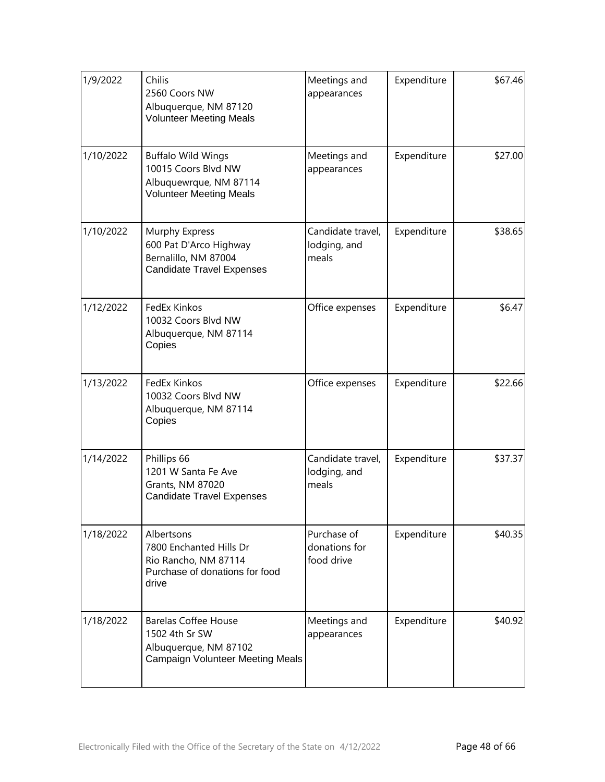| 1/9/2022  | Chilis<br>2560 Coors NW<br>Albuquerque, NM 87120<br><b>Volunteer Meeting Meals</b>                                | Meetings and<br>appearances                | Expenditure | \$67.46 |
|-----------|-------------------------------------------------------------------------------------------------------------------|--------------------------------------------|-------------|---------|
| 1/10/2022 | <b>Buffalo Wild Wings</b><br>10015 Coors Blvd NW<br>Albuquewrque, NM 87114<br><b>Volunteer Meeting Meals</b>      | Meetings and<br>appearances                | Expenditure | \$27.00 |
| 1/10/2022 | Murphy Express<br>600 Pat D'Arco Highway<br>Bernalillo, NM 87004<br><b>Candidate Travel Expenses</b>              | Candidate travel,<br>lodging, and<br>meals | Expenditure | \$38.65 |
| 1/12/2022 | FedEx Kinkos<br>10032 Coors Blvd NW<br>Albuquerque, NM 87114<br>Copies                                            | Office expenses                            | Expenditure | \$6.47  |
| 1/13/2022 | FedEx Kinkos<br>10032 Coors Blvd NW<br>Albuquerque, NM 87114<br>Copies                                            | Office expenses                            | Expenditure | \$22.66 |
| 1/14/2022 | Phillips 66<br>1201 W Santa Fe Ave<br><b>Grants, NM 87020</b><br><b>Candidate Travel Expenses</b>                 | Candidate travel,<br>lodging, and<br>meals | Expenditure | \$37.37 |
| 1/18/2022 | Albertsons<br>7800 Enchanted Hills Dr<br>Rio Rancho, NM 87114<br>Purchase of donations for food<br>drive          | Purchase of<br>donations for<br>food drive | Expenditure | \$40.35 |
| 1/18/2022 | <b>Barelas Coffee House</b><br>1502 4th Sr SW<br>Albuquerque, NM 87102<br><b>Campaign Volunteer Meeting Meals</b> | Meetings and<br>appearances                | Expenditure | \$40.92 |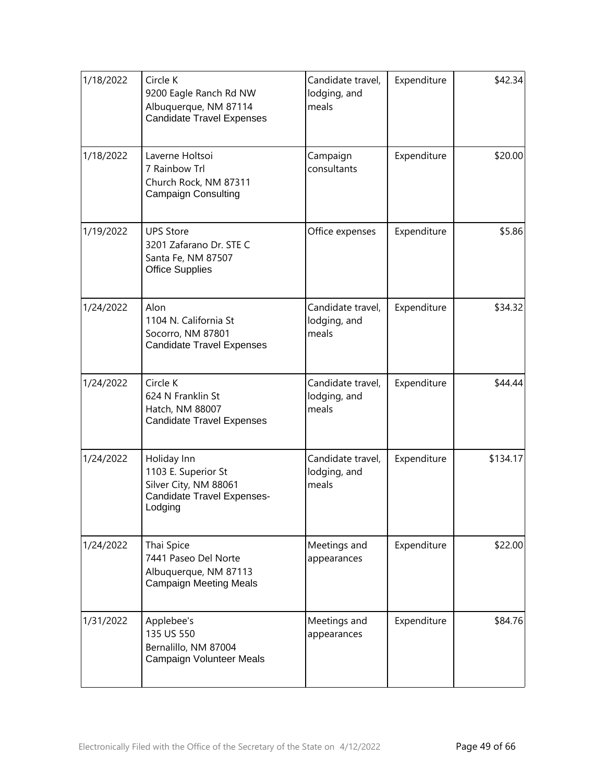| 1/18/2022 | Circle K<br>9200 Eagle Ranch Rd NW<br>Albuquerque, NM 87114<br><b>Candidate Travel Expenses</b>      | Candidate travel,<br>lodging, and<br>meals | Expenditure | \$42.34  |
|-----------|------------------------------------------------------------------------------------------------------|--------------------------------------------|-------------|----------|
| 1/18/2022 | Laverne Holtsoi<br>7 Rainbow Trl<br>Church Rock, NM 87311<br>Campaign Consulting                     | Campaign<br>consultants                    | Expenditure | \$20.00  |
| 1/19/2022 | <b>UPS Store</b><br>3201 Zafarano Dr. STE C<br>Santa Fe, NM 87507<br><b>Office Supplies</b>          | Office expenses                            | Expenditure | \$5.86   |
| 1/24/2022 | Alon<br>1104 N. California St<br>Socorro, NM 87801<br><b>Candidate Travel Expenses</b>               | Candidate travel,<br>lodging, and<br>meals | Expenditure | \$34.32  |
| 1/24/2022 | Circle K<br>624 N Franklin St<br>Hatch, NM 88007<br><b>Candidate Travel Expenses</b>                 | Candidate travel,<br>lodging, and<br>meals | Expenditure | \$44.44  |
| 1/24/2022 | Holiday Inn<br>1103 E. Superior St<br>Silver City, NM 88061<br>Candidate Travel Expenses-<br>Lodging | Candidate travel,<br>lodging, and<br>meals | Expenditure | \$134.17 |
| 1/24/2022 | Thai Spice<br>7441 Paseo Del Norte<br>Albuquerque, NM 87113<br><b>Campaign Meeting Meals</b>         | Meetings and<br>appearances                | Expenditure | \$22.00  |
| 1/31/2022 | Applebee's<br>135 US 550<br>Bernalillo, NM 87004<br>Campaign Volunteer Meals                         | Meetings and<br>appearances                | Expenditure | \$84.76  |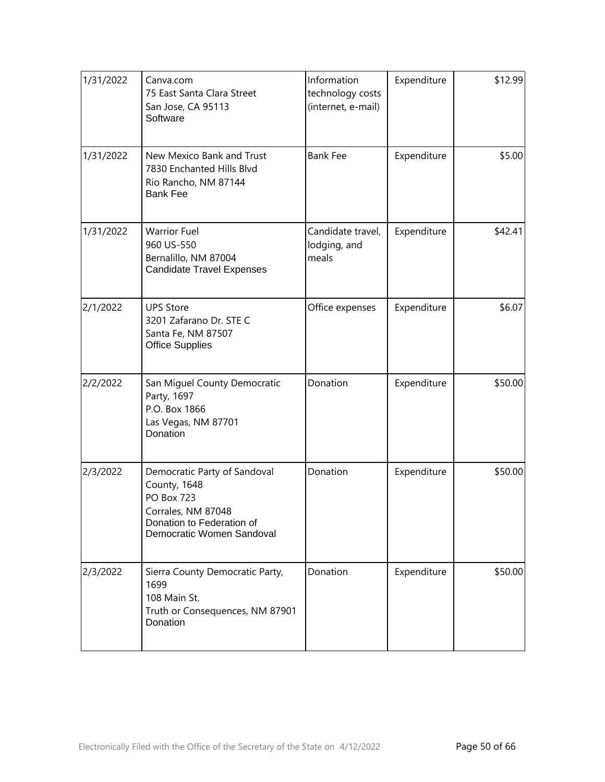| 1/31/2022 | Canva.com<br>75 East Santa Clara Street<br>San Jose, CA 95113<br>Software                                                                         | Information<br>technology costs<br>(internet, e-mail) | Expenditure | \$12.99 |
|-----------|---------------------------------------------------------------------------------------------------------------------------------------------------|-------------------------------------------------------|-------------|---------|
| 1/31/2022 | New Mexico Bank and Trust<br>7830 Enchanted Hills Blyd<br>Rio Rancho, NM 87144<br><b>Bank Fee</b>                                                 | <b>Bank Fee</b>                                       | Expenditure | \$5.00  |
| 1/31/2022 | <b>Warrior Fuel</b><br>960 US-550<br>Bernalillo, NM 87004<br><b>Candidate Travel Expenses</b>                                                     | Candidate travel,<br>lodging, and<br>meals            | Expenditure | \$42.41 |
| 2/1/2022  | <b>UPS Store</b><br>3201 Zafarano Dr. STE C<br>Santa Fe, NM 87507<br><b>Office Supplies</b>                                                       | Office expenses                                       | Expenditure | \$6.07  |
| 2/2/2022  | San Miguel County Democratic<br>Party, 1697<br>P.O. Box 1866<br>Las Vegas, NM 87701<br>Donation                                                   | Donation                                              | Expenditure | \$50.00 |
| 2/3/2022  | Democratic Party of Sandoval<br>County, 1648<br><b>PO Box 723</b><br>Corrales, NM 87048<br>Donation to Federation of<br>Democratic Women Sandoval | Donation                                              | Expenditure | \$50.00 |
| 2/3/2022  | Sierra County Democratic Party,<br>1699<br>108 Main St.<br>Truth or Consequences, NM 87901<br>Donation                                            | Donation                                              | Expenditure | \$50.00 |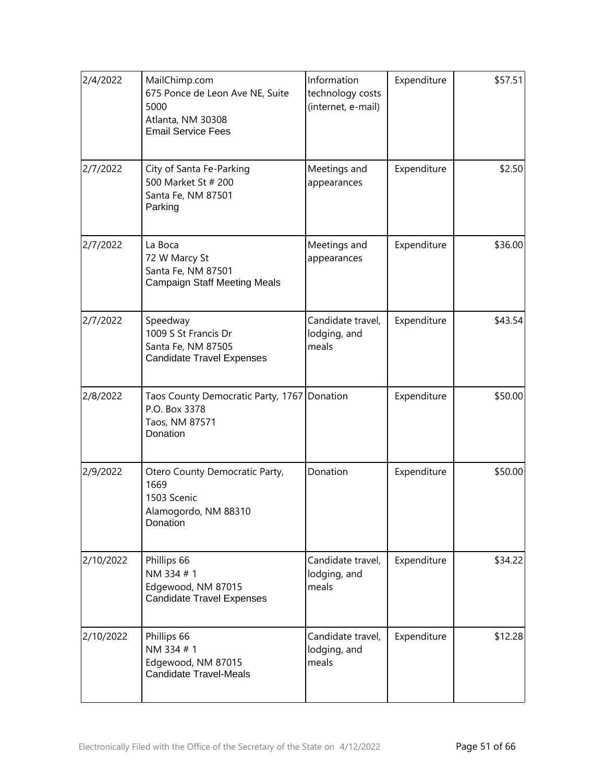| 2/4/2022  | MailChimp.com<br>675 Ponce de Leon Ave NE, Suite<br>5000<br>Atlanta, NM 30308<br><b>Email Service Fees</b> | Information<br>technology costs<br>(internet, e-mail) | Expenditure | \$57.51 |
|-----------|------------------------------------------------------------------------------------------------------------|-------------------------------------------------------|-------------|---------|
| 2/7/2022  | City of Santa Fe-Parking<br>500 Market St # 200<br>Santa Fe, NM 87501<br>Parking                           | Meetings and<br>appearances                           | Expenditure | \$2.50  |
| 2/7/2022  | La Boca<br>72 W Marcy St<br>Santa Fe, NM 87501<br><b>Campaign Staff Meeting Meals</b>                      | Meetings and<br>appearances                           | Expenditure | \$36.00 |
| 2/7/2022  | Speedway<br>1009 S St Francis Dr<br>Santa Fe, NM 87505<br><b>Candidate Travel Expenses</b>                 | Candidate travel,<br>lodging, and<br>meals            | Expenditure | \$43.54 |
| 2/8/2022  | Taos County Democratic Party, 1767   Donation<br>P.O. Box 3378<br>Taos, NM 87571<br>Donation               |                                                       | Expenditure | \$50.00 |
| 2/9/2022  | Otero County Democratic Party,<br>1669<br>1503 Scenic<br>Alamogordo, NM 88310<br>Donation                  | Donation                                              | Expenditure | \$50.00 |
| 2/10/2022 | Phillips 66<br>NM 334 #1<br>Edgewood, NM 87015<br><b>Candidate Travel Expenses</b>                         | Candidate travel,<br>lodging, and<br>meals            | Expenditure | \$34.22 |
| 2/10/2022 | Phillips 66<br>NM 334 #1<br>Edgewood, NM 87015<br><b>Candidate Travel-Meals</b>                            | Candidate travel,<br>lodging, and<br>meals            | Expenditure | \$12.28 |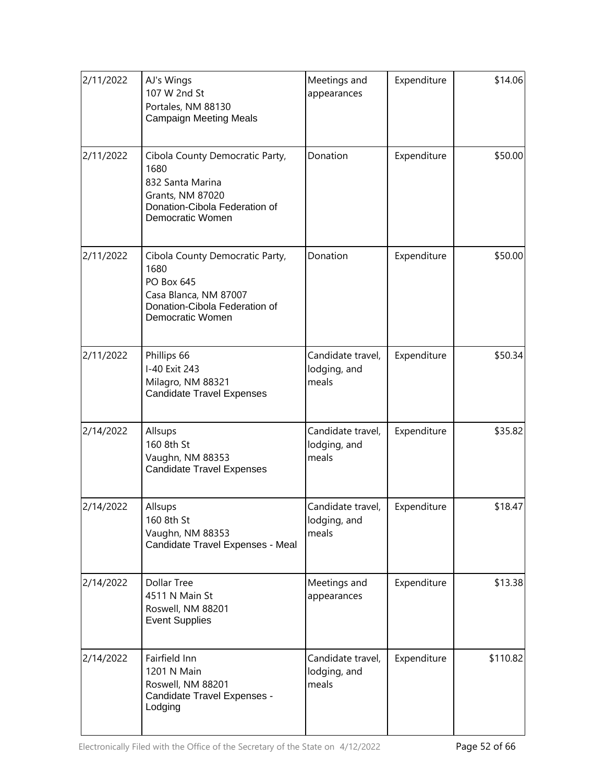| 2/11/2022 | AJ's Wings<br>107 W 2nd St<br>Portales, NM 88130<br><b>Campaign Meeting Meals</b>                                                          | Meetings and<br>appearances                | Expenditure | \$14.06  |
|-----------|--------------------------------------------------------------------------------------------------------------------------------------------|--------------------------------------------|-------------|----------|
| 2/11/2022 | Cibola County Democratic Party,<br>1680<br>832 Santa Marina<br>Grants, NM 87020<br>Donation-Cibola Federation of<br>Democratic Women       | Donation                                   | Expenditure | \$50.00  |
| 2/11/2022 | Cibola County Democratic Party,<br>1680<br><b>PO Box 645</b><br>Casa Blanca, NM 87007<br>Donation-Cibola Federation of<br>Democratic Women | Donation                                   | Expenditure | \$50.00  |
| 2/11/2022 | Phillips 66<br>I-40 Exit 243<br>Milagro, NM 88321<br><b>Candidate Travel Expenses</b>                                                      | Candidate travel,<br>lodging, and<br>meals | Expenditure | \$50.34  |
| 2/14/2022 | Allsups<br>160 8th St<br>Vaughn, NM 88353<br><b>Candidate Travel Expenses</b>                                                              | Candidate travel,<br>lodging, and<br>meals | Expenditure | \$35.82  |
| 2/14/2022 | Allsups<br>160 8th St<br>Vaughn, NM 88353<br>Candidate Travel Expenses - Meal                                                              | Candidate travel,<br>lodging, and<br>meals | Expenditure | \$18.47  |
| 2/14/2022 | <b>Dollar Tree</b><br>4511 N Main St<br>Roswell, NM 88201<br><b>Event Supplies</b>                                                         | Meetings and<br>appearances                | Expenditure | \$13.38  |
| 2/14/2022 | Fairfield Inn<br>1201 N Main<br>Roswell, NM 88201<br>Candidate Travel Expenses -<br>Lodging                                                | Candidate travel,<br>lodging, and<br>meals | Expenditure | \$110.82 |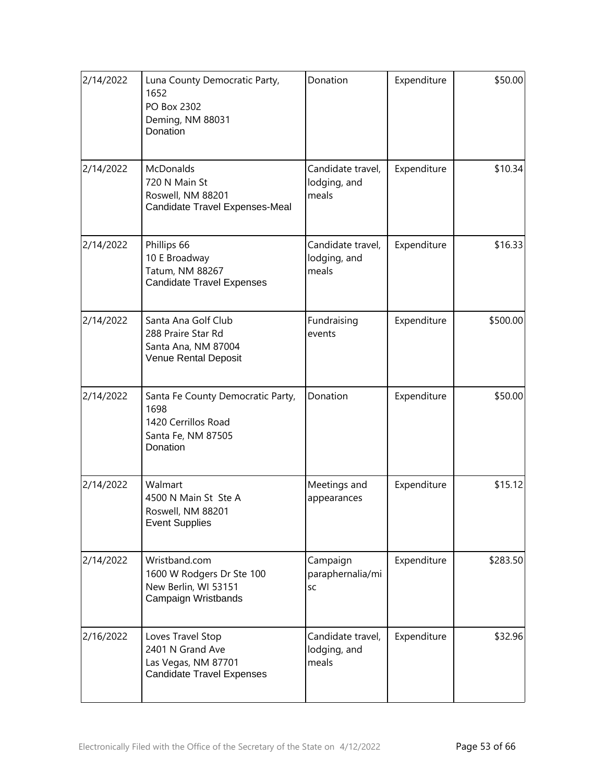| 2/14/2022 | Luna County Democratic Party,<br>1652<br>PO Box 2302<br>Deming, NM 88031<br>Donation               | Donation                                   | Expenditure | \$50.00  |
|-----------|----------------------------------------------------------------------------------------------------|--------------------------------------------|-------------|----------|
| 2/14/2022 | <b>McDonalds</b><br>720 N Main St<br>Roswell, NM 88201<br>Candidate Travel Expenses-Meal           | Candidate travel,<br>lodging, and<br>meals | Expenditure | \$10.34  |
| 2/14/2022 | Phillips 66<br>10 E Broadway<br>Tatum, NM 88267<br><b>Candidate Travel Expenses</b>                | Candidate travel,<br>lodging, and<br>meals | Expenditure | \$16.33  |
| 2/14/2022 | Santa Ana Golf Club<br>288 Praire Star Rd<br>Santa Ana, NM 87004<br>Venue Rental Deposit           | Fundraising<br>events                      | Expenditure | \$500.00 |
| 2/14/2022 | Santa Fe County Democratic Party,<br>1698<br>1420 Cerrillos Road<br>Santa Fe, NM 87505<br>Donation | Donation                                   | Expenditure | \$50.00  |
| 2/14/2022 | Walmart<br>4500 N Main St Ste A<br>Roswell, NM 88201<br><b>Event Supplies</b>                      | Meetings and<br>appearances                | Expenditure | \$15.12  |
| 2/14/2022 | Wristband.com<br>1600 W Rodgers Dr Ste 100<br>New Berlin, WI 53151<br>Campaign Wristbands          | Campaign<br>paraphernalia/mi<br><b>SC</b>  | Expenditure | \$283.50 |
| 2/16/2022 | Loves Travel Stop<br>2401 N Grand Ave<br>Las Vegas, NM 87701<br><b>Candidate Travel Expenses</b>   | Candidate travel,<br>lodging, and<br>meals | Expenditure | \$32.96  |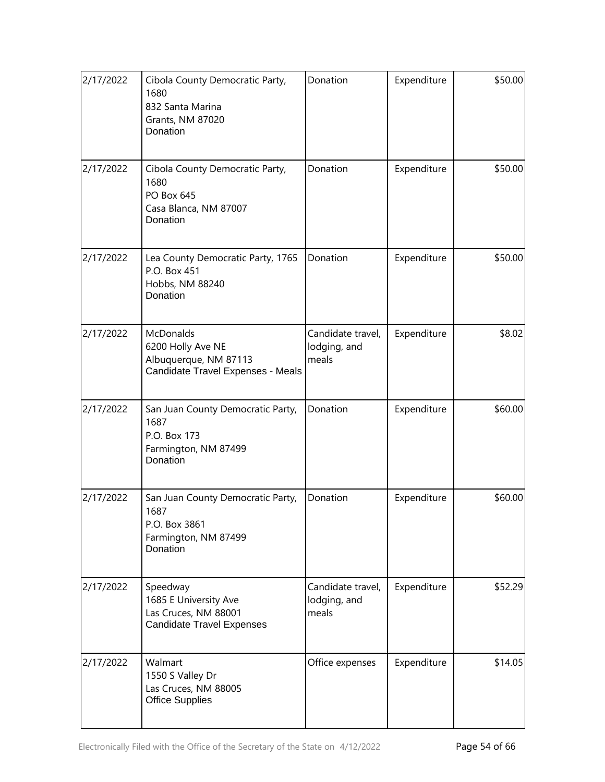| 2/17/2022 | Cibola County Democratic Party,<br>1680<br>832 Santa Marina<br><b>Grants, NM 87020</b><br>Donation | Donation                                   | Expenditure | \$50.00 |
|-----------|----------------------------------------------------------------------------------------------------|--------------------------------------------|-------------|---------|
| 2/17/2022 | Cibola County Democratic Party,<br>1680<br><b>PO Box 645</b><br>Casa Blanca, NM 87007<br>Donation  | Donation                                   | Expenditure | \$50.00 |
| 2/17/2022 | Lea County Democratic Party, 1765<br>P.O. Box 451<br>Hobbs, NM 88240<br>Donation                   | Donation                                   | Expenditure | \$50.00 |
| 2/17/2022 | McDonalds<br>6200 Holly Ave NE<br>Albuquerque, NM 87113<br>Candidate Travel Expenses - Meals       | Candidate travel,<br>lodging, and<br>meals | Expenditure | \$8.02  |
| 2/17/2022 | San Juan County Democratic Party,<br>1687<br>P.O. Box 173<br>Farmington, NM 87499<br>Donation      | Donation                                   | Expenditure | \$60.00 |
| 2/17/2022 | San Juan County Democratic Party,<br>1687<br>P.O. Box 3861<br>Farmington, NM 87499<br>Donation     | Donation                                   | Expenditure | \$60.00 |
| 2/17/2022 | Speedway<br>1685 E University Ave<br>Las Cruces, NM 88001<br><b>Candidate Travel Expenses</b>      | Candidate travel,<br>lodging, and<br>meals | Expenditure | \$52.29 |
| 2/17/2022 | Walmart<br>1550 S Valley Dr<br>Las Cruces, NM 88005<br><b>Office Supplies</b>                      | Office expenses                            | Expenditure | \$14.05 |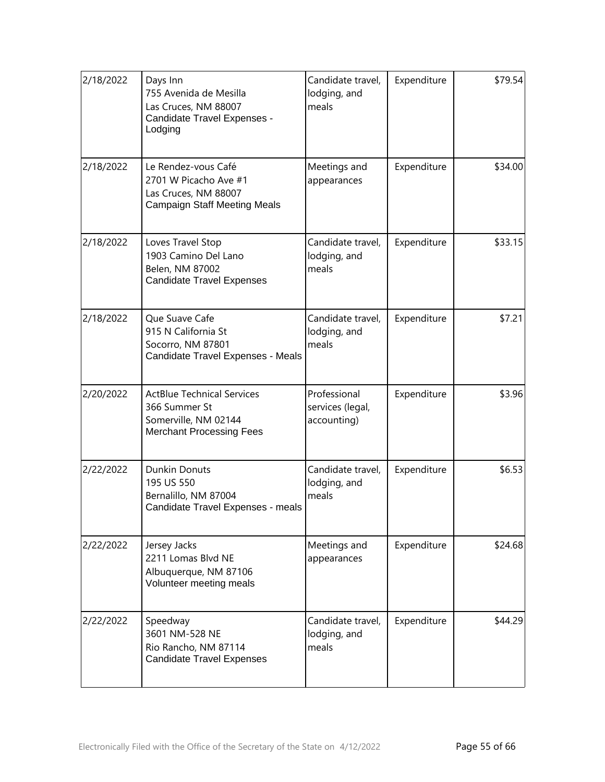| 2/18/2022 | Days Inn<br>755 Avenida de Mesilla<br>Las Cruces, NM 88007<br>Candidate Travel Expenses -<br>Lodging          | Candidate travel,<br>lodging, and<br>meals      | Expenditure | \$79.54] |
|-----------|---------------------------------------------------------------------------------------------------------------|-------------------------------------------------|-------------|----------|
| 2/18/2022 | Le Rendez-vous Café<br>2701 W Picacho Ave #1<br>Las Cruces, NM 88007<br><b>Campaign Staff Meeting Meals</b>   | Meetings and<br>appearances                     | Expenditure | \$34.00  |
| 2/18/2022 | Loves Travel Stop<br>1903 Camino Del Lano<br>Belen, NM 87002<br><b>Candidate Travel Expenses</b>              | Candidate travel,<br>lodging, and<br>meals      | Expenditure | \$33.15  |
| 2/18/2022 | Que Suave Cafe<br>915 N California St<br>Socorro, NM 87801<br>Candidate Travel Expenses - Meals               | Candidate travel,<br>lodging, and<br>meals      | Expenditure | \$7.21   |
| 2/20/2022 | <b>ActBlue Technical Services</b><br>366 Summer St<br>Somerville, NM 02144<br><b>Merchant Processing Fees</b> | Professional<br>services (legal,<br>accounting) | Expenditure | \$3.96   |
| 2/22/2022 | <b>Dunkin Donuts</b><br>195 US 550<br>Bernalillo, NM 87004<br>Candidate Travel Expenses - meals               | Candidate travel,<br>lodging, and<br>meals      | Expenditure | \$6.53   |
| 2/22/2022 | Jersey Jacks<br>2211 Lomas Blvd NE<br>Albuquerque, NM 87106<br>Volunteer meeting meals                        | Meetings and<br>appearances                     | Expenditure | \$24.68  |
| 2/22/2022 | Speedway<br>3601 NM-528 NE<br>Rio Rancho, NM 87114<br><b>Candidate Travel Expenses</b>                        | Candidate travel,<br>lodging, and<br>meals      | Expenditure | \$44.29  |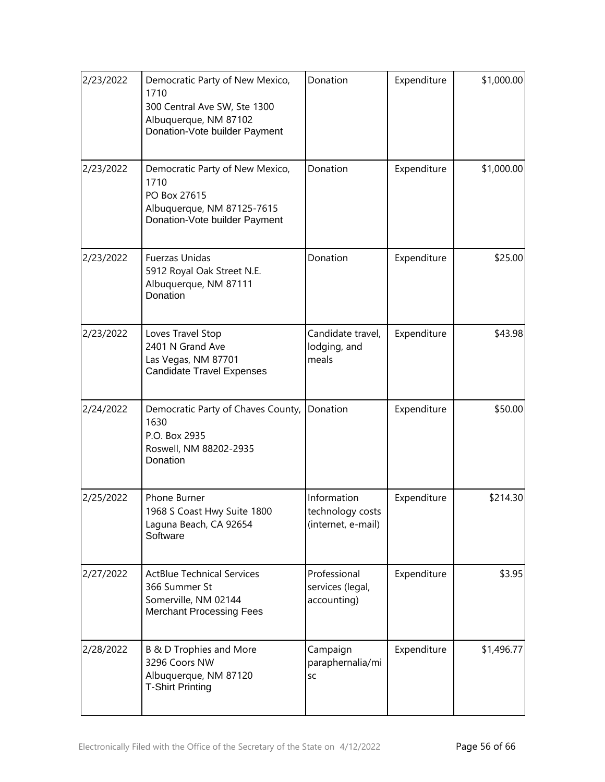| 2/23/2022 | Democratic Party of New Mexico,<br>1710<br>300 Central Ave SW, Ste 1300<br>Albuquerque, NM 87102<br>Donation-Vote builder Payment | Donation                                              | Expenditure | \$1,000.00 |
|-----------|-----------------------------------------------------------------------------------------------------------------------------------|-------------------------------------------------------|-------------|------------|
| 2/23/2022 | Democratic Party of New Mexico,<br>1710<br>PO Box 27615<br>Albuquerque, NM 87125-7615<br>Donation-Vote builder Payment            | Donation                                              | Expenditure | \$1,000.00 |
| 2/23/2022 | <b>Fuerzas Unidas</b><br>5912 Royal Oak Street N.E.<br>Albuquerque, NM 87111<br>Donation                                          | Donation                                              | Expenditure | \$25.00    |
| 2/23/2022 | Loves Travel Stop<br>2401 N Grand Ave<br>Las Vegas, NM 87701<br><b>Candidate Travel Expenses</b>                                  | Candidate travel,<br>lodging, and<br>meals            | Expenditure | \$43.98    |
| 2/24/2022 | Democratic Party of Chaves County,<br>1630<br>P.O. Box 2935<br>Roswell, NM 88202-2935<br>Donation                                 | Donation                                              | Expenditure | \$50.00    |
| 2/25/2022 | Phone Burner<br>1968 S Coast Hwy Suite 1800<br>Laguna Beach, CA 92654<br>Software                                                 | Information<br>technology costs<br>(internet, e-mail) | Expenditure | \$214.30   |
| 2/27/2022 | <b>ActBlue Technical Services</b><br>366 Summer St<br>Somerville, NM 02144<br><b>Merchant Processing Fees</b>                     | Professional<br>services (legal,<br>accounting)       | Expenditure | \$3.95     |
| 2/28/2022 | B & D Trophies and More<br>3296 Coors NW<br>Albuquerque, NM 87120<br><b>T-Shirt Printing</b>                                      | Campaign<br>paraphernalia/mi<br><b>SC</b>             | Expenditure | \$1,496.77 |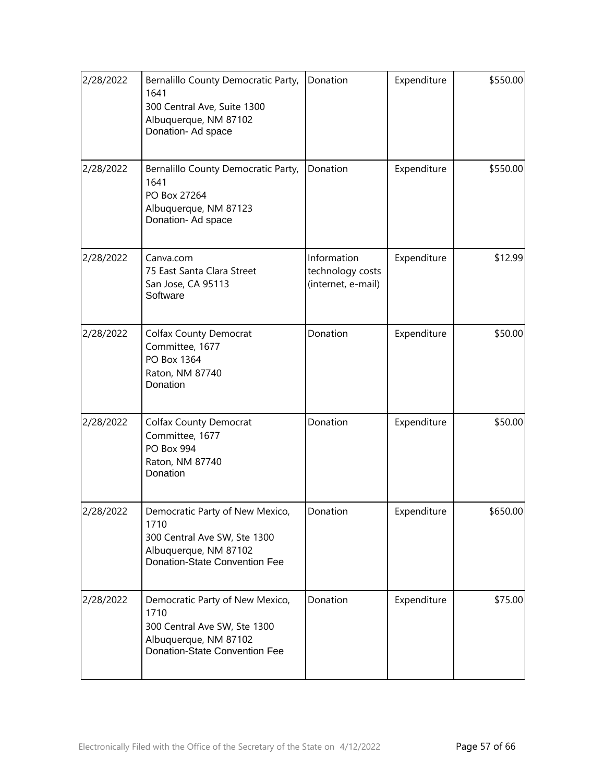| 2/28/2022 | Bernalillo County Democratic Party,<br>1641<br>300 Central Ave, Suite 1300<br>Albuquerque, NM 87102<br>Donation- Ad space         | Donation                                              | Expenditure | \$550.00 |
|-----------|-----------------------------------------------------------------------------------------------------------------------------------|-------------------------------------------------------|-------------|----------|
| 2/28/2022 | Bernalillo County Democratic Party,<br>1641<br>PO Box 27264<br>Albuquerque, NM 87123<br>Donation- Ad space                        | Donation                                              | Expenditure | \$550.00 |
| 2/28/2022 | Canva.com<br>75 East Santa Clara Street<br>San Jose, CA 95113<br>Software                                                         | Information<br>technology costs<br>(internet, e-mail) | Expenditure | \$12.99  |
| 2/28/2022 | <b>Colfax County Democrat</b><br>Committee, 1677<br>PO Box 1364<br>Raton, NM 87740<br>Donation                                    | Donation                                              | Expenditure | \$50.00  |
| 2/28/2022 | <b>Colfax County Democrat</b><br>Committee, 1677<br>PO Box 994<br>Raton, NM 87740<br>Donation                                     | Donation                                              | Expenditure | \$50.00  |
| 2/28/2022 | Democratic Party of New Mexico,<br>1710<br>300 Central Ave SW, Ste 1300<br>Albuquerque, NM 87102<br>Donation-State Convention Fee | Donation                                              | Expenditure | \$650.00 |
| 2/28/2022 | Democratic Party of New Mexico,<br>1710<br>300 Central Ave SW, Ste 1300<br>Albuquerque, NM 87102<br>Donation-State Convention Fee | Donation                                              | Expenditure | \$75.00  |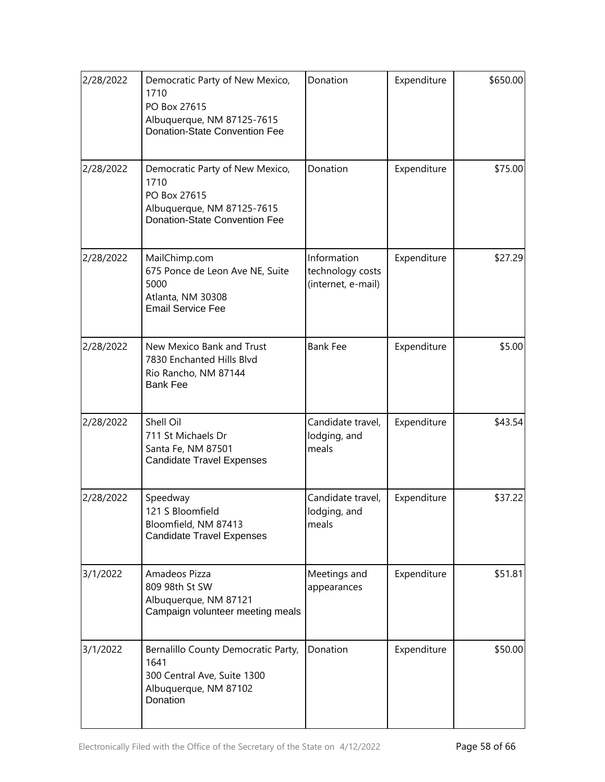| 2/28/2022 | Democratic Party of New Mexico,<br>1710<br>PO Box 27615<br>Albuquerque, NM 87125-7615<br><b>Donation-State Convention Fee</b> | Donation                                              | Expenditure | \$650.00 |
|-----------|-------------------------------------------------------------------------------------------------------------------------------|-------------------------------------------------------|-------------|----------|
| 2/28/2022 | Democratic Party of New Mexico,<br>1710<br>PO Box 27615<br>Albuquerque, NM 87125-7615<br><b>Donation-State Convention Fee</b> | Donation                                              | Expenditure | \$75.00  |
| 2/28/2022 | MailChimp.com<br>675 Ponce de Leon Ave NE, Suite<br>5000<br>Atlanta, NM 30308<br><b>Email Service Fee</b>                     | Information<br>technology costs<br>(internet, e-mail) | Expenditure | \$27.29  |
| 2/28/2022 | New Mexico Bank and Trust<br>7830 Enchanted Hills Blvd<br>Rio Rancho, NM 87144<br><b>Bank Fee</b>                             | <b>Bank Fee</b>                                       | Expenditure | \$5.00   |
| 2/28/2022 | Shell Oil<br>711 St Michaels Dr<br>Santa Fe, NM 87501<br><b>Candidate Travel Expenses</b>                                     | Candidate travel,<br>lodging, and<br>meals            | Expenditure | \$43.54  |
| 2/28/2022 | Speedway<br>121 S Bloomfield<br>Bloomfield, NM 87413<br><b>Candidate Travel Expenses</b>                                      | Candidate travel,<br>lodging, and<br>meals            | Expenditure | \$37.22  |
| 3/1/2022  | Amadeos Pizza<br>809 98th St SW<br>Albuquerque, NM 87121<br>Campaign volunteer meeting meals                                  | Meetings and<br>appearances                           | Expenditure | \$51.81  |
| 3/1/2022  | Bernalillo County Democratic Party,<br>1641<br>300 Central Ave, Suite 1300<br>Albuquerque, NM 87102<br>Donation               | Donation                                              | Expenditure | \$50.00  |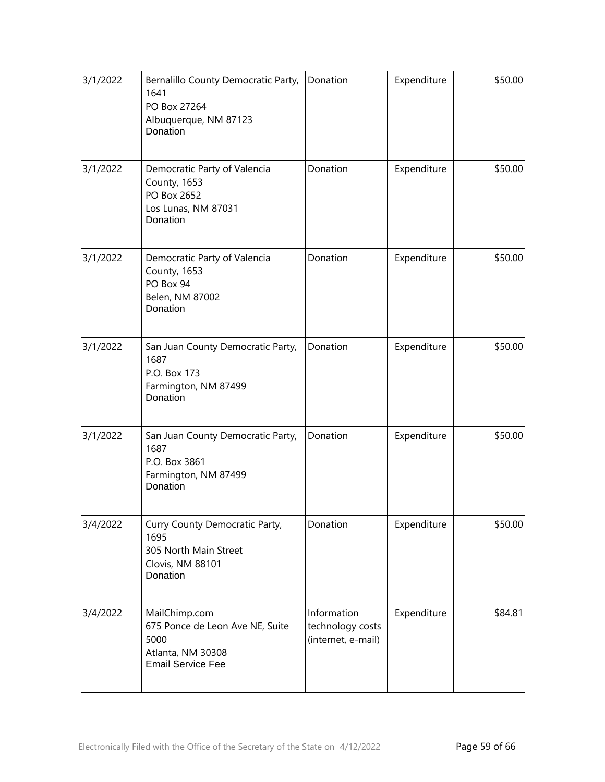| 3/1/2022 | Bernalillo County Democratic Party,<br>1641<br>PO Box 27264<br>Albuquerque, NM 87123<br>Donation          | Donation                                              | Expenditure | \$50.00 |
|----------|-----------------------------------------------------------------------------------------------------------|-------------------------------------------------------|-------------|---------|
| 3/1/2022 | Democratic Party of Valencia<br>County, 1653<br>PO Box 2652<br>Los Lunas, NM 87031<br>Donation            | Donation                                              | Expenditure | \$50.00 |
| 3/1/2022 | Democratic Party of Valencia<br>County, 1653<br>PO Box 94<br>Belen, NM 87002<br>Donation                  | Donation                                              | Expenditure | \$50.00 |
| 3/1/2022 | San Juan County Democratic Party,<br>1687<br>P.O. Box 173<br>Farmington, NM 87499<br>Donation             | Donation                                              | Expenditure | \$50.00 |
| 3/1/2022 | San Juan County Democratic Party,<br>1687<br>P.O. Box 3861<br>Farmington, NM 87499<br>Donation            | Donation                                              | Expenditure | \$50.00 |
| 3/4/2022 | Curry County Democratic Party,<br>1695<br>305 North Main Street<br>Clovis, NM 88101<br>Donation           | Donation                                              | Expenditure | \$50.00 |
| 3/4/2022 | MailChimp.com<br>675 Ponce de Leon Ave NE, Suite<br>5000<br>Atlanta, NM 30308<br><b>Email Service Fee</b> | Information<br>technology costs<br>(internet, e-mail) | Expenditure | \$84.81 |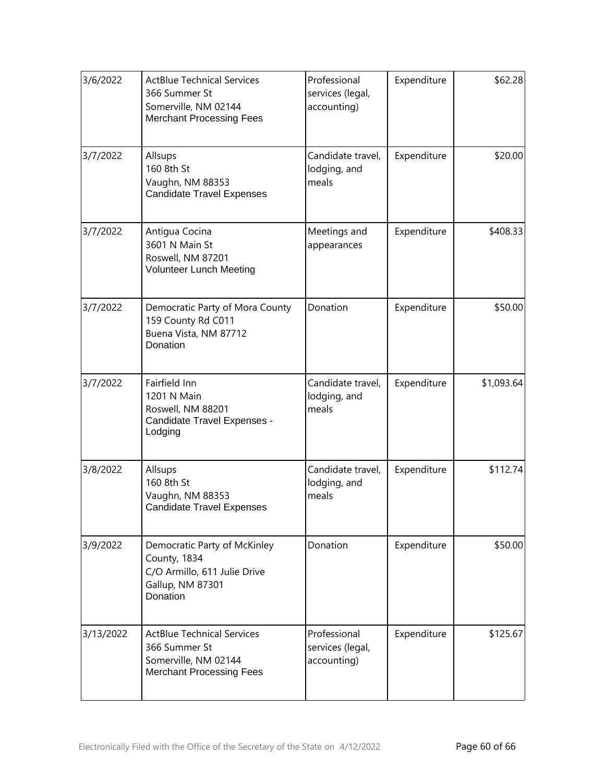| 3/6/2022  | <b>ActBlue Technical Services</b><br>366 Summer St<br>Somerville, NM 02144<br><b>Merchant Processing Fees</b> | Professional<br>services (legal,<br>accounting) | Expenditure | \$62.28    |
|-----------|---------------------------------------------------------------------------------------------------------------|-------------------------------------------------|-------------|------------|
| 3/7/2022  | Allsups<br>160 8th St<br>Vaughn, NM 88353<br><b>Candidate Travel Expenses</b>                                 | Candidate travel,<br>lodging, and<br>meals      | Expenditure | \$20.00    |
| 3/7/2022  | Antigua Cocina<br>3601 N Main St<br>Roswell, NM 87201<br><b>Volunteer Lunch Meeting</b>                       | Meetings and<br>appearances                     | Expenditure | \$408.33   |
| 3/7/2022  | Democratic Party of Mora County<br>159 County Rd C011<br>Buena Vista, NM 87712<br>Donation                    | Donation                                        | Expenditure | \$50.00    |
| 3/7/2022  | Fairfield Inn<br>1201 N Main<br>Roswell, NM 88201<br>Candidate Travel Expenses -<br>Lodging                   | Candidate travel,<br>lodging, and<br>meals      | Expenditure | \$1,093.64 |
| 3/8/2022  | Allsups<br>160 8th St<br>Vaughn, NM 88353<br><b>Candidate Travel Expenses</b>                                 | Candidate travel,<br>lodging, and<br>meals      | Expenditure | \$112.74   |
| 3/9/2022  | Democratic Party of McKinley<br>County, 1834<br>C/O Armillo, 611 Julie Drive<br>Gallup, NM 87301<br>Donation  | Donation                                        | Expenditure | \$50.00    |
| 3/13/2022 | <b>ActBlue Technical Services</b><br>366 Summer St<br>Somerville, NM 02144<br><b>Merchant Processing Fees</b> | Professional<br>services (legal,<br>accounting) | Expenditure | \$125.67   |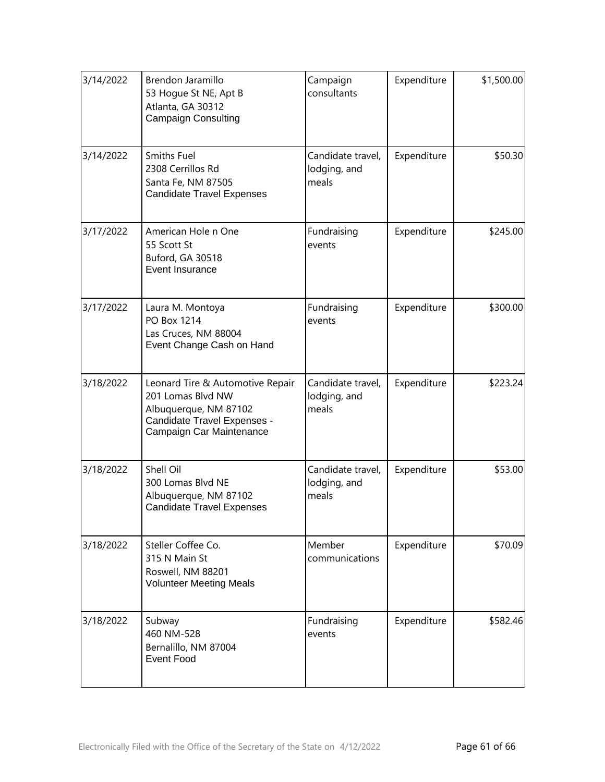| 3/14/2022 | Brendon Jaramillo<br>53 Hogue St NE, Apt B<br>Atlanta, GA 30312<br><b>Campaign Consulting</b>                                             | Campaign<br>consultants                    | Expenditure | \$1,500.00 |
|-----------|-------------------------------------------------------------------------------------------------------------------------------------------|--------------------------------------------|-------------|------------|
| 3/14/2022 | <b>Smiths Fuel</b><br>2308 Cerrillos Rd<br>Santa Fe, NM 87505<br><b>Candidate Travel Expenses</b>                                         | Candidate travel,<br>lodging, and<br>meals | Expenditure | \$50.30    |
| 3/17/2022 | American Hole n One<br>55 Scott St<br>Buford, GA 30518<br>Event Insurance                                                                 | Fundraising<br>events                      | Expenditure | \$245.00   |
| 3/17/2022 | Laura M. Montoya<br>PO Box 1214<br>Las Cruces, NM 88004<br>Event Change Cash on Hand                                                      | Fundraising<br>events                      | Expenditure | \$300.00   |
| 3/18/2022 | Leonard Tire & Automotive Repair<br>201 Lomas Blvd NW<br>Albuquerque, NM 87102<br>Candidate Travel Expenses -<br>Campaign Car Maintenance | Candidate travel,<br>lodging, and<br>meals | Expenditure | \$223.24   |
| 3/18/2022 | Shell Oil<br>300 Lomas Blvd NE<br>Albuquerque, NM 87102<br><b>Candidate Travel Expenses</b>                                               | Candidate travel,<br>lodging, and<br>meals | Expenditure | \$53.00    |
| 3/18/2022 | Steller Coffee Co.<br>315 N Main St<br>Roswell, NM 88201<br><b>Volunteer Meeting Meals</b>                                                | Member<br>communications                   | Expenditure | \$70.09    |
| 3/18/2022 | Subway<br>460 NM-528<br>Bernalillo, NM 87004<br><b>Event Food</b>                                                                         | Fundraising<br>events                      | Expenditure | \$582.46   |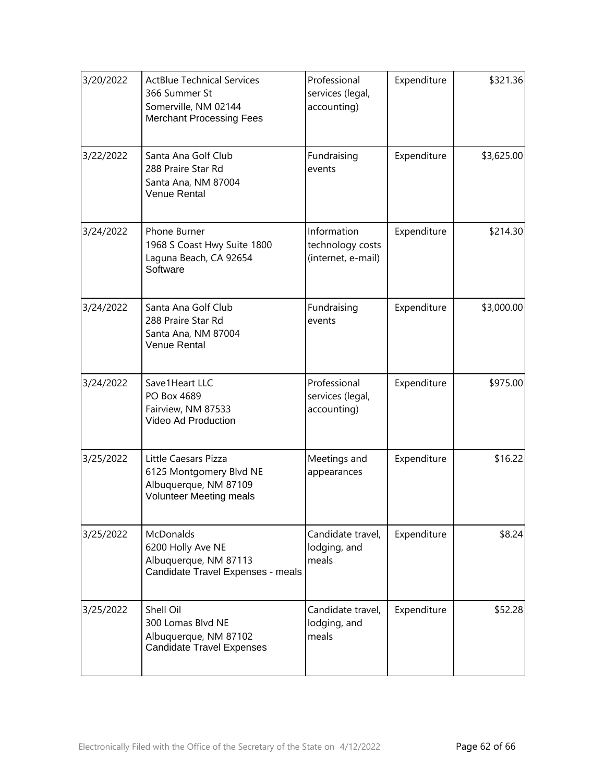| 3/20/2022 | <b>ActBlue Technical Services</b><br>366 Summer St<br>Somerville, NM 02144<br><b>Merchant Processing Fees</b> | Professional<br>services (legal,<br>accounting)       | Expenditure | \$321.36   |
|-----------|---------------------------------------------------------------------------------------------------------------|-------------------------------------------------------|-------------|------------|
| 3/22/2022 | Santa Ana Golf Club<br>288 Praire Star Rd<br>Santa Ana, NM 87004<br>Venue Rental                              | Fundraising<br>events                                 | Expenditure | \$3,625.00 |
| 3/24/2022 | Phone Burner<br>1968 S Coast Hwy Suite 1800<br>Laguna Beach, CA 92654<br>Software                             | Information<br>technology costs<br>(internet, e-mail) | Expenditure | \$214.30   |
| 3/24/2022 | Santa Ana Golf Club<br>288 Praire Star Rd<br>Santa Ana, NM 87004<br>Venue Rental                              | Fundraising<br>events                                 | Expenditure | \$3,000.00 |
| 3/24/2022 | Save1Heart LLC<br>PO Box 4689<br>Fairview, NM 87533<br>Video Ad Production                                    | Professional<br>services (legal,<br>accounting)       | Expenditure | \$975.00   |
| 3/25/2022 | Little Caesars Pizza<br>6125 Montgomery Blvd NE<br>Albuquerque, NM 87109<br><b>Volunteer Meeting meals</b>    | Meetings and<br>appearances                           | Expenditure | \$16.22    |
| 3/25/2022 | <b>McDonalds</b><br>6200 Holly Ave NE<br>Albuquerque, NM 87113<br>Candidate Travel Expenses - meals           | Candidate travel,<br>lodging, and<br>meals            | Expenditure | \$8.24     |
| 3/25/2022 | Shell Oil<br>300 Lomas Blvd NE<br>Albuquerque, NM 87102<br><b>Candidate Travel Expenses</b>                   | Candidate travel,<br>lodging, and<br>meals            | Expenditure | \$52.28    |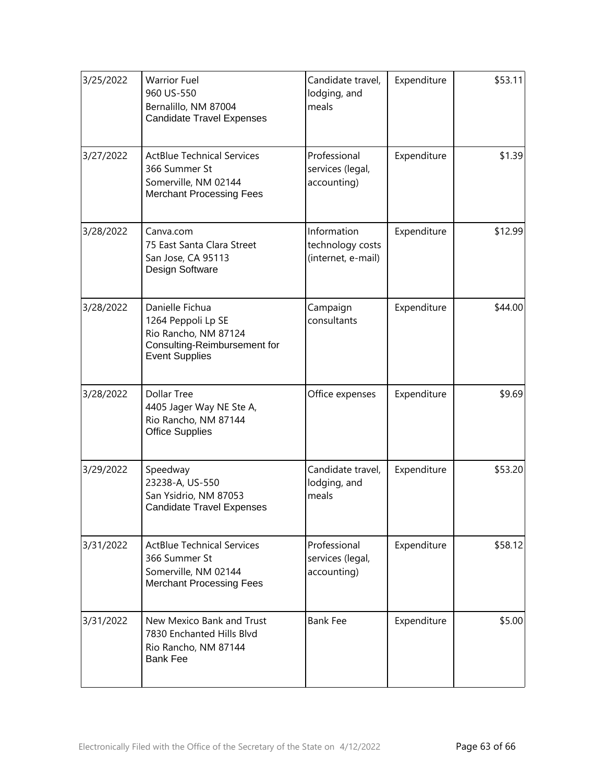| 3/25/2022 | <b>Warrior Fuel</b><br>960 US-550<br>Bernalillo, NM 87004<br><b>Candidate Travel Expenses</b>                          | Candidate travel,<br>lodging, and<br>meals            | Expenditure | \$53.11 |
|-----------|------------------------------------------------------------------------------------------------------------------------|-------------------------------------------------------|-------------|---------|
| 3/27/2022 | <b>ActBlue Technical Services</b><br>366 Summer St<br>Somerville, NM 02144<br><b>Merchant Processing Fees</b>          | Professional<br>services (legal,<br>accounting)       | Expenditure | \$1.39  |
| 3/28/2022 | Canva.com<br>75 East Santa Clara Street<br>San Jose, CA 95113<br>Design Software                                       | Information<br>technology costs<br>(internet, e-mail) | Expenditure | \$12.99 |
| 3/28/2022 | Danielle Fichua<br>1264 Peppoli Lp SE<br>Rio Rancho, NM 87124<br>Consulting-Reimbursement for<br><b>Event Supplies</b> | Campaign<br>consultants                               | Expenditure | \$44.00 |
| 3/28/2022 | <b>Dollar Tree</b><br>4405 Jager Way NE Ste A,<br>Rio Rancho, NM 87144<br><b>Office Supplies</b>                       | Office expenses                                       | Expenditure | \$9.69  |
| 3/29/2022 | Speedway<br>23238-A, US-550<br>San Ysidrio, NM 87053<br><b>Candidate Travel Expenses</b>                               | Candidate travel,<br>lodging, and<br>meals            | Expenditure | \$53.20 |
| 3/31/2022 | <b>ActBlue Technical Services</b><br>366 Summer St<br>Somerville, NM 02144<br><b>Merchant Processing Fees</b>          | Professional<br>services (legal,<br>accounting)       | Expenditure | \$58.12 |
| 3/31/2022 | New Mexico Bank and Trust<br>7830 Enchanted Hills Blvd<br>Rio Rancho, NM 87144<br><b>Bank Fee</b>                      | <b>Bank Fee</b>                                       | Expenditure | \$5.00  |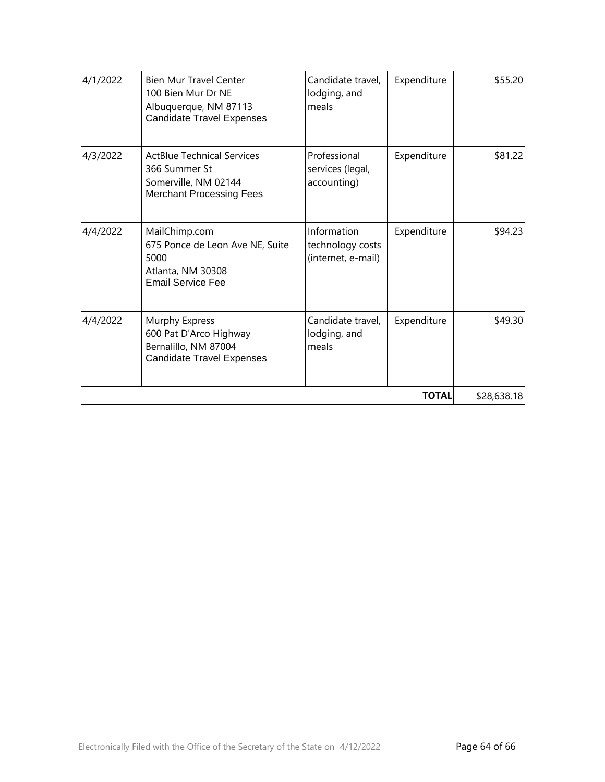| 4/1/2022 | <b>Bien Mur Travel Center</b><br>100 Bien Mur Dr NE<br>Albuquerque, NM 87113<br><b>Candidate Travel Expenses</b> | Candidate travel,<br>lodging, and<br>meals            | Expenditure | \$55.20 |
|----------|------------------------------------------------------------------------------------------------------------------|-------------------------------------------------------|-------------|---------|
| 4/3/2022 | <b>ActBlue Technical Services</b><br>366 Summer St<br>Somerville, NM 02144<br><b>Merchant Processing Fees</b>    | Professional<br>services (legal,<br>accounting)       | Expenditure | \$81.22 |
| 4/4/2022 | MailChimp.com<br>675 Ponce de Leon Ave NE, Suite<br>5000<br>Atlanta, NM 30308<br><b>Email Service Fee</b>        | Information<br>technology costs<br>(internet, e-mail) | Expenditure | \$94.23 |
| 4/4/2022 | Murphy Express<br>600 Pat D'Arco Highway<br>Bernalillo, NM 87004<br><b>Candidate Travel Expenses</b>             | Candidate travel,<br>lodging, and<br>meals            | Expenditure | \$49.30 |
|          | \$28,638.18                                                                                                      |                                                       |             |         |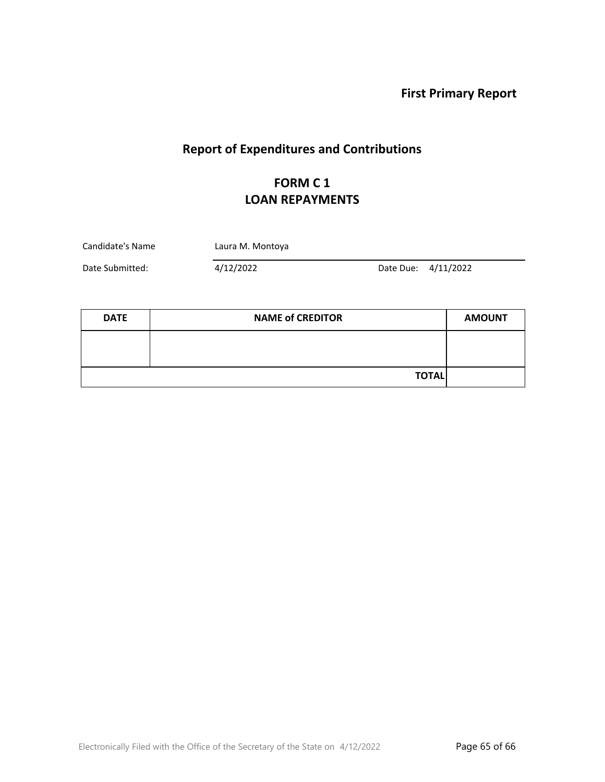# **Report of Expenditures and Contributions**

## **FORM C 1 LOAN REPAYMENTS**

| Candidate's Name | Laura M. Montoya |  |                     |  |
|------------------|------------------|--|---------------------|--|
| Date Submitted:  | 4/12/2022        |  | Date Due: 4/11/2022 |  |

| <b>DATE</b> | <b>NAME of CREDITOR</b> | <b>AMOUNT</b> |
|-------------|-------------------------|---------------|
|             |                         |               |
|             |                         |               |
|             | <b>TOTAL</b>            |               |